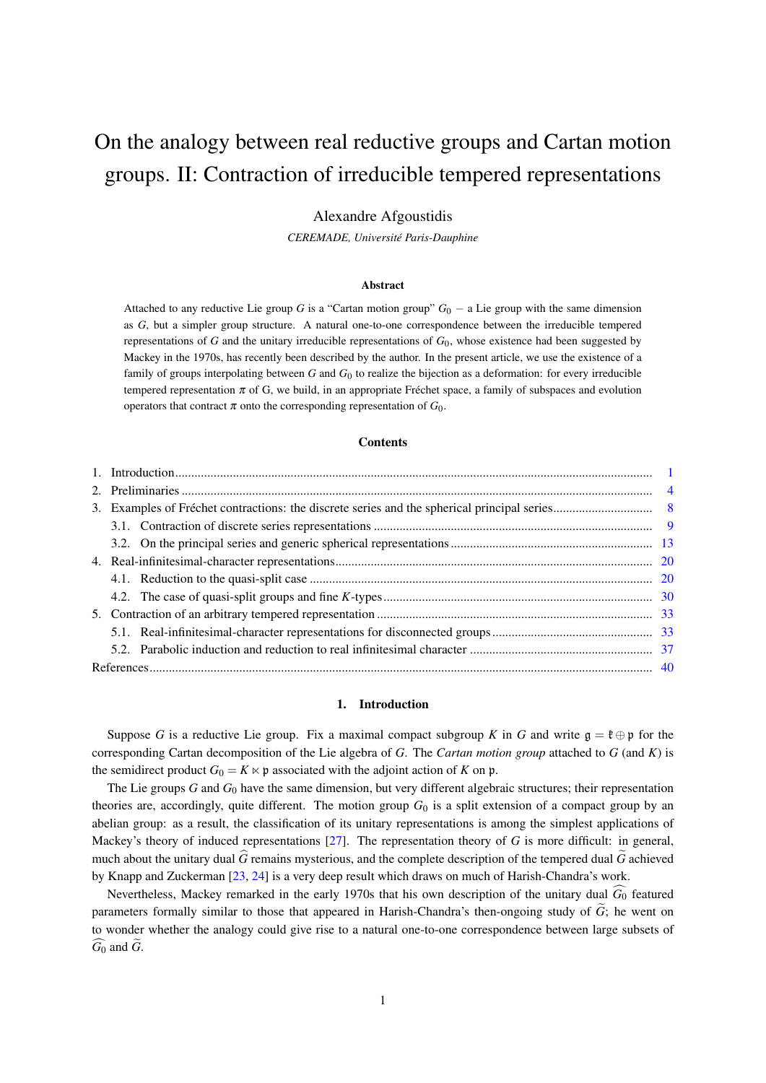# On the analogy between real reductive groups and Cartan motion groups. II: Contraction of irreducible tempered representations

# Alexandre Afgoustidis

CEREMADE, Université Paris-Dauphine

#### Abstract

Attached to any reductive Lie group G is a "Cartan motion group"  $G_0$  – a Lie group with the same dimension as G, but a simpler group structure. A natural one-to-one correspondence between the irreducible tempered representations of  $G$  and the unitary irreducible representations of  $G_0$ , whose existence had been suggested by Mackey in the 1970s, has recently been described by the author. In the present article, we use the existence of a family of groups interpolating between  $G$  and  $G_0$  to realize the bijection as a deformation: for every irreducible tempered representation  $\pi$  of G, we build, in an appropriate Fréchet space, a family of subspaces and evolution operators that contract  $\pi$  onto the corresponding representation of  $G_0$ .

# **Contents**

# 1. Introduction

Suppose G is a reductive Lie group. Fix a maximal compact subgroup K in G and write  $\mathfrak{g} = \mathfrak{k} \oplus \mathfrak{p}$  for the corresponding Cartan decomposition of the Lie algebra of G. The Cartan motion group attached to  $G$  (and  $K$ ) is the semidirect product  $G_0 = K \times \mathfrak{p}$  associated with the adjoint action of K on  $\mathfrak{p}$ .

The Lie groups  $G$  and  $G_0$  have the same dimension, but very different algebraic structures; their representation theories are, accordingly, quite different. The motion group  $G_0$  is a split extension of a compact group by an abelian group: as a result, the classification of its unitary representations is among the simplest applications of Mackey's theory of induced representations [27]. The representation theory of  $G$  is more difficult: in general, much about the unitary dual  $\hat{G}$  remains mysterious, and the complete description of the tempered dual  $\hat{G}$  achieved by Knapp and Zuckerman  $[23, 24]$  is a very deep result which draws on much of Harish-Chandra's work.

Nevertheless, Mackey remarked in the early 1970s that his own description of the unitary dual  $\widehat{G_0}$  featured parameters formally similar to those that appeared in Harish-Chandra's then-ongoing study of  $\tilde{G}$ ; he went on to wonder whether the analogy could give rise to a natural one-to-one correspondence between large subsets of  $G_0$  and  $G$ .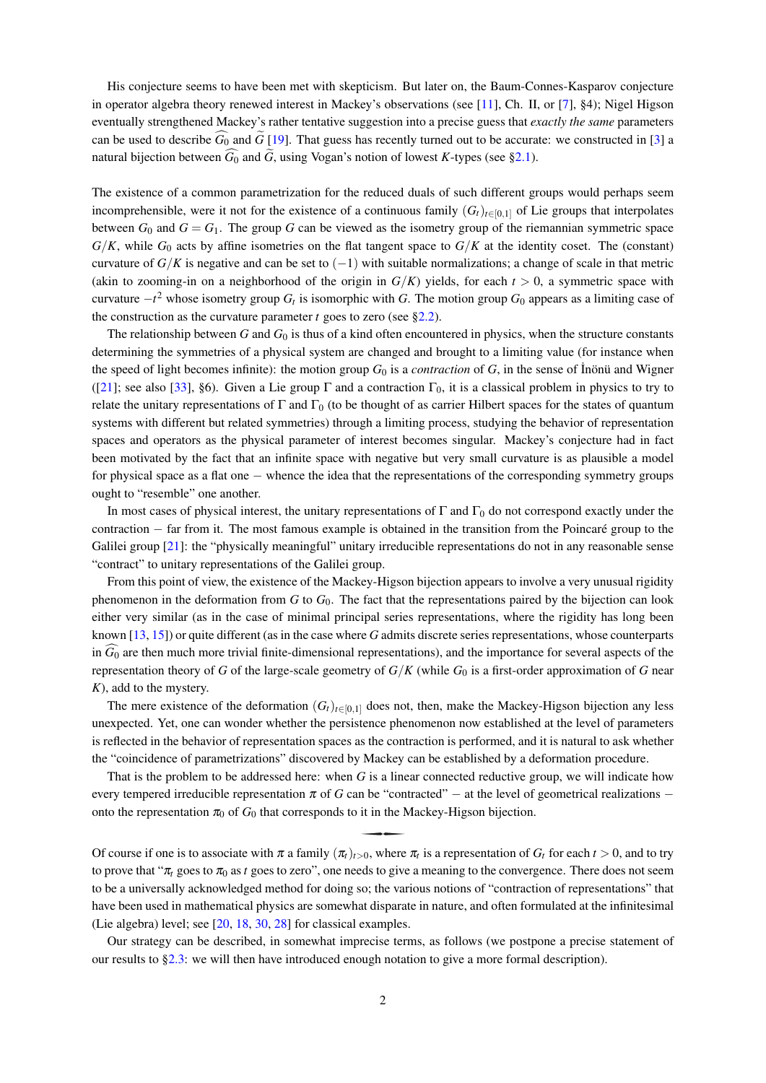His conjecture seems to have been met with skepticism. But later on, the Baum-Connes-Kasparov conjecture in operator algebra theory renewed interest in Mackey's observations (see [11], Ch. II, or [7], §4); Nigel Higson eventually strengthened Mackey's rather tentative suggestion into a precise guess that exactly the same parameters can be used to describe  $\tilde{G}_0$  and  $\tilde{G}$  [19]. That guess has recently turned out to be accurate: we constructed in [3] a natural bijection between  $\widehat{G_0}$  and  $\widetilde{G}$ , using Vogan's notion of lowest K-types (see §2.1).

The existence of a common parametrization for the reduced duals of such different groups would perhaps seem incomprehensible, were it not for the existence of a continuous family  $(G_t)_{t\in[0,1]}$  of Lie groups that interpolates between  $G_0$  and  $G = G_1$ . The group G can be viewed as the isometry group of the riemannian symmetric space  $G/K$ , while  $G_0$  acts by affine isometries on the flat tangent space to  $G/K$  at the identity coset. The (constant) curvature of  $G/K$  is negative and can be set to  $(-1)$  with suitable normalizations; a change of scale in that metric (akin to zooming-in on a neighborhood of the origin in  $G/K$ ) yields, for each  $t > 0$ , a symmetric space with curvature  $-t^2$  whose isometry group  $G_t$  is isomorphic with G. The motion group  $G_0$  appears as a limiting case of the construction as the curvature parameter  $t$  goes to zero (see §2.2).

The relationship between G and  $G_0$  is thus of a kind often encountered in physics, when the structure constants determining the symmetries of a physical system are changed and brought to a limiting value (for instance when the speed of light becomes infinite): the motion group  $G_0$  is a *contraction* of  $G$ , in the sense of Inönü and Wigner ([21]; see also [33], §6). Given a Lie group  $\Gamma$  and a contraction  $\Gamma_0$ , it is a classical problem in physics to try to relate the unitary representations of  $\Gamma$  and  $\Gamma_0$  (to be thought of as carrier Hilbert spaces for the states of quantum systems with different but related symmetries) through a limiting process, studying the behavior of representation spaces and operators as the physical parameter of interest becomes singular. Mackey's conjecture had in fact been motivated by the fact that an infinite space with negative but very small curvature is as plausible a model for physical space as a flat one  $-$  whence the idea that the representations of the corresponding symmetry groups ought to "resemble" one another.

In most cases of physical interest, the unitary representations of  $\Gamma$  and  $\Gamma_0$  do not correspond exactly under the contraction  $-$  far from it. The most famous example is obtained in the transition from the Poincaré group to the Galilei group  $[21]$ : the "physically meaningful" unitary irreducible representations do not in any reasonable sense "contract" to unitary representations of the Galilei group.

From this point of view, the existence of the Mackey-Higson bijection appears to involve a very unusual rigidity phenomenon in the deformation from  $G$  to  $G_0$ . The fact that the representations paired by the bijection can look either very similar (as in the case of minimal principal series representations, where the rigidity has long been known  $[13, 15]$  or quite different (as in the case where G admits discrete series representations, whose counterparts in  $\widehat{G_0}$  are then much more trivial finite-dimensional representations), and the importance for several aspects of the representation theory of G of the large-scale geometry of  $G/K$  (while  $G_0$  is a first-order approximation of G near  $K$ ), add to the mystery.

The mere existence of the deformation  $(G_t)_{t\in[0,1]}$  does not, then, make the Mackey-Higson bijection any less unexpected. Yet, one can wonder whether the persistence phenomenon now established at the level of parameters is reflected in the behavior of representation spaces as the contraction is performed, and it is natural to ask whether the "coincidence of parametrizations" discovered by Mackey can be established by a deformation procedure.

That is the problem to be addressed here: when  $G$  is a linear connected reductive group, we will indicate how every tempered irreducible representation  $\pi$  of G can be "contracted" – at the level of geometrical realizations – onto the representation  $\pi_0$  of  $G_0$  that corresponds to it in the Mackey-Higson bijection.

Of course if one is to associate with  $\pi$  a family  $(\pi_t)_{t>0}$ , where  $\pi_t$  is a representation of  $G_t$  for each  $t>0$ , and to try to prove that " $\pi_t$  goes to  $\pi_0$  as t goes to zero", one needs to give a meaning to the convergence. There does not seem to be a universally acknowledged method for doing so; the various notions of "contraction of representations" that have been used in mathematical physics are somewhat disparate in nature, and often formulated at the infinitesimal (Lie algebra) level; see [20, 18, 30, 28] for classical examples.

Our strategy can be described, in somewhat imprecise terms, as follows (we postpone a precise statement of our results to  $\S2.3$ : we will then have introduced enough notation to give a more formal description).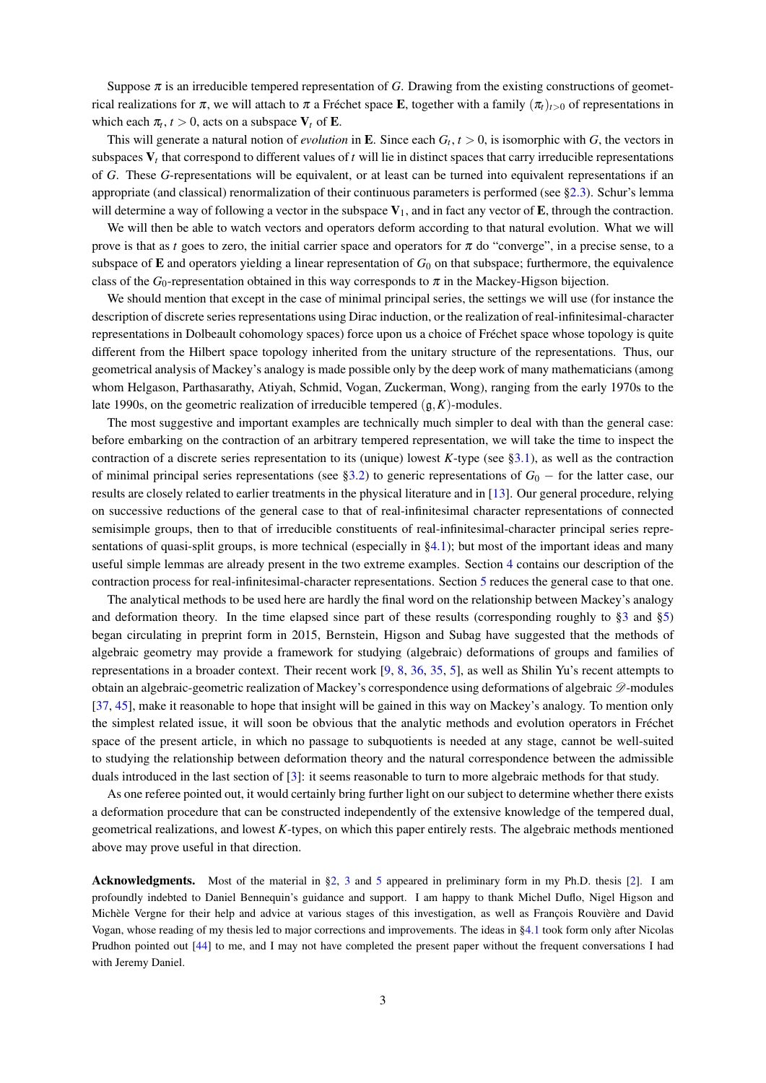Suppose  $\pi$  is an irreducible tempered representation of G. Drawing from the existing constructions of geometrical realizations for  $\pi$ , we will attach to  $\pi$  a Fréchet space **E**, together with a family  $(\pi_t)_{t>0}$  of representations in which each  $\pi_t$ ,  $t > 0$ , acts on a subspace  $V_t$  of **E**.

This will generate a natural notion of *evolution* in **E**. Since each  $G_t$ ,  $t > 0$ , is isomorphic with G, the vectors in subspaces  $V_t$ , that correspond to different values of t will lie in distinct spaces that carry irreducible representations of G. These G-representations will be equivalent, or at least can be turned into equivalent representations if an appropriate (and classical) renormalization of their continuous parameters is performed (see §2.3). Schur's lemma will determine a way of following a vector in the subspace  $V_1$ , and in fact any vector of **E**, through the contraction.

We will then be able to watch vectors and operators deform according to that natural evolution. What we will prove is that as t goes to zero, the initial carrier space and operators for  $\pi$  do "converge", in a precise sense, to a subspace of  $\bf{E}$  and operators yielding a linear representation of  $G_0$  on that subspace; furthermore, the equivalence class of the  $G_0$ -representation obtained in this way corresponds to  $\pi$  in the Mackey-Higson bijection.

We should mention that except in the case of minimal principal series, the settings we will use (for instance the description of discrete series representations using Dirac induction, or the realization of real-infinitesimal-character representations in Dolbeault cohomology spaces) force upon us a choice of Fréchet space whose topology is quite different from the Hilbert space topology inherited from the unitary structure of the representations. Thus, our geometrical analysis of Mackey's analogy is made possible only by the deep work of many mathematicians (among whom Helgason, Parthasarathy, Atiyah, Schmid, Vogan, Zuckerman, Wong), ranging from the early 1970s to the late 1990s, on the geometric realization of irreducible tempered  $(g, K)$ -modules.

The most suggestive and important examples are technically much simpler to deal with than the general case: before embarking on the contraction of an arbitrary tempered representation, we will take the time to inspect the contraction of a discrete series representation to its (unique) lowest K-type (see §3.1), as well as the contraction of minimal principal series representations (see §3.2) to generic representations of  $G_0$  – for the latter case, our results are closely related to earlier treatments in the physical literature and in [13]. Our general procedure, relying on successive reductions of the general case to that of real-infinitesimal character representations of connected semisimple groups, then to that of irreducible constituents of real-infinitesimal-character principal series representations of quasi-split groups, is more technical (especially in  $\S$ 4.1); but most of the important ideas and many useful simple lemmas are already present in the two extreme examples. Section 4 contains our description of the contraction process for real-infinitesimal-character representations. Section 5 reduces the general case to that one.

The analytical methods to be used here are hardly the final word on the relationship between Mackey's analogy and deformation theory. In the time elapsed since part of these results (corresponding roughly to  $\S$ 3 and  $\S$ 5) began circulating in preprint form in 2015, Bernstein, Higson and Subag have suggested that the methods of algebraic geometry may provide a framework for studying (algebraic) deformations of groups and families of representations in a broader context. Their recent work  $[9, 8, 36, 35, 5]$ , as well as Shilin Yu's recent attempts to obtain an algebraic-geometric realization of Mackey's correspondence using deformations of algebraic  $\mathscr{D}$ -modules [37, 45], make it reasonable to hope that insight will be gained in this way on Mackey's analogy. To mention only the simplest related issue, it will soon be obvious that the analytic methods and evolution operators in Fréchet space of the present article, in which no passage to subquotients is needed at any stage, cannot be well-suited to studying the relationship between deformation theory and the natural correspondence between the admissible duals introduced in the last section of  $[3]$ : it seems reasonable to turn to more algebraic methods for that study.

As one referee pointed out, it would certainly bring further light on our subject to determine whether there exists a deformation procedure that can be constructed independently of the extensive knowledge of the tempered dual, geometrical realizations, and lowest  $K$ -types, on which this paper entirely rests. The algebraic methods mentioned above may prove useful in that direction.

**Acknowledgments.** Most of the material in §2, 3 and 5 appeared in preliminary form in my Ph.D. thesis [2]. I am profoundly indebted to Daniel Bennequin's guidance and support. I am happy to thank Michel Duflo, Nigel Higson and Michèle Vergne for their help and advice at various stages of this investigation, as well as Francois Rouvière and David Vogan, whose reading of my thesis led to major corrections and improvements. The ideas in §4.1 took form only after Nicolas Prudhon pointed out [44] to me, and I may not have completed the present paper without the frequent conversations I had with Jeremy Daniel.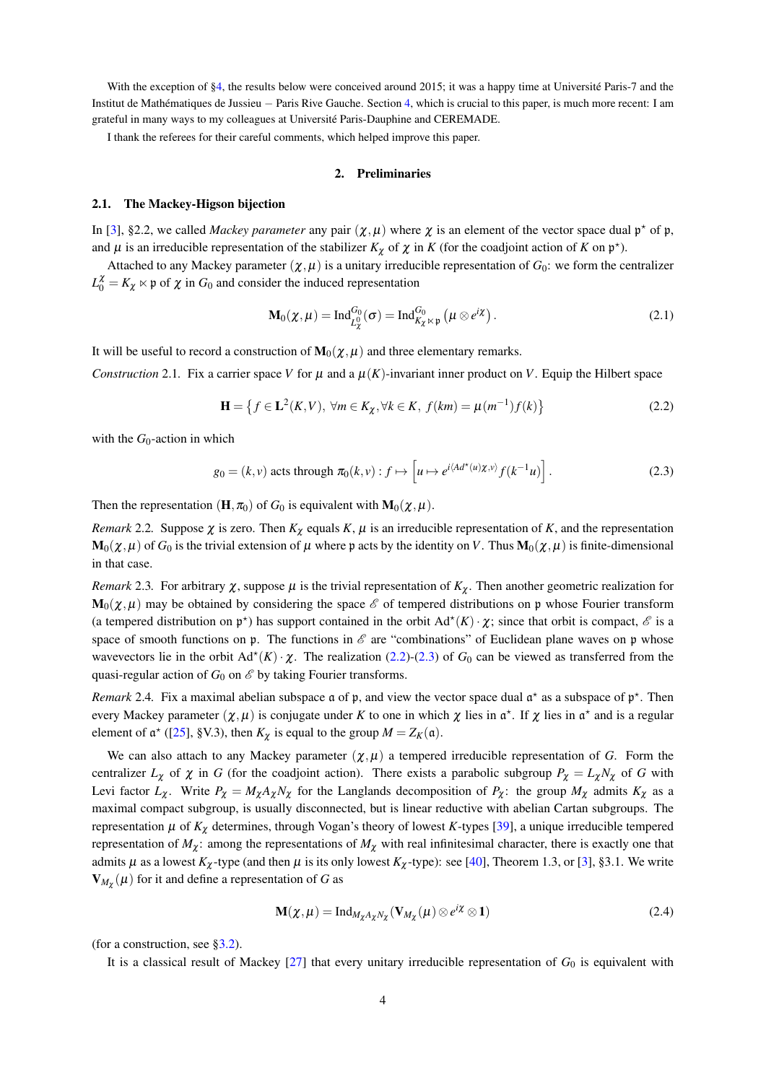With the exception of §4, the results below were conceived around 2015; it was a happy time at Université Paris-7 and the Institut de Mathématiques de Jussieu – Paris Rive Gauche. Section 4, which is crucial to this paper, is much more recent: I am grateful in many ways to my colleagues at Université Paris-Dauphine and CEREMADE.

I thank the referees for their careful comments, which helped improve this paper.

# 2. Preliminaries

# 2.1. The Mackey-Higson bijection

In [3], §2.2, we called *Mackey parameter* any pair  $(\chi, \mu)$  where  $\chi$  is an element of the vector space dual  $p^*$  of p, and  $\mu$  is an irreducible representation of the stabilizer  $K_{\chi}$  of  $\chi$  in K (for the coadjoint action of K on  $\mathfrak{p}^*$ ).

Attached to any Mackey parameter  $(\chi, \mu)$  is a unitary irreducible representation of  $G_0$ : we form the centralizer  $L_0^{\chi} = K_{\chi} \ltimes \mathfrak{p}$  of  $\chi$  in  $G_0$  and consider the induced representation

$$
\mathbf{M}_0(\chi,\mu) = \mathrm{Ind}_{L^0_{\chi}}^{G_0}(\sigma) = \mathrm{Ind}_{K_{\chi} \ltimes \mathfrak{p}}^{G_0}(\mu \otimes e^{i\chi}). \tag{2.1}
$$

It will be useful to record a construction of  $M_0(\chi,\mu)$  and three elementary remarks.

Construction 2.1. Fix a carrier space V for  $\mu$  and a  $\mu$ (K)-invariant inner product on V. Equip the Hilbert space

$$
\mathbf{H} = \left\{ f \in \mathbf{L}^{2}(K, V), \ \forall m \in K_{\chi}, \forall k \in K, \ f(km) = \mu(m^{-1})f(k) \right\}
$$
 (2.2)

with the  $G_0$ -action in which

$$
g_0 = (k, v) \text{ acts through } \pi_0(k, v) : f \mapsto \left[ u \mapsto e^{i \langle A d^*(u) \chi, v \rangle} f(k^{-1} u) \right]. \tag{2.3}
$$

Then the representation  $(\mathbf{H}, \pi_0)$  of  $G_0$  is equivalent with  $\mathbf{M}_0(\chi, \mu)$ .

Remark 2.2. Suppose  $\chi$  is zero. Then  $K_{\chi}$  equals K,  $\mu$  is an irreducible representation of K, and the representation  $\mathbf{M}_0(\chi,\mu)$  of  $G_0$  is the trivial extension of  $\mu$  where p acts by the identity on V. Thus  $\mathbf{M}_0(\chi,\mu)$  is finite-dimensional in that case.

*Remark* 2.3. For arbitrary  $\chi$ , suppose  $\mu$  is the trivial representation of  $K_{\chi}$ . Then another geometric realization for  $\mathbf{M}_0(\chi,\mu)$  may be obtained by considering the space  $\mathscr E$  of tempered distributions on p whose Fourier transform (a tempered distribution on  $\mathfrak{p}^*$ ) has support contained in the orbit  $Ad^*(K) \cdot \chi$ ; since that orbit is compact,  $\mathscr E$  is a space of smooth functions on  $\mathfrak p$ . The functions in  $\mathscr E$  are "combinations" of Euclidean plane waves on  $\mathfrak p$  whose wavevectors lie in the orbit  $Ad^*(K) \cdot \chi$ . The realization (2.2)-(2.3) of  $G_0$  can be viewed as transferred from the quasi-regular action of  $G_0$  on  $\mathscr E$  by taking Fourier transforms.

*Remark* 2.4. Fix a maximal abelian subspace  $\alpha$  of  $\beta$ , and view the vector space dual  $\alpha^*$  as a subspace of  $\beta^*$ . Then every Mackey parameter  $(\chi,\mu)$  is conjugate under K to one in which  $\chi$  lies in  $\alpha^*$ . If  $\chi$  lies in  $\alpha^*$  and is a regular element of  $\mathfrak{a}^*$  ([25], §V.3), then  $K_{\chi}$  is equal to the group  $M = Z_K(\mathfrak{a})$ .

We can also attach to any Mackey parameter  $(\chi,\mu)$  a tempered irreducible representation of G. Form the centralizer  $L_{\chi}$  of  $\chi$  in G (for the coadjoint action). There exists a parabolic subgroup  $P_{\chi} = L_{\chi} N_{\chi}$  of G with Levi factor  $L_{\chi}$ . Write  $P_{\chi} = M_{\chi} A_{\chi} N_{\chi}$  for the Langlands decomposition of  $P_{\chi}$ : the group  $M_{\chi}$  admits  $K_{\chi}$  as a maximal compact subgroup, is usually disconnected, but is linear reductive with abelian Cartan subgroups. The representation  $\mu$  of  $K_{\chi}$  determines, through Vogan's theory of lowest K-types [39], a unique irreducible tempered representation of  $M_{\chi}$ : among the representations of  $M_{\chi}$  with real infinitesimal character, there is exactly one that admits  $\mu$  as a lowest  $K_{\chi}$ -type (and then  $\mu$  is its only lowest  $K_{\chi}$ -type): see [40], Theorem 1.3, or [3], §3.1. We write  $V_{M_{\gamma}}(\mu)$  for it and define a representation of G as

$$
\mathbf{M}(\chi,\mu) = \mathrm{Ind}_{M_{\chi}A_{\chi}N_{\chi}}(\mathbf{V}_{M_{\chi}}(\mu) \otimes e^{i\chi} \otimes \mathbf{1})
$$
\n(2.4)

(for a construction, see  $\S3.2$ ).

It is a classical result of Mackey  $[27]$  that every unitary irreducible representation of  $G_0$  is equivalent with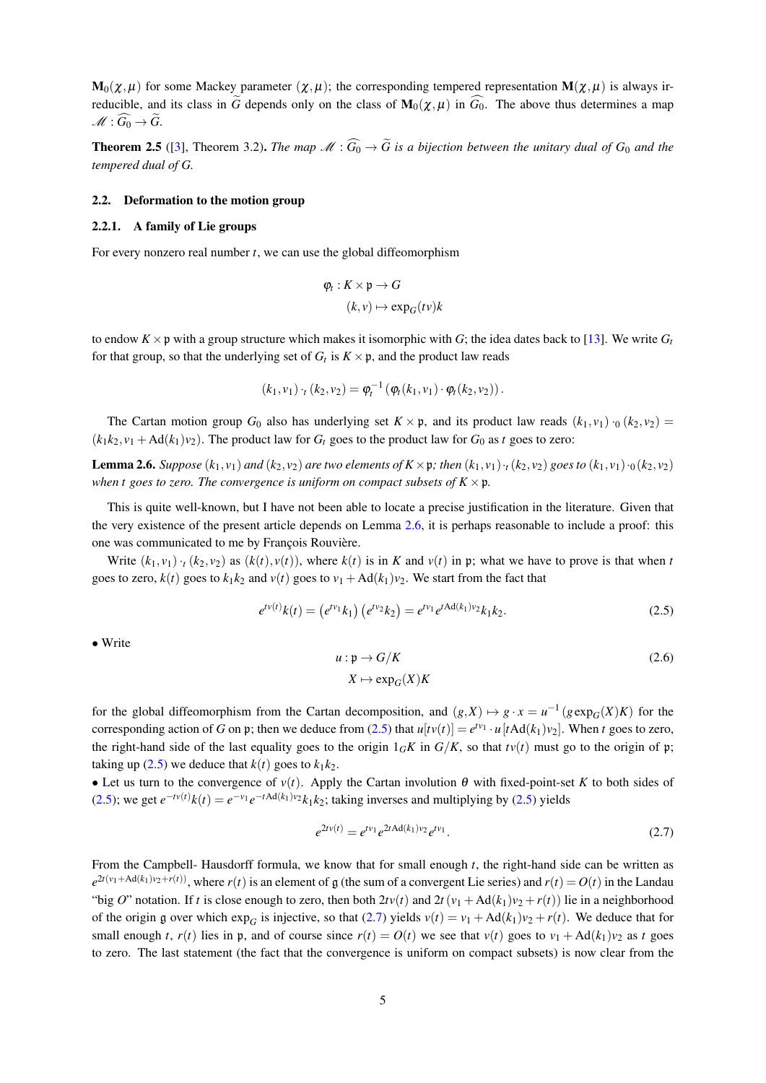$\mathbf{M}_0(\chi,\mu)$  for some Mackey parameter  $(\chi,\mu)$ ; the corresponding tempered representation  $\mathbf{M}(\chi,\mu)$  is always irreducible, and its class in  $\tilde{G}$  depends only on the class of  $\mathbf{M}_0(\chi,\mu)$  in  $\tilde{G}_0$ . The above thus determines a map  $\mathscr{M}:\widehat{G_0}\to\widetilde{G}.$ 

**Theorem 2.5** ([3], Theorem 3.2). The map  $\mathcal{M}: \widehat{G_0} \to \widetilde{G}$  is a bijection between the unitary dual of  $G_0$  and the tempered dual of G.

# 2.2. Deformation to the motion group

#### 2.2.1. A family of Lie groups

For every nonzero real number  $t$ , we can use the global diffeomorphism

$$
\varphi_t: K \times \mathfrak{p} \to G
$$

$$
(k, v) \mapsto \exp_G(tv)k
$$

to endow  $K \times \mathfrak{p}$  with a group structure which makes it isomorphic with G; the idea dates back to [13]. We write  $G_t$ for that group, so that the underlying set of  $G_t$  is  $K \times \mathfrak{p}$ , and the product law reads

$$
(k_1,v_1) \cdot_t (k_2,v_2) = \varphi_t^{-1} (\varphi_t(k_1,v_1) \cdot \varphi_t(k_2,v_2)).
$$

The Cartan motion group G<sub>0</sub> also has underlying set  $K \times \mathfrak{p}$ , and its product law reads  $(k_1, v_1) \cdot_0 (k_2, v_2)$  $(k_1k_2, v_1 + Ad(k_1)v_2)$ . The product law for  $G_t$  goes to the product law for  $G_0$  as t goes to zero:

**Lemma 2.6.** Suppose  $(k_1, v_1)$  and  $(k_2, v_2)$  are two elements of  $K \times \mathfrak{p}$ ; then  $(k_1, v_1) \cdot (k_2, v_2)$  goes to  $(k_1, v_1) \cdot (k_2, v_2)$ when t goes to zero. The convergence is uniform on compact subsets of  $K \times \mathfrak{p}$ .

This is quite well-known, but I have not been able to locate a precise justification in the literature. Given that the very existence of the present article depends on Lemma 2.6, it is perhaps reasonable to include a proof: this one was communicated to me by François Rouvière.

Write  $(k_1, v_1)$  ( $(k_2, v_2)$ ) as  $(k(t), v(t))$ , where  $k(t)$  is in K and  $v(t)$  in p; what we have to prove is that when t goes to zero,  $k(t)$  goes to  $k_1k_2$  and  $v(t)$  goes to  $v_1 + Ad(k_1)v_2$ . We start from the fact that

$$
e^{t^{(t)}}k(t) = \left(e^{t^{(t)}}k_1\right)\left(e^{t^{(t)}}k_2\right) = e^{t^{(t)}}e^{t^{(t)}}k_1k_2. \tag{2.5}
$$

 $\bullet$  Write

$$
u: \mathfrak{p} \to G/K
$$
  

$$
X \mapsto \exp_G(X)K
$$
 (2.6)

for the global diffeomorphism from the Cartan decomposition, and  $(g, X) \mapsto g \cdot x = u^{-1} (g \exp_{G}(X) K)$  for the corresponding action of G on p; then we deduce from (2.5) that  $u[tv(t)] = e^{tv_1} \cdot u[tAd(k_1)v_2]$ . When t goes to zero, the right-hand side of the last equality goes to the origin  $1_GK$  in  $G/K$ , so that  $t\nu(t)$  must go to the origin of p; taking up (2.5) we deduce that  $k(t)$  goes to  $k_1k_2$ .

• Let us turn to the convergence of  $v(t)$ . Apply the Cartan involution  $\theta$  with fixed-point-set K to both sides of (2.5); we get  $e^{-t v(t)}k(t) = e^{-v_1}e^{-tA d(k_1)v_2}k_1k_2$ ; taking inverses and multiplying by (2.5) yields

$$
e^{2tv(t)} = e^{tv_1} e^{2t \text{Ad}(k_1)v_2} e^{tv_1}.
$$
\n(2.7)

From the Campbell- Hausdorff formula, we know that for small enough  $t$ , the right-hand side can be written as  $e^{2t(v_1 + \text{Ad}(k_1)v_2 + r(t))}$ , where  $r(t)$  is an element of g (the sum of a convergent Lie series) and  $r(t) = O(t)$  in the Landau "big O" notation. If t is close enough to zero, then both  $2tv(t)$  and  $2t(v_1 + Ad(k_1)v_2 + r(t))$  lie in a neighborhood of the origin g over which exp<sub>G</sub> is injective, so that (2.7) yields  $v(t) = v_1 + \text{Ad}(k_1)v_2 + r(t)$ . We deduce that for small enough t,  $r(t)$  lies in p, and of course since  $r(t) = O(t)$  we see that  $v(t)$  goes to  $v_1 + \text{Ad}(k_1)v_2$  as t goes to zero. The last statement (the fact that the convergence is uniform on compact subsets) is now clear from the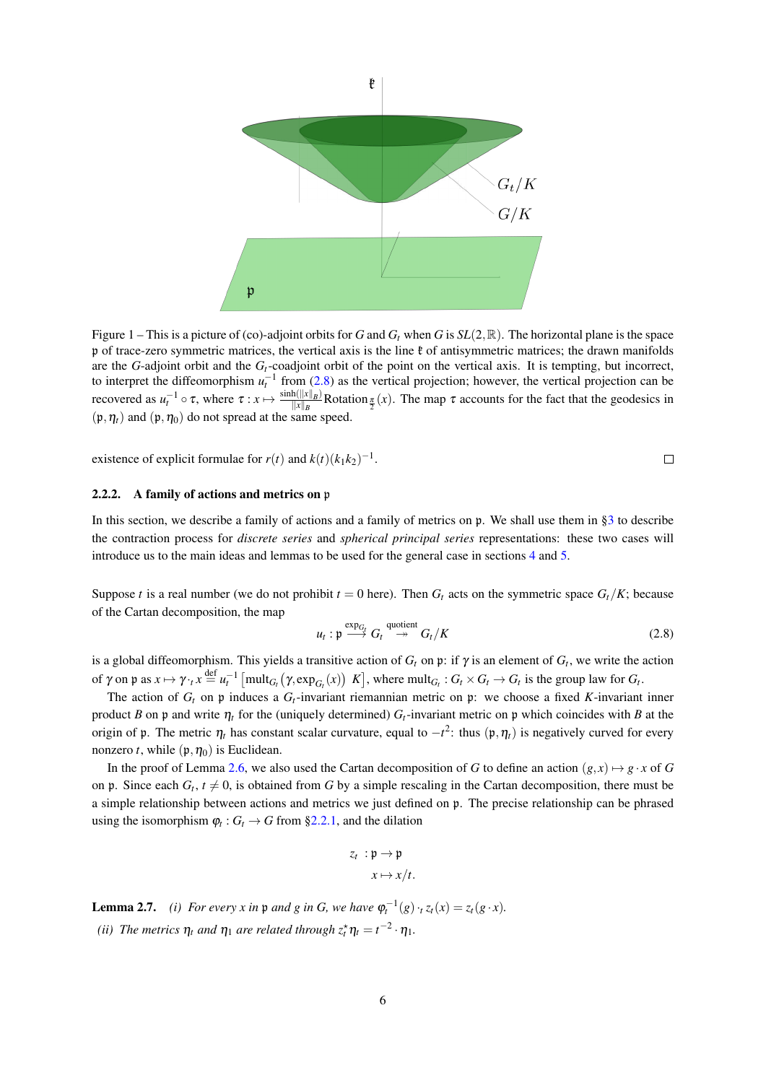

Figure 1 – This is a picture of (co)-adjoint orbits for G and  $G_t$  when G is  $SL(2,\mathbb{R})$ . The horizontal plane is the space p of trace-zero symmetric matrices, the vertical axis is the line  $\ell$  of antisymmetric matrices; the drawn manifolds are the G-adjoint orbit and the  $G_t$ -coadjoint orbit of the point on the vertical axis. It is tempting, but incorrect, to interpret the diffeomorphism  $u_t^{-1}$  from (2.8) as the vertical projection; however, the vertical projection can be recovered as  $u_t^{-1} \circ \tau$ , where  $\tau : x \mapsto \frac{\sinh(|x||_B)}{||x||_B}$ . Rotation  $\frac{\tau}{2}(x)$ . The map  $\tau$  accounts for the fact that the geodesics in  $(\mathfrak{p}, \eta_t)$  and  $(\mathfrak{p}, \eta_0)$  do not spread at the same speed.

existence of explicit formulae for  $r(t)$  and  $k(t)(k_1k_2)^{-1}$ .

 $\Box$ 

#### $2.2.2.$ A family of actions and metrics on p

In this section, we describe a family of actions and a family of metrics on  $\mathfrak p$ . We shall use them in §3 to describe the contraction process for *discrete series* and *spherical principal series* representations: these two cases will introduce us to the main ideas and lemmas to be used for the general case in sections 4 and 5.

Suppose t is a real number (we do not prohibit  $t = 0$  here). Then  $G_t$  acts on the symmetric space  $G_t/K$ ; because of the Cartan decomposition, the map

$$
u_t: \mathfrak{p} \stackrel{\text{exp}_{G_t}}{\longrightarrow} G_t \stackrel{\text{quotient}}{\longrightarrow} G_t/K
$$
 (2.8)

is a global diffeomorphism. This yields a transitive action of  $G_t$  on p: if  $\gamma$  is an element of  $G_t$ , we write the action of  $\gamma$  on  $\mathfrak p$  as  $x \mapsto \gamma \cdot t$ ,  $x \stackrel{\text{def}}{=} u_t^{-1}$  [mult<sub>Gt</sub> ( $\gamma$ , exp<sub>Gt</sub>(x)) K], where mult<sub>Gt</sub> :  $G_t \times G_t \to G_t$  is the group law for  $G_t$ .

The action of  $G_t$  on p induces a  $G_t$ -invariant riemannian metric on p: we choose a fixed K-invariant inner product B on p and write  $\eta_t$  for the (uniquely determined)  $G_t$ -invariant metric on p which coincides with B at the origin of p. The metric  $\eta_t$  has constant scalar curvature, equal to  $-t^2$ : thus  $(\mathfrak{p}, \eta_t)$  is negatively curved for every nonzero t, while  $(\mathfrak{p}, \eta_0)$  is Euclidean.

In the proof of Lemma 2.6, we also used the Cartan decomposition of G to define an action  $(g, x) \mapsto g \cdot x$  of G on p. Since each  $G_t$ ,  $t \neq 0$ , is obtained from G by a simple rescaling in the Cartan decomposition, there must be a simple relationship between actions and metrics we just defined on p. The precise relationship can be phrased using the isomorphism  $\varphi_t$ :  $G_t \to G$  from §2.2.1, and the dilation

$$
z_t : \mathfrak{p} \to \mathfrak{p}
$$

$$
x \mapsto x/t.
$$

**Lemma 2.7.** (i) For every x in p and g in G, we have  $\varphi_t^{-1}(g) \cdot_t z_t(x) = z_t(g \cdot x)$ . (ii) The metrics  $\eta_t$  and  $\eta_1$  are related through  $z_t^* \eta_t = t^{-2} \cdot \eta_1$ .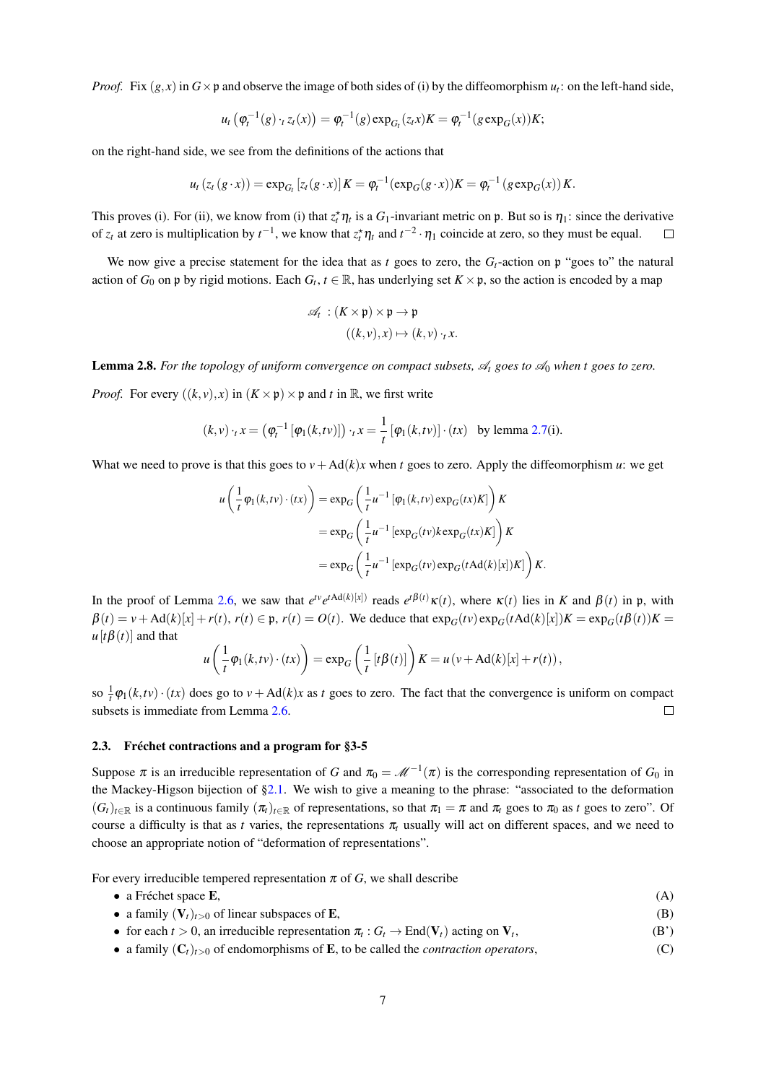*Proof.* Fix  $(g, x)$  in  $G \times \mathfrak{p}$  and observe the image of both sides of (i) by the diffeomorphism  $u_i$ : on the left-hand side,

$$
u_t(\varphi_t^{-1}(g) \cdot_t z_t(x)) = \varphi_t^{-1}(g) \exp_{G_t}(z_t x) K = \varphi_t^{-1}(g \exp_G(x)) K;
$$

on the right-hand side, we see from the definitions of the actions that

$$
u_t(z_t(g \cdot x)) = \exp_{G_t}[z_t(g \cdot x)]K = \varphi_t^{-1}(\exp_G(g \cdot x))K = \varphi_t^{-1}(g \exp_G(x))K.
$$

This proves (i). For (ii), we know from (i) that  $z_t^* \eta_t$  is a  $G_1$ -invariant metric on p. But so is  $\eta_1$ : since the derivative of  $z_t$  at zero is multiplication by  $t^{-1}$ , we know that  $z_t^* \eta_t$  and  $t^{-2} \cdot \eta_1$  coincide at zero, so they must be equal.  $\Box$ 

We now give a precise statement for the idea that as t goes to zero, the  $G_t$ -action on p "goes to" the natural action of  $G_0$  on p by rigid motions. Each  $G_t$ ,  $t \in \mathbb{R}$ , has underlying set  $K \times \mathfrak{p}$ , so the action is encoded by a map

$$
\mathscr{A}_t : (K \times \mathfrak{p}) \times \mathfrak{p} \to \mathfrak{p}
$$

$$
((k, v), x) \mapsto (k, v) \cdot_t x
$$

**Lemma 2.8.** For the topology of uniform convergence on compact subsets,  $\mathcal{A}_t$  goes to  $\mathcal{A}_0$  when t goes to zero.

*Proof.* For every  $((k, v), x)$  in  $(K \times \mathfrak{p}) \times \mathfrak{p}$  and t in  $\mathbb{R}$ , we first write

$$
(k,v)\cdot_t x = \left(\varphi_t^{-1}\left[\varphi_1(k,tv)\right]\right)\cdot_t x = \frac{1}{t}\left[\varphi_1(k,tv)\right]\cdot (tx)
$$
 by lemma 2.7(i)

What we need to prove is that this goes to  $v + Ad(k)x$  when t goes to zero. Apply the diffeomorphism u: we get

$$
u\left(\frac{1}{t}\varphi_1(k,tv)\cdot(tx)\right) = \exp_G\left(\frac{1}{t}u^{-1}\left[\varphi_1(k,tv)\exp_G(tx)K\right]\right)K
$$
  

$$
= \exp_G\left(\frac{1}{t}u^{-1}\left[\exp_G(tv)k\exp_G(tx)K\right]\right)K
$$
  

$$
= \exp_G\left(\frac{1}{t}u^{-1}\left[\exp_G(tv)\exp_G(t\text{Ad}(k)[x])K\right]\right)K.
$$

In the proof of Lemma 2.6, we saw that  $e^{t\nu}e^{t\text{Ad}(k)[x]}$  reads  $e^{t\beta(t)}\kappa(t)$ , where  $\kappa(t)$  lies in K and  $\beta(t)$  in p, with  $\beta(t) = v + \text{Ad}(k)[x] + r(t), r(t) \in \mathfrak{p}, r(t) = O(t)$ . We deduce that  $\exp_G(tv) \exp_G(t \text{Ad}(k)[x])K = \exp_G(t \beta(t))K =$  $u[t\beta(t)]$  and that

$$
u\left(\frac{1}{t}\varphi_1(k,tv)\cdot(tx)\right) = \exp_G\left(\frac{1}{t}\left[t\beta(t)\right]\right)K = u\left(v + \text{Ad}(k)[x] + r(t)\right)
$$

so  $\frac{1}{k}\varphi_1(k,tv)\cdot(tx)$  does go to  $v + \text{Ad}(k)x$  as t goes to zero. The fact that the convergence is uniform on compact subsets is immediate from Lemma 2.6.  $\Box$ 

### 2.3. Fréchet contractions and a program for §3-5

Suppose  $\pi$  is an irreducible representation of G and  $\pi_0 = \mathcal{M}^{-1}(\pi)$  is the corresponding representation of  $G_0$  in the Mackey-Higson bijection of  $\S2.1$ . We wish to give a meaning to the phrase: "associated to the deformation  $(G_t)_{t\in\mathbb{R}}$  is a continuous family  $(\pi_t)_{t\in\mathbb{R}}$  of representations, so that  $\pi_1 = \pi$  and  $\pi_t$  goes to  $\pi_0$  as t goes to zero". Of course a difficulty is that as t varies, the representations  $\pi_t$  usually will act on different spaces, and we need to choose an appropriate notion of "deformation of representations".

For every irreducible tempered representation  $\pi$  of G, we shall describe

- $\bullet$  a Fréchet space E.
- a family  $(V_t)_{t>0}$  of linear subspaces of **E**,  $(B)$

 $(A)$ 

- for each  $t > 0$ , an irreducible representation  $\pi_t : G_t \to \text{End}(V_t)$  acting on  $V_t$ ,  $(B')$
- a family  $(C_t)_{t>0}$  of endomorphisms of **E**, to be called the *contraction operators*,  $(C)$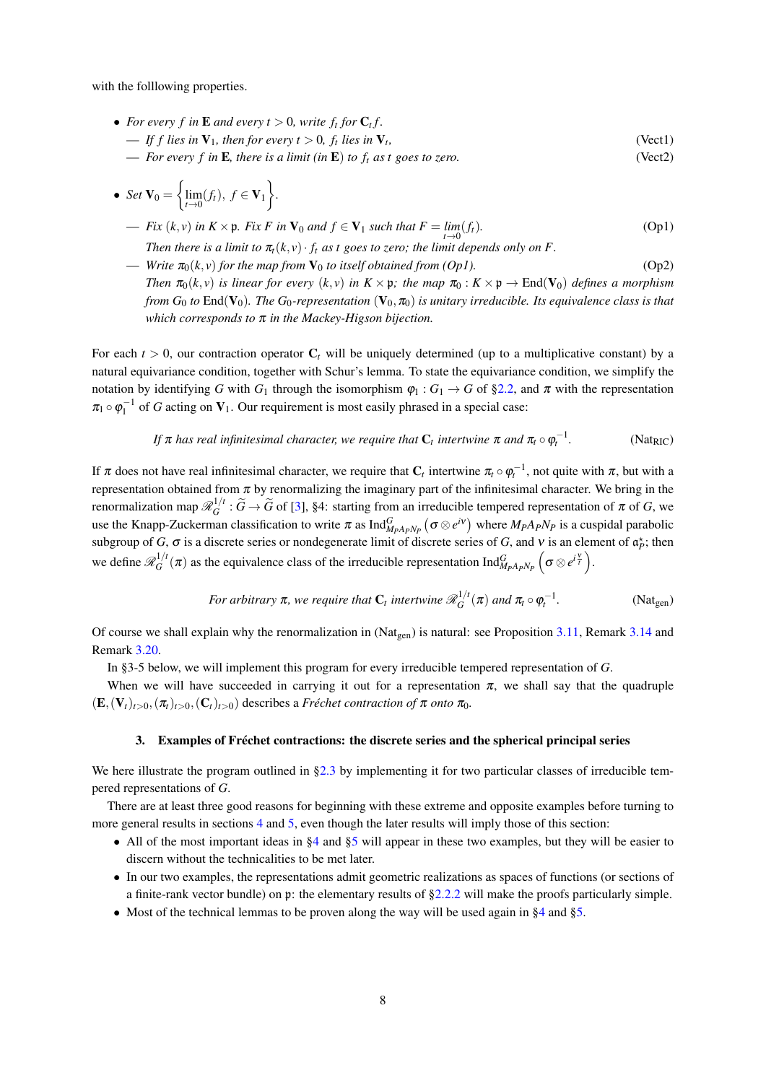with the following properties.

- For every f in **E** and every  $t > 0$ , write  $f_t$  for  $C_t$  f.
	- If f lies in  $V_1$ , then for every  $t > 0$ ,  $f_t$  lies in  $V_t$ ,  $(Vect1)$
	- For every f in **E**, there is a limit (in **E**) to  $f_t$  as t goes to zero.  $(Vect2)$

• Set 
$$
\mathbf{V}_0 = \left\{ \lim_{t \to 0} (f_t), \ f \in \mathbf{V}_1 \right\}.
$$

- Fix  $(k, v)$  in  $K \times \mathfrak{p}$ . Fix F in  $V_0$  and  $f \in V_1$  such that  $F = \lim_{t \to 0} (f_t)$ .  $(Op1)$ Then there is a limit to  $\pi_t(k, v) \cdot f_t$  as t goes to zero; the limit depends only on F.
- Write  $\pi_0(k, v)$  for the map from  $V_0$  to itself obtained from (Op1).  $(Op2)$ Then  $\pi_0(k, v)$  is linear for every  $(k, v)$  in  $K \times \mathfrak{p}$ ; the map  $\pi_0 : K \times \mathfrak{p} \to \text{End}(\mathbf{V}_0)$  defines a morphism from  $G_0$  to End( $V_0$ ). The  $G_0$ -representation  $(V_0, \pi_0)$  is unitary irreducible. Its equivalence class is that which corresponds to  $\pi$  in the Mackey-Higson bijection.

For each  $t > 0$ , our contraction operator  $C_t$  will be uniquely determined (up to a multiplicative constant) by a natural equivariance condition, together with Schur's lemma. To state the equivariance condition, we simplify the notation by identifying G with  $G_1$  through the isomorphism  $\varphi_1: G_1 \to G$  of §2.2, and  $\pi$  with the representation  $\pi_1 \circ \varphi_1^{-1}$  of G acting on  $V_1$ . Our requirement is most easily phrased in a special case:

If 
$$
\pi
$$
 has real infinitesimal character, we require that  $C_t$  intertwine  $\pi$  and  $\pi_t \circ \varphi_t^{-1}$ . (Nat<sub>RIC</sub>)

If  $\pi$  does not have real infinitesimal character, we require that  $C_t$  intertwine  $\pi_t \circ \varphi_t^{-1}$ , not quite with  $\pi$ , but with a representation obtained from  $\pi$  by renormalizing the imaginary part of the infinitesimal character. We bring in the renormalization map  $\mathcal{R}_G^{1/t}$ :  $\widetilde{G} \to \widetilde{G}$  of [3], §4: starting from an irreducible tempered representation of  $\pi$  of G, we use the Knapp-Zuckerman classification to write  $\pi$  as Ind $_{M_pA_pN_p}^G(\sigma \otimes e^{i\nu})$  where  $M_pA_pN_p$  is a cuspidal parabolic subgroup of G,  $\sigma$  is a discrete series or nondegenerate limit of discrete series of G, and v is an element of  $\alpha_p^*$ ; then we define  $\mathcal{R}_G^{1/t}(\pi)$  as the equivalence class of the irreducible representation Ind $_{M_pA_pN_p}^G(\sigma\otimes e^{i\frac{\gamma}{t}})$ .

For arbitrary 
$$
\pi
$$
, we require that  $C_t$  intertwine  $\mathcal{R}_G^{1/t}(\pi)$  and  $\pi_t \circ \varphi_t^{-1}$ . (Nat<sub>gen</sub>)

Of course we shall explain why the renormalization in ( $Nat_{gen}$ ) is natural: see Proposition 3.11, Remark 3.14 and Remark 3.20.

In §3-5 below, we will implement this program for every irreducible tempered representation of  $G$ .

When we will have succeeded in carrying it out for a representation  $\pi$ , we shall say that the quadruple  $(\mathbf{E}, (\mathbf{V}_t)_{t>0}, (\pi_t)_{t>0}, (\mathbf{C}_t)_{t>0})$  describes a Fréchet contraction of  $\pi$  onto  $\pi_0$ .

# 3. Examples of Fréchet contractions: the discrete series and the spherical principal series

We here illustrate the program outlined in  $\S 2.3$  by implementing it for two particular classes of irreducible tempered representations of  $G$ .

There are at least three good reasons for beginning with these extreme and opposite examples before turning to more general results in sections 4 and 5, even though the later results will imply those of this section:

- All of the most important ideas in  $\S 4$  and  $\S 5$  will appear in these two examples, but they will be easier to discern without the technicalities to be met later.
- In our two examples, the representations admit geometric realizations as spaces of functions (or sections of a finite-rank vector bundle) on  $\mathfrak p$ : the elementary results of §2.2.2 will make the proofs particularly simple.
- Most of the technical lemmas to be proven along the way will be used again in  $\S 4$  and  $\S 5$ .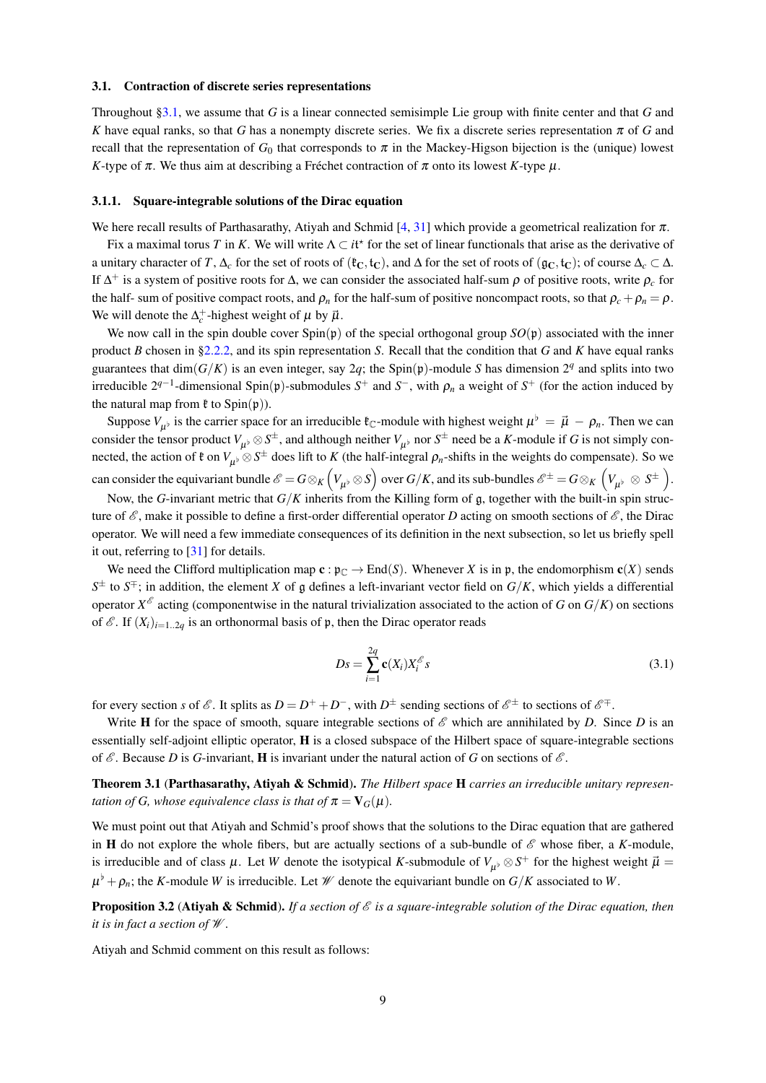#### $3.1.$ **Contraction of discrete series representations**

Throughout §3.1, we assume that G is a linear connected semisimple Lie group with finite center and that G and K have equal ranks, so that G has a nonempty discrete series. We fix a discrete series representation  $\pi$  of G and recall that the representation of  $G_0$  that corresponds to  $\pi$  in the Mackey-Higson bijection is the (unique) lowest K-type of  $\pi$ . We thus aim at describing a Fréchet contraction of  $\pi$  onto its lowest K-type  $\mu$ .

#### 3.1.1. Square-integrable solutions of the Dirac equation

We here recall results of Parthasarathy, Atiyah and Schmid [4, 31] which provide a geometrical realization for  $\pi$ .

Fix a maximal torus T in K. We will write  $\Lambda \subset i^{*}$  for the set of linear functionals that arise as the derivative of a unitary character of T,  $\Delta_c$  for the set of roots of  $({}^{\text{g}}C, {}^{\text{f}}C)$ , and  $\Delta$  for the set of roots of  $({}^{\text{g}}C, {}^{\text{f}}C)$ ; of course  $\Delta_c \subset \Delta$ . If  $\Delta^+$  is a system of positive roots for  $\Delta$ , we can consider the associated half-sum  $\rho$  of positive roots, write  $\rho_c$  for the half- sum of positive compact roots, and  $\rho_n$  for the half-sum of positive noncompact roots, so that  $\rho_c + \rho_n = \rho$ . We will denote the  $\Delta_c^+$ -highest weight of  $\mu$  by  $\vec{\mu}$ .

We now call in the spin double cover  $Spin(p)$  of the special orthogonal group  $SO(p)$  associated with the inner product B chosen in §2.2.2, and its spin representation S. Recall that the condition that G and K have equal ranks guarantees that dim( $G/K$ ) is an even integer, say 2q; the Spin(p)-module S has dimension 2<sup>q</sup> and splits into two irreducible  $2^{q-1}$ -dimensional Spin(p)-submodules  $S^+$  and  $S^-$ , with  $\rho_n$  a weight of  $S^+$  (for the action induced by the natural map from  $\mathfrak k$  to  $Spin(\mathfrak p)$ ).

Suppose  $V_{\mu\nu}$  is the carrier space for an irreducible  $\ell_{\mathbb{C}}$ -module with highest weight  $\mu^{\flat} = \vec{\mu} - \rho_n$ . Then we can consider the tensor product  $V_{\mu\nu} \otimes S^{\pm}$ , and although neither  $V_{\mu\nu}$  nor  $S^{\pm}$  need be a K-module if G is not simply connected, the action of  $\mathfrak{k}$  on  $V_{\mu\nu} \otimes S^{\pm}$  does lift to K (the half-integral  $\rho_n$ -shifts in the weights do compensate). So we can consider the equivariant bundle  $\mathscr{E} = G \otimes_K (V_{\mu^{\flat}} \otimes S)$  over  $G/K$ , and its sub-bundles  $\mathscr{E}^{\pm} = G \otimes_K (V_{\mu^{\flat}} \otimes S^{\pm}).$ 

Now, the G-invariant metric that  $G/K$  inherits from the Killing form of  $\mathfrak g$ , together with the built-in spin structure of  $\mathscr E$ , make it possible to define a first-order differential operator D acting on smooth sections of  $\mathscr E$ , the Dirac operator. We will need a few immediate consequences of its definition in the next subsection, so let us briefly spell it out, referring to  $[31]$  for details.

We need the Clifford multiplication map  $\mathbf{c} : \mathfrak{p}_{\mathbb{C}} \to \text{End}(S)$ . Whenever X is in p, the endomorphism  $\mathbf{c}(X)$  sends  $S^{\pm}$  to  $S^{\mp}$ ; in addition, the element X of g defines a left-invariant vector field on  $G/K$ , which yields a differential operator  $X^{\delta}$  acting (componentwise in the natural trivialization associated to the action of G on  $G/K$ ) on sections of  $\mathscr{E}$ . If  $(X_i)_{i=1..2q}$  is an orthonormal basis of  $\mathfrak{p}$ , then the Dirac operator reads

$$
Ds = \sum_{i=1}^{2q} \mathbf{c}(X_i) X_i^{\mathcal{E}} s \tag{3.1}
$$

for every section s of  $\mathscr E$ . It splits as  $D = D^+ + D^-$ , with  $D^{\pm}$  sending sections of  $\mathscr E^{\pm}$  to sections of  $\mathscr E^{\mp}$ .

Write H for the space of smooth, square integrable sections of  $\mathscr E$  which are annihilated by D. Since D is an essentially self-adjoint elliptic operator, **H** is a closed subspace of the Hilbert space of square-integrable sections of  $\mathscr E$ . Because D is G-invariant, **H** is invariant under the natural action of G on sections of  $\mathscr E$ .

Theorem 3.1 (Parthasarathy, Ativah & Schmid). The Hilbert space H carries an irreducible unitary representation of G, whose equivalence class is that of  $\pi = V_G(\mu)$ .

We must point out that Atiyah and Schmid's proof shows that the solutions to the Dirac equation that are gathered in H do not explore the whole fibers, but are actually sections of a sub-bundle of  $\mathscr E$  whose fiber, a K-module, is irreducible and of class  $\mu$ . Let W denote the isotypical K-submodule of  $V_{\mu\nu} \otimes S^+$  for the highest weight  $\vec{\mu}$  =  $\mu^{\flat} + \rho_n$ ; the K-module W is irreducible. Let W denote the equivariant bundle on  $G/K$  associated to W.

**Proposition 3.2 (Atiyah & Schmid).** If a section of  $\mathscr E$  is a square-integrable solution of the Dirac equation, then it is in fact a section of  $W$ .

Atiyah and Schmid comment on this result as follows: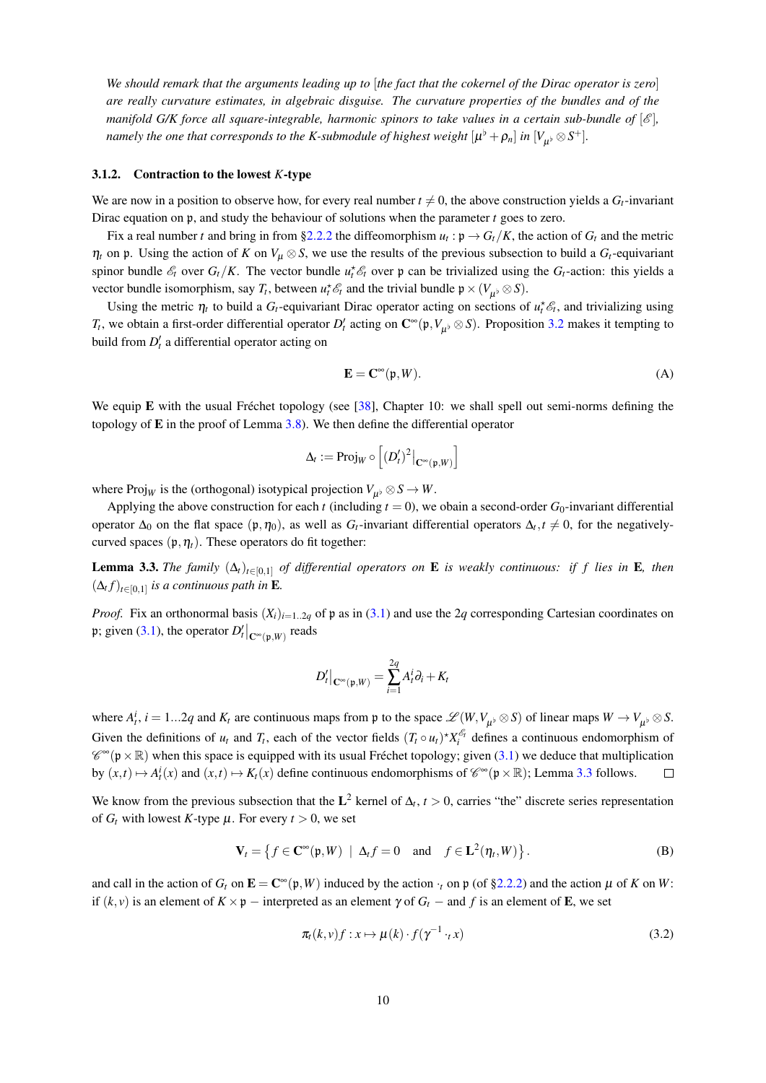We should remark that the arguments leading up to [the fact that the cokernel of the Dirac operator is zero] are really curvature estimates, in algebraic disguise. The curvature properties of the bundles and of the manifold G/K force all square-integrable, harmonic spinors to take values in a certain sub-bundle of  $[\mathscr{E}]$ , namely the one that corresponds to the K-submodule of highest weight  $[\mu^{\flat} + \rho_n]$  in  $[V_{\mu^{\flat}} \otimes S^+]$ .

# 3.1.2. Contraction to the lowest  $K$ -type

We are now in a position to observe how, for every real number  $t \neq 0$ , the above construction yields a  $G_t$ -invariant Dirac equation on  $\mathfrak{p}$ , and study the behaviour of solutions when the parameter  $t$  goes to zero.

Fix a real number t and bring in from §2.2.2 the diffeomorphism  $u_t$ :  $p \to G_t/K$ , the action of  $G_t$  and the metric  $\eta_t$  on p. Using the action of K on  $V_\mu \otimes S$ , we use the results of the previous subsection to build a  $G_t$ -equivariant spinor bundle  $\mathcal{E}_t$  over  $G_t/K$ . The vector bundle  $u_t^* \mathcal{E}_t$  over p can be trivialized using the  $G_t$ -action: this yields a vector bundle isomorphism, say  $T_t$ , between  $u_t^* \mathcal{E}_t$  and the trivial bundle  $\mathfrak{p} \times (V_{\mu} \otimes S)$ .

Using the metric  $\eta_t$  to build a  $G_t$ -equivariant Dirac operator acting on sections of  $u_t^* \mathcal{E}_t$ , and trivializing using  $T_t$ , we obtain a first-order differential operator  $D'_t$  acting on  $\mathbb{C}^\infty(\mathfrak{p}, V_u \otimes S)$ . Proposition 3.2 makes it tempting to build from  $D'_t$  a differential operator acting on

$$
\mathbf{E} = \mathbf{C}^{\infty}(\mathfrak{p}, W). \tag{A}
$$

We equip E with the usual Fréchet topology (see [38], Chapter 10: we shall spell out semi-norms defining the topology of  $E$  in the proof of Lemma 3.8). We then define the differential operator

$$
\Delta_t := \mathrm{Proj}_W \circ \left[ (D'_t)^2 \big|_{\mathbf{C}^\infty(\mathfrak{p}, W)} \right]
$$

where  $\text{Proj}_W$  is the (orthogonal) isotypical projection  $V_{\mu\nu} \otimes S \to W$ .

Applying the above construction for each t (including  $t = 0$ ), we obain a second-order  $G_0$ -invariant differential operator  $\Delta_0$  on the flat space  $(\mathfrak{p}, \eta_0)$ , as well as  $G_t$ -invariant differential operators  $\Delta_t, t \neq 0$ , for the negativelycurved spaces  $(\mathfrak{p}, \eta_t)$ . These operators do fit together:

**Lemma 3.3.** The family  $(\Delta_t)_{t\in[0,1]}$  of differential operators on **E** is weakly continuous: if f lies in **E**, then  $(\Delta_t f)_{t \in [0,1]}$  is a continuous path in **E**.

*Proof.* Fix an orthonormal basis  $(X_i)_{i=1..2q}$  of p as in (3.1) and use the 2q corresponding Cartesian coordinates on p; given (3.1), the operator  $D_t'|_{\mathbb{C}^\infty(\mathfrak{p},W)}$  reads

$$
D'_t\big|_{\mathbf{C}^\infty(\mathfrak{p},W)} = \sum_{i=1}^{2q} A^i_t \partial_i + K_t
$$

where  $A_t^i$ ,  $i = 1...2q$  and  $K_t$  are continuous maps from p to the space  $\mathscr{L}(W, V_{\mu^{\flat}} \otimes S)$  of linear maps  $W \to V_{\mu^{\flat}} \otimes S$ . Given the definitions of  $u_t$  and  $T_t$ , each of the vector fields  $(T_t \circ u_t)^* X_i^{\mathscr{E}_t}$  defines a continuous endomorphism of  $\mathscr{C}^{\infty}(\mathfrak{p}\times\mathbb{R})$  when this space is equipped with its usual Fréchet topology; given (3.1) we deduce that multiplication by  $(x,t) \mapsto A_t^i(x)$  and  $(x,t) \mapsto K_t(x)$  define continuous endomorphisms of  $\mathscr{C}^{\infty}(\mathfrak{p} \times \mathbb{R})$ ; Lemma 3.3 follows.  $\Box$ 

We know from the previous subsection that the  $L^2$  kernel of  $\Delta_t$ ,  $t > 0$ , carries "the" discrete series representation of  $G_t$  with lowest K-type  $\mu$ . For every  $t > 0$ , we set

$$
\mathbf{V}_t = \left\{ f \in \mathbf{C}^{\infty}(\mathfrak{p}, W) \mid \Delta_t f = 0 \quad \text{and} \quad f \in \mathbf{L}^2(\eta_t, W) \right\}.
$$
 (B)

and call in the action of  $G_t$  on  $\mathbf{E} = \mathbf{C}^{\infty}(\mathfrak{p}, W)$  induced by the action  $\cdot_t$  on p (of §2.2.2) and the action  $\mu$  of K on W: if  $(k, v)$  is an element of  $K \times \mathfrak{p}$  – interpreted as an element  $\gamma$  of  $G_t$  – and f is an element of **E**, we set

$$
\pi_t(k,\nu)f: x \mapsto \mu(k) \cdot f(\gamma^{-1} \cdot_t x) \tag{3.2}
$$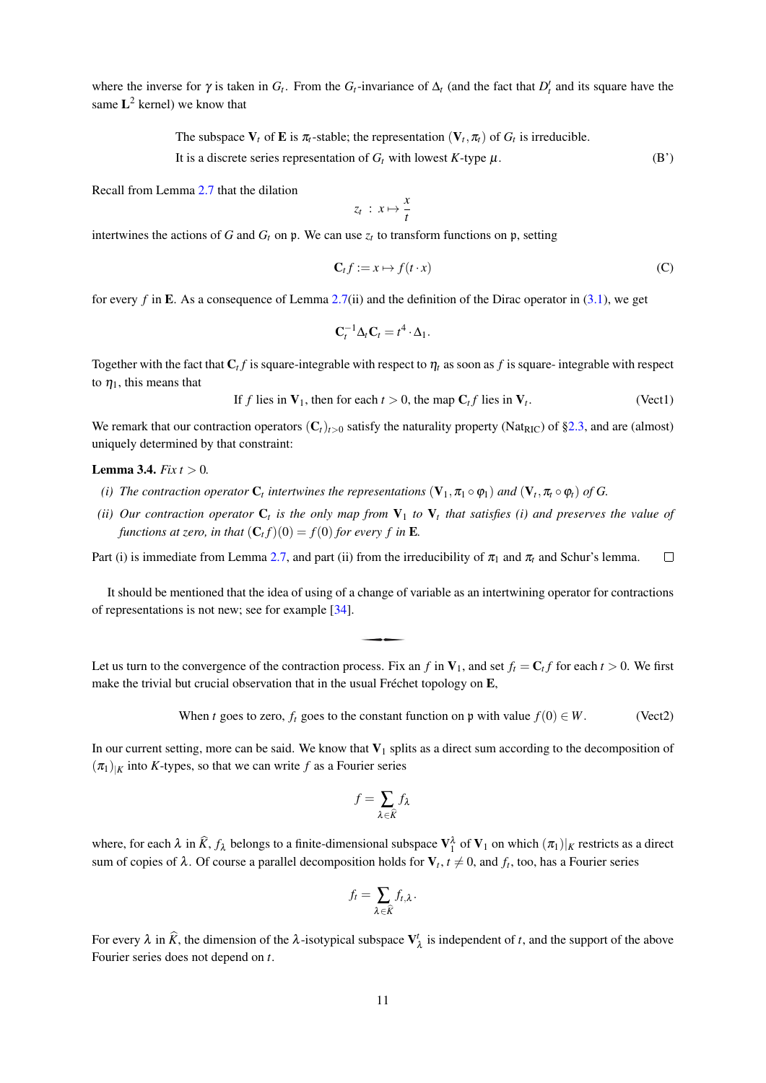where the inverse for  $\gamma$  is taken in  $G_t$ . From the  $G_t$ -invariance of  $\Delta_t$  (and the fact that  $D'_t$  and its square have the same  $L^2$  kernel) we know that

> The subspace  $V_t$  of **E** is  $\pi_t$ -stable; the representation  $(V_t, \pi_t)$  of  $G_t$  is irreducible. It is a discrete series representation of  $G_t$  with lowest K-type  $\mu$ .  $(B')$

Recall from Lemma 2.7 that the dilation

$$
z_t\;:\;x\mapsto \frac{x}{t}
$$

intertwines the actions of G and  $G_t$  on p. We can use  $z_t$  to transform functions on p, setting

$$
\mathbf{C}_t f := x \mapsto f(t \cdot x) \tag{C}
$$

for every f in E. As a consequence of Lemma 2.7(ii) and the definition of the Dirac operator in  $(3.1)$ , we get

$$
\mathbf{C}_t^{-1} \Delta_t \mathbf{C}_t = t^4 \cdot \Delta_1.
$$

Together with the fact that  $C_t f$  is square-integrable with respect to  $\eta_t$  as soon as f is square-integrable with respect to  $\eta_1$ , this means that

If f lies in 
$$
V_1
$$
, then for each  $t > 0$ , the map  $C_t f$  lies in  $V_t$ . (Vect1)

We remark that our contraction operators  $(C_t)_{t>0}$  satisfy the naturality property (Nat<sub>RIC</sub>) of §2.3, and are (almost) uniquely determined by that constraint:

# **Lemma 3.4.** *Fix*  $t > 0$ .

- (i) The contraction operator  $C_t$  intertwines the representations  $(V_1, \pi_1 \circ \varphi_1)$  and  $(V_t, \pi_t \circ \varphi_t)$  of G.
- (ii) Our contraction operator  $C_t$  is the only map from  $V_1$  to  $V_t$  that satisfies (i) and preserves the value of functions at zero, in that  $(C_t f)(0) = f(0)$  for every f in **E**.

Part (i) is immediate from Lemma 2.7, and part (ii) from the irreducibility of  $\pi_1$  and  $\pi_t$  and Schur's lemma.  $\Box$ 

It should be mentioned that the idea of using of a change of variable as an intertwining operator for contractions of representations is not new; see for example  $[34]$ .

Let us turn to the convergence of the contraction process. Fix an f in  $V_1$ , and set  $f_i = C_i f$  for each  $t > 0$ . We first make the trivial but crucial observation that in the usual Fréchet topology on E,

> When t goes to zero,  $f_t$  goes to the constant function on p with value  $f(0) \in W$ .  $(Vect2)$

In our current setting, more can be said. We know that  $V_1$  splits as a direct sum according to the decomposition of  $(\pi_1)_{|K}$  into K-types, so that we can write f as a Fourier series

$$
f = \sum_{\lambda \in \widehat{K}} f_{\lambda}
$$

where, for each  $\lambda$  in  $\hat{K}$ ,  $f_{\lambda}$  belongs to a finite-dimensional subspace  $V_1^{\lambda}$  of  $V_1$  on which  $(\pi_1)|_K$  restricts as a direct sum of copies of  $\lambda$ . Of course a parallel decomposition holds for  $V_t$ ,  $t \neq 0$ , and  $f_t$ , too, has a Fourier series

$$
f_t = \sum_{\lambda \in \widehat{K}} f_{t,\lambda}.
$$

For every  $\lambda$  in  $\hat{K}$ , the dimension of the  $\lambda$ -isotypical subspace  $V^t_{\lambda}$  is independent of t, and the support of the above Fourier series does not depend on  $t$ .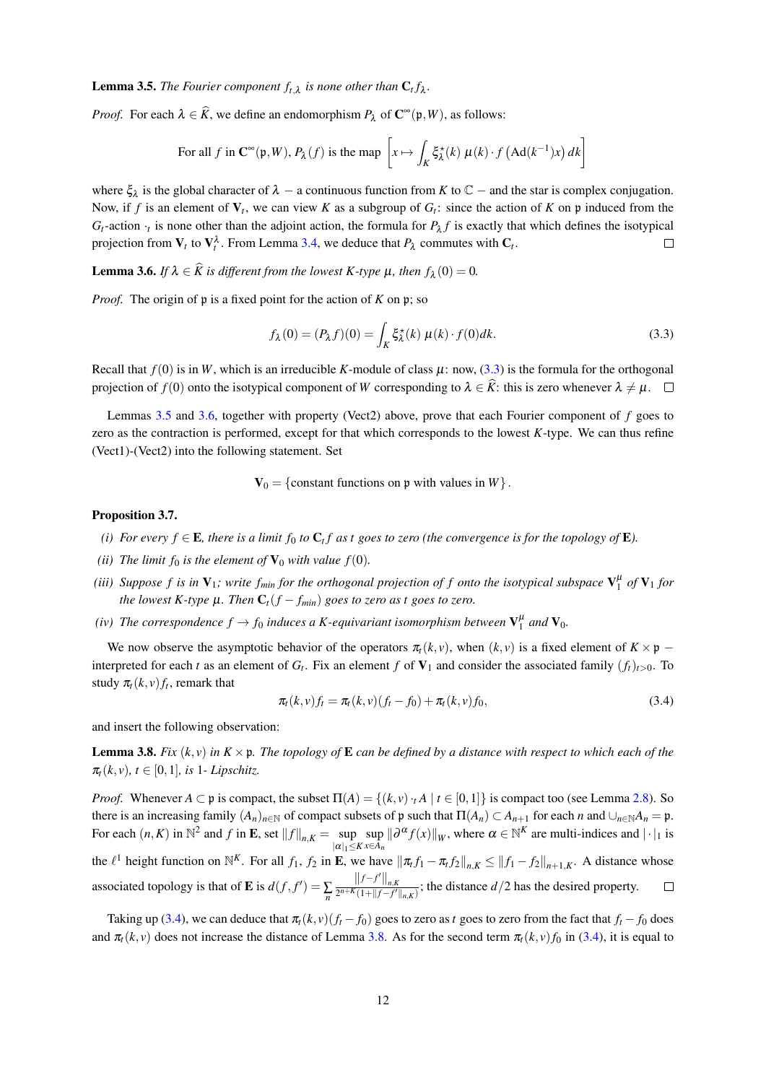**Lemma 3.5.** The Fourier component  $f_{t,\lambda}$  is none other than  $C_t f_{\lambda}$ .

*Proof.* For each  $\lambda \in \hat{K}$ , we define an endomorphism  $P_{\lambda}$  of  $\mathbb{C}^{\infty}(\mathfrak{p},W)$ , as follows:

For all 
$$
f
$$
 in  $\mathbb{C}^{\infty}(\mathfrak{p}, W)$ ,  $P_{\lambda}(f)$  is the map  $\left[x \mapsto \int_{K} \xi_{\lambda}^{*}(k) \mu(k) \cdot f(\text{Ad}(k^{-1})x) dk\right]$ 

where  $\xi_{\lambda}$  is the global character of  $\lambda$  – a continuous function from K to  $\mathbb{C}$  – and the star is complex conjugation. Now, if f is an element of  $V_t$ , we can view K as a subgroup of  $G_t$ : since the action of K on p induced from the  $G_t$ -action  $\cdot_t$  is none other than the adjoint action, the formula for  $P_\lambda f$  is exactly that which defines the isotypical projection from  $V_t$  to  $V_t^{\lambda}$ . From Lemma 3.4, we deduce that  $P_{\lambda}$  commutes with  $C_t$ .  $\Box$ 

**Lemma 3.6.** If  $\lambda \in \hat{K}$  is different from the lowest K-type  $\mu$ , then  $f_{\lambda}(0) = 0$ .

*Proof.* The origin of  $\mathfrak p$  is a fixed point for the action of K on  $\mathfrak p$ ; so

$$
f_{\lambda}(0) = (P_{\lambda}f)(0) = \int_{K} \xi_{\lambda}^{*}(k) \mu(k) \cdot f(0)dk.
$$
 (3.3)

Recall that  $f(0)$  is in W, which is an irreducible K-module of class  $\mu$ : now, (3.3) is the formula for the orthogonal projection of  $f(0)$  onto the isotypical component of W corresponding to  $\lambda \in \hat{K}$ : this is zero whenever  $\lambda \neq \mu$ .

Lemmas 3.5 and 3.6, together with property (Vect2) above, prove that each Fourier component of  $f$  goes to zero as the contraction is performed, except for that which corresponds to the lowest K-type. We can thus refine (Vect1)-(Vect2) into the following statement. Set

 $V_0 = \{$  constant functions on p with values in W  $\}.$ 

# Proposition 3.7.

- (i) For every  $f \in \mathbf{E}$ , there is a limit  $f_0$  to  $\mathbf{C}_t f$  as t goes to zero (the convergence is for the topology of  $\mathbf{E}$ ).
- (ii) The limit  $f_0$  is the element of  $\mathbf{V}_0$  with value  $f(0)$ .
- (iii) Suppose f is in  $V_1$ ; write  $f_{min}$  for the orthogonal projection of f onto the isotypical subspace  $V_1^{\mu}$  of  $V_1$  for the lowest K-type  $\mu$ . Then  $C_t(f - f_{min})$  goes to zero as t goes to zero.
- (iv) The correspondence  $f \to f_0$  induces a K-equivariant isomorphism between  $V_1^{\mu}$  and  $V_0$ .

We now observe the asymptotic behavior of the operators  $\pi_t(k, v)$ , when  $(k, v)$  is a fixed element of  $K \times \mathfrak{p}$  – interpreted for each t as an element of  $G_t$ . Fix an element f of  $V_1$  and consider the associated family  $(f_t)_{t>0}$ . To study  $\pi_t(k, v) f_t$ , remark that

$$
\pi_t(k, v)f_t = \pi_t(k, v)(f_t - f_0) + \pi_t(k, v)f_0,
$$
\n(3.4)

and insert the following observation:

**Lemma 3.8.** Fix  $(k, y)$  in  $K \times \mathfrak{p}$ . The topology of **E** can be defined by a distance with respect to which each of the  $\pi_t(k, v)$ ,  $t \in [0, 1]$ , is 1- Lipschitz.

*Proof.* Whenever  $A \subset \mathfrak{p}$  is compact, the subset  $\Pi(A) = \{(k, v) \cdot A \mid t \in [0, 1]\}$  is compact too (see Lemma 2.8). So there is an increasing family  $(A_n)_{n \in \mathbb{N}}$  of compact subsets of p such that  $\Pi(A_n) \subset A_{n+1}$  for each n and  $\bigcup_{n \in \mathbb{N}} A_n = \mathfrak{p}$ . For each  $(n, K)$  in  $\mathbb{N}^2$  and  $f$  in **E**, set  $||f||_{n,K} = \sup_{|\alpha|_1 \le K} \sup_{x \in A_n} ||\partial^{\alpha} f(x)||_W$ , where  $\alpha \in \mathbb{N}^K$  are multi-indices and  $|\cdot|_1$  is the  $\ell^1$  height function on  $\mathbb{N}^K$ . For all  $f_1, f_2$  in **E**, we h associated topology is that of **E** is  $d(f, f') = \sum_{n} \frac{||f - f'||_{n,K}}{2^{n+K}(1 + ||f - f'||_{n,K})}$ ; the distance  $d/2$  has the desired property.  $\Box$ 

Taking up (3.4), we can deduce that  $\pi_t(k, v)(f_t - f_0)$  goes to zero as t goes to zero from the fact that  $f_t - f_0$  does and  $\pi_t(k, v)$  does not increase the distance of Lemma 3.8. As for the second term  $\pi_t(k, v) f_0$  in (3.4), it is equal to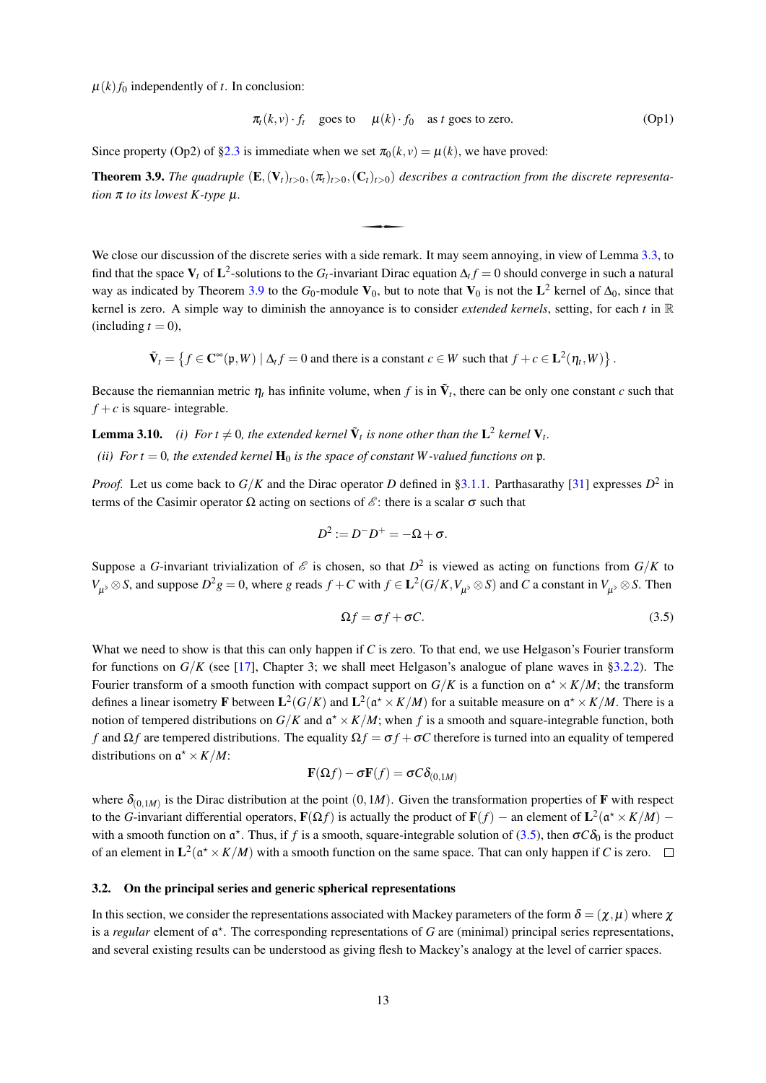$\mu(k) f_0$  independently of t. In conclusion:

$$
\pi_t(k, v) \cdot f_t \quad \text{goes to} \quad \mu(k) \cdot f_0 \quad \text{as } t \text{ goes to zero.} \tag{Op1}
$$

Since property (Op2) of §2.3 is immediate when we set  $\pi_0(k, y) = u(k)$ , we have proved:

**Theorem 3.9.** The quadruple  $(E, (V_t)_{t>0}, (\pi_t)_{t>0}, (C_t)_{t>0})$  describes a contraction from the discrete representation  $\pi$  to its lowest K-type  $\mu$ .

We close our discussion of the discrete series with a side remark. It may seem annoying, in view of Lemma 3.3, to find that the space  $V_t$  of  $L^2$ -solutions to the  $G_t$ -invariant Dirac equation  $\Delta_t f = 0$  should converge in such a natural way as indicated by Theorem 3.9 to the  $G_0$ -module  $V_0$ , but to note that  $V_0$  is not the  $L^2$  kernel of  $\Delta_0$ , since that kernel is zero. A simple way to diminish the annoyance is to consider *extended kernels*, setting, for each t in  $\mathbb R$ (including  $t = 0$ ),

$$
\tilde{\mathbf{V}}_t = \{ f \in \mathbf{C}^\infty(\mathfrak{p}, W) \mid \Delta_t f = 0 \text{ and there is a constant } c \in W \text{ such that } f + c \in \mathbf{L}^2(\eta_t, W) \}
$$

Because the riemannian metric  $\eta_t$  has infinite volume, when f is in  $\tilde{V}_t$ , there can be only one constant c such that  $f + c$  is square-integrable.

**Lemma 3.10.** (i) For  $t \neq 0$ , the extended kernel  $\tilde{\mathbf{V}}_t$  is none other than the  $\mathbf{L}^2$  kernel  $\mathbf{V}_t$ .

(ii) For  $t = 0$ , the extended kernel  $H_0$  is the space of constant W-valued functions on p.

*Proof.* Let us come back to  $G/K$  and the Dirac operator D defined in §3.1.1. Parthasarathy [31] expresses  $D^2$  in terms of the Casimir operator  $\Omega$  acting on sections of  $\mathscr{E}$ : there is a scalar  $\sigma$  such that

$$
D^2:=D^-D^+=-\Omega+\sigma.
$$

Suppose a G-invariant trivialization of  $\mathscr E$  is chosen, so that  $D^2$  is viewed as acting on functions from  $G/K$  to  $V_{\mu\nu}\otimes S$ , and suppose  $D^2g=0$ , where g reads  $f+C$  with  $f\in L^2(G/K,V_{\mu\nu}\otimes S)$  and C a constant in  $V_{\mu\nu}\otimes S$ . Then

$$
\Omega f = \sigma f + \sigma C. \tag{3.5}
$$

What we need to show is that this can only happen if C is zero. To that end, we use Helgason's Fourier transform for functions on  $G/K$  (see [17], Chapter 3; we shall meet Helgason's analogue of plane waves in §3.2.2). The Fourier transform of a smooth function with compact support on  $G/K$  is a function on  $\mathfrak{a}^* \times K/M$ ; the transform defines a linear isometry **F** between  $L^2(G/K)$  and  $L^2(\mathfrak{a}^* \times K/M)$  for a suitable measure on  $\mathfrak{a}^* \times K/M$ . There is a notion of tempered distributions on  $G/K$  and  $\mathfrak{a}^* \times K/M$ ; when f is a smooth and square-integrable function, both f and  $\Omega f$  are tempered distributions. The equality  $\Omega f = \sigma f + \sigma C$  therefore is turned into an equality of tempered distributions on  $\mathfrak{a}^* \times K/M$ :

$$
\mathbf{F}(\Omega f) - \sigma \mathbf{F}(f) = \sigma C \delta_{(0,1M)}
$$

where  $\delta_{(0,1M)}$  is the Dirac distribution at the point  $(0,1M)$ . Given the transformation properties of **F** with respect to the G-invariant differential operators,  $F(\Omega f)$  is actually the product of  $F(f)$  – an element of  $L^2(\mathfrak{a}^* \times K/M)$  – with a smooth function on  $\alpha^*$ . Thus, if f is a smooth, square-integrable solution of (3.5), then  $\sigma C\delta_0$  is the product of an element in  $L^2(\mathfrak{a}^* \times K/M)$  with a smooth function on the same space. That can only happen if C is zero.  $\square$ 

## 3.2. On the principal series and generic spherical representations

In this section, we consider the representations associated with Mackey parameters of the form  $\delta = (\chi, \mu)$  where  $\chi$ is a *regular* element of  $\mathfrak{a}^*$ . The corresponding representations of G are (minimal) principal series representations, and several existing results can be understood as giving flesh to Mackey's analogy at the level of carrier spaces.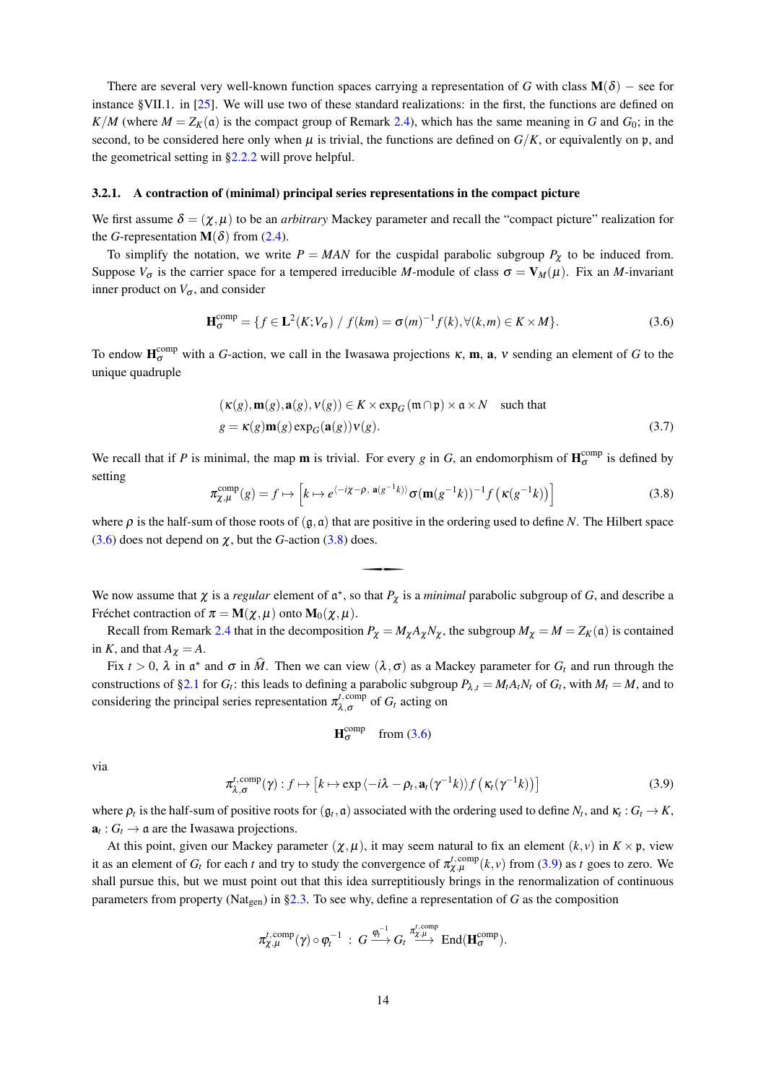There are several very well-known function spaces carrying a representation of G with class  $M(\delta)$  – see for instance §VII.1. in [25]. We will use two of these standard realizations: in the first, the functions are defined on  $K/M$  (where  $M = Z_K(\mathfrak{a})$  is the compact group of Remark 2.4), which has the same meaning in G and  $G_0$ ; in the second, to be considered here only when  $\mu$  is trivial, the functions are defined on  $G/K$ , or equivalently on p, and the geometrical setting in  $\S2.2.2$  will prove helpful.

#### 3.2.1. A contraction of (minimal) principal series representations in the compact picture

We first assume  $\delta = (\chi, \mu)$  to be an *arbitrary* Mackey parameter and recall the "compact picture" realization for the G-representation  $\mathbf{M}(\delta)$  from (2.4).

To simplify the notation, we write  $P = MAN$  for the cuspidal parabolic subgroup  $P_{\chi}$  to be induced from. Suppose  $V_{\sigma}$  is the carrier space for a tempered irreducible M-module of class  $\sigma = V_M(\mu)$ . Fix an M-invariant inner product on  $V_{\sigma}$ , and consider

$$
\mathbf{H}_{\sigma}^{\text{comp}} = \{ f \in \mathbf{L}^{2}(K; V_{\sigma}) / f(km) = \sigma(m)^{-1} f(k), \forall (k, m) \in K \times M \}.
$$
 (3.6)

To endow  $H_{\sigma}^{comp}$  with a G-action, we call in the Iwasawa projections  $\kappa$ , **m**, **a**,  $\nu$  sending an element of G to the unique quadruple

$$
(\kappa(g), \mathbf{m}(g), \mathbf{a}(g), \mathbf{v}(g)) \in K \times \exp_G(\mathfrak{m} \cap \mathfrak{p}) \times \mathfrak{a} \times N \quad \text{such that}
$$
  
 
$$
g = \kappa(g)\mathbf{m}(g)\exp_G(\mathbf{a}(g))\mathbf{v}(g).
$$
 (3.7)

We recall that if P is minimal, the map **m** is trivial. For every g in G, an endomorphism of  $H_{\sigma}^{comp}$  is defined by setting

$$
\pi_{\chi,\mu}^{\text{comp}}(g) = f \mapsto \left[ k \mapsto e^{\langle -i\chi - \rho, \ \mathbf{a}(g^{-1}k) \rangle} \sigma(\mathbf{m}(g^{-1}k))^{-1} f\left(\kappa(g^{-1}k)\right) \right]
$$
(3.8)

where  $\rho$  is the half-sum of those roots of  $(g, \mathfrak{a})$  that are positive in the ordering used to define N. The Hilbert space  $(3.6)$  does not depend on  $\chi$ , but the G-action  $(3.8)$  does.

We now assume that  $\chi$  is a *regular* element of  $\mathfrak{a}^*$ , so that  $P_{\chi}$  is a *minimal* parabolic subgroup of G, and describe a Fréchet contraction of  $\pi = M(\chi, \mu)$  onto  $M_0(\chi, \mu)$ .

Recall from Remark 2.4 that in the decomposition  $P_{\chi} = M_{\chi} A_{\chi} N_{\chi}$ , the subgroup  $M_{\chi} = M = Z_K(\mathfrak{a})$  is contained in K, and that  $A_{\chi} = A$ .

Fix  $t > 0$ ,  $\lambda$  in  $\mathfrak{a}^*$  and  $\sigma$  in M. Then we can view  $(\lambda, \sigma)$  as a Mackey parameter for  $G_t$  and run through the constructions of §2.1 for  $G_t$ : this leads to defining a parabolic subgroup  $P_{\lambda,t} = M_t A_t N_t$  of  $G_t$ , with  $M_t = M$ , and to considering the principal series representation  $\pi_{\lambda,\sigma}^{t,\text{comp}}$  of  $G_t$  acting on

$$
H_{\sigma}^{comp} \quad from (3.6)
$$

via

$$
\pi_{\lambda,\sigma}^{t,\text{comp}}(\gamma):f\mapsto\left[k\mapsto\exp\left\langle-i\lambda-\rho_{t},\mathbf{a}_{t}(\gamma^{-1}k)\right\rangle f\left(\kappa_{t}(\gamma^{-1}k)\right)\right]
$$
(3.9)

where  $\rho_t$  is the half-sum of positive roots for  $(q_t, a)$  associated with the ordering used to define  $N_t$ , and  $\kappa_t : G_t \to K$ ,  $\mathbf{a}_t: G_t \to \mathfrak{a}$  are the Iwasawa projections.

At this point, given our Mackey parameter  $(\chi, \mu)$ , it may seem natural to fix an element  $(k, v)$  in  $K \times \mathfrak{p}$ , view it as an element of  $G_t$  for each t and try to study the convergence of  $\pi_{\chi,\mu}^{t,\text{comp}}(k, v)$  from (3.9) as t goes to zero. We shall pursue this, but we must point out that this idea surreptitiously brings in the renormalization of continuous parameters from property (Nat<sub>gen</sub>) in §2.3. To see why, define a representation of G as the composition

$$
\pi^{t,\mathrm{comp}}_{\chi,\mu}(\gamma) \circ \varphi_t^{-1} \; : \; G \xrightarrow{\varphi_t^{-1}} G_t \xrightarrow{\pi^{t,\mathrm{comp}}_{\chi,\mu}} \mathrm{End}(\mathbf{H}_{\sigma}^{\mathrm{comp}}).
$$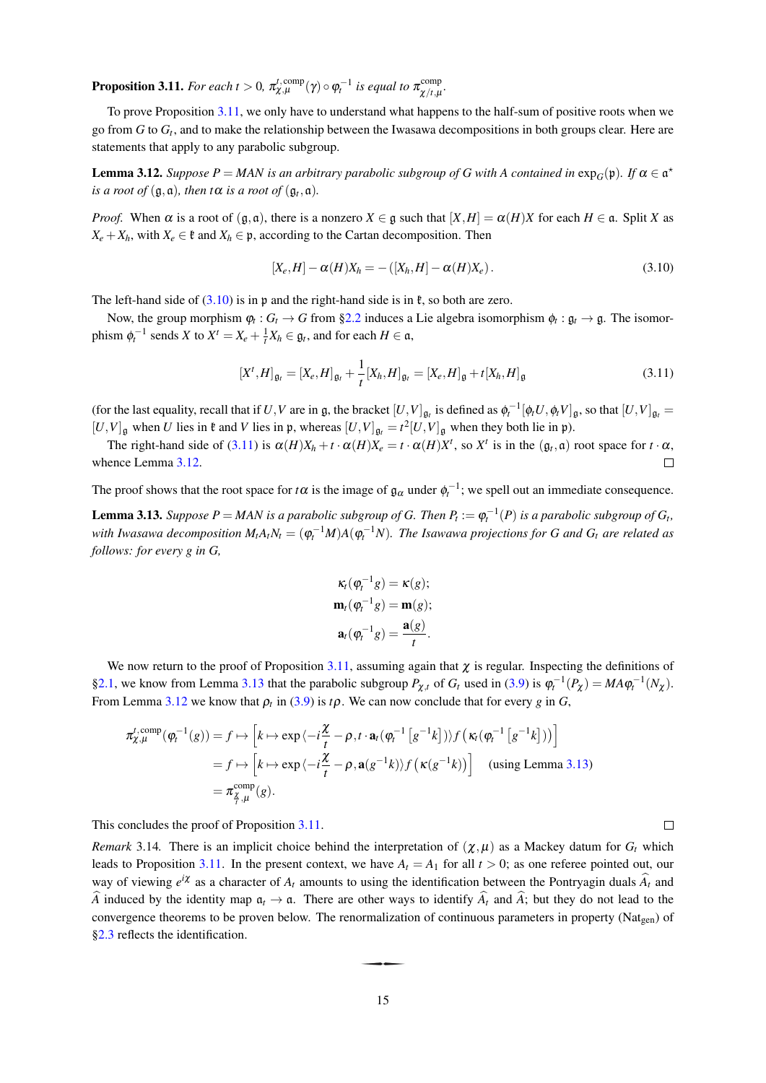**Proposition 3.11.** For each  $t > 0$ ,  $\pi_{\chi,\mu}^{t,\text{comp}}(\gamma) \circ \varphi_t^{-1}$  is equal to  $\pi_{\chi/t,\mu}^{\text{comp}}$ 

To prove Proposition 3.11, we only have to understand what happens to the half-sum of positive roots when we go from G to  $G_t$ , and to make the relationship between the Iwasawa decompositions in both groups clear. Here are statements that apply to any parabolic subgroup.

**Lemma 3.12.** Suppose  $P = MAN$  is an arbitrary parabolic subgroup of G with A contained in  $exp_G(\mathfrak{p})$ . If  $\alpha \in \mathfrak{a}^{\star}$ is a root of  $(\mathfrak{g}, \mathfrak{a})$ , then t $\alpha$  is a root of  $(\mathfrak{g}_t, \mathfrak{a})$ .

*Proof.* When  $\alpha$  is a root of  $(g, \mathfrak{a})$ , there is a nonzero  $X \in \mathfrak{g}$  such that  $[X, H] = \alpha(H)X$  for each  $H \in \mathfrak{a}$ . Split X as  $X_e + X_h$ , with  $X_e \in \mathfrak{k}$  and  $X_h \in \mathfrak{p}$ , according to the Cartan decomposition. Then

$$
[X_e, H] - \alpha(H)X_h = -([X_h, H] - \alpha(H)X_e).
$$
\n(3.10)

The left-hand side of  $(3.10)$  is in p and the right-hand side is in  $\ell$ , so both are zero.

Now, the group morphism  $\varphi_t: G_t \to G$  from §2.2 induces a Lie algebra isomorphism  $\varphi_t: \mathfrak{g}_t \to \mathfrak{g}$ . The isomorphism  $\phi_t^{-1}$  sends X to  $X^t = X_e + \frac{1}{t}X_h \in \mathfrak{g}_t$ , and for each  $H \in \mathfrak{a}$ ,

$$
\left[X^t, H\right]_{\mathfrak{g}_t} = \left[X_e, H\right]_{\mathfrak{g}_t} + \frac{1}{t}\left[X_h, H\right]_{\mathfrak{g}_t} = \left[X_e, H\right]_{\mathfrak{g}} + t\left[X_h, H\right]_{\mathfrak{g}}
$$
\n(3.11)

(for the last equality, recall that if U, V are in g, the bracket  $[U,V]_{\mathfrak{g}_t}$  is defined as  $\phi_t^{-1}[\phi_t U, \phi_t V]_{\mathfrak{g}_t}$ , so that  $[U,V]_{\mathfrak{g}_t}$  $[U,V]_{\mathfrak{g}}$  when U lies in  $\mathfrak{k}$  and V lies in  $\mathfrak{p}$ , whereas  $[U,V]_{\mathfrak{g}_t} = t^2[U,V]_{\mathfrak{g}}$  when they both lie in  $\mathfrak{p}$ ).

The right-hand side of (3.11) is  $\alpha(H)X_h + t \cdot \alpha(H)X_e = t \cdot \alpha(H)X^t$ , so  $X^t$  is in the  $(\mathfrak{g}_t, \mathfrak{a})$  root space for  $t \cdot \alpha$ , whence Lemma 3.12.  $\Box$ 

The proof shows that the root space for t $\alpha$  is the image of  $\mathfrak{g}_{\alpha}$  under  $\phi_t^{-1}$ ; we spell out an immediate consequence. **Lemma 3.13.** Suppose  $P = MAN$  is a parabolic subgroup of G. Then  $P_t := \varphi_t^{-1}(P)$  is a parabolic subgroup of  $G_t$ , with Iwasawa decomposition  $M_t A_t N_t = (\varphi_t^{-1} M) A (\varphi_t^{-1} N)$ . The Isawawa projections for G and  $G_t$  are related as follows: for every  $g$  in  $G$ ,

$$
\kappa_t(\varphi_t^{-1}g) = \kappa(g);
$$
  
\n
$$
\mathbf{m}_t(\varphi_t^{-1}g) = \mathbf{m}(g);
$$
  
\n
$$
\mathbf{a}_t(\varphi_t^{-1}g) = \frac{\mathbf{a}(g)}{t}.
$$

We now return to the proof of Proposition 3.11, assuming again that  $\chi$  is regular. Inspecting the definitions of §2.1, we know from Lemma 3.13 that the parabolic subgroup  $P_{\gamma,t}$  of  $G_t$  used in (3.9) is  $\varphi_t^{-1}(P_\gamma) = MA\varphi_t^{-1}(N_\gamma)$ . From Lemma 3.12 we know that  $\rho_t$  in (3.9) is  $t\rho$ . We can now conclude that for every g in G,

$$
\pi_{\chi,\mu}^{t,\text{comp}}(\varphi_t^{-1}(g)) = f \mapsto \left[ k \mapsto \exp \langle -i\frac{\chi}{t} - \rho, t \cdot \mathbf{a}_t (\varphi_t^{-1} \left[ g^{-1} k \right] ) \rangle f \left( \kappa_t (\varphi_t^{-1} \left[ g^{-1} k \right] ) \right) \right]
$$
\n
$$
= f \mapsto \left[ k \mapsto \exp \langle -i\frac{\chi}{t} - \rho, \mathbf{a}(g^{-1} k) \rangle f \left( \kappa(g^{-1} k) \right) \right] \quad \text{(using Lemma 3.13)}
$$
\n
$$
= \pi_{\frac{\chi}{\chi},\mu}^{\text{comp}}(g).
$$

This concludes the proof of Proposition 3.11.

*Remark* 3.14. There is an implicit choice behind the interpretation of  $(\chi, \mu)$  as a Mackey datum for  $G_t$  which leads to Proposition 3.11. In the present context, we have  $A_t = A_1$  for all  $t > 0$ ; as one referee pointed out, our way of viewing  $e^{i\chi}$  as a character of  $A_t$  amounts to using the identification between the Pontryagin duals  $\hat{A}_t$  and  $\hat{A}$  induced by the identity map  $\alpha_t \to \alpha$ . There are other ways to identify  $\hat{A}_t$  and  $\hat{A}$ ; but they do not lead to the convergence theorems to be proven below. The renormalization of continuous parameters in property ( $\text{Nat}_{\text{gen}}$ ) of §2.3 reflects the identification.

 $\Box$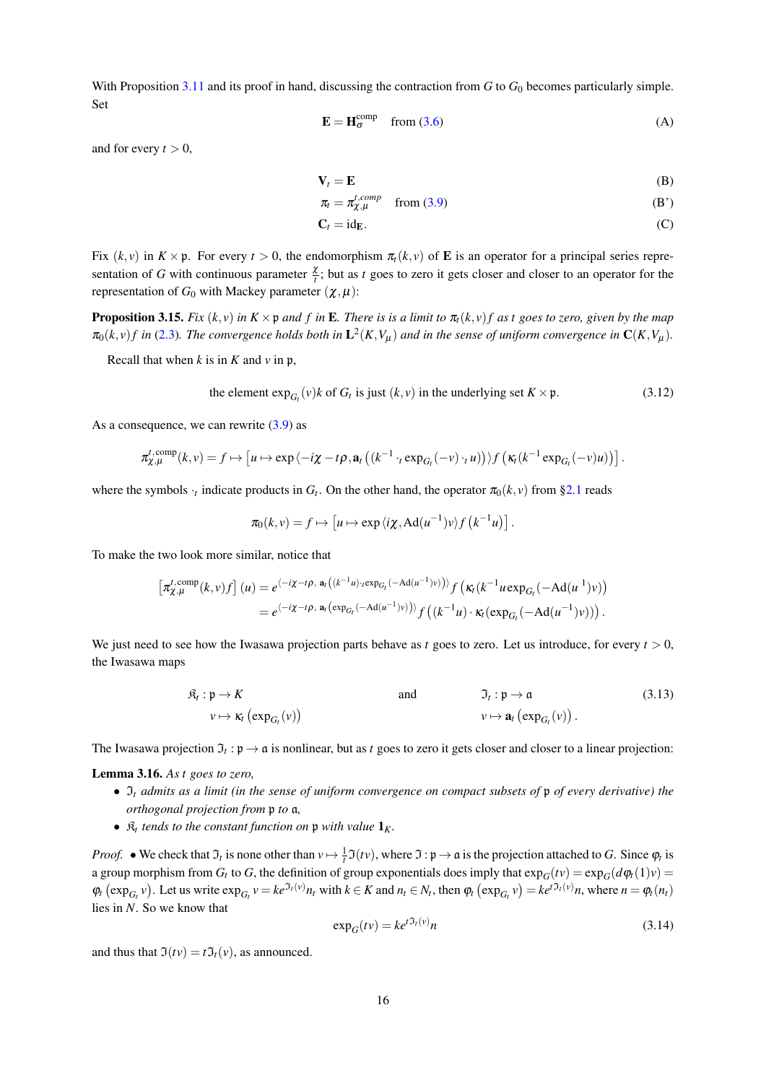With Proposition 3.11 and its proof in hand, discussing the contraction from G to  $G_0$  becomes particularly simple. Set

$$
\mathbf{E} = \mathbf{H}_{\sigma}^{\text{comp}} \quad \text{from (3.6)} \tag{A}
$$

and for every  $t > 0$ ,

$$
\mathbf{V}_t = \mathbf{E} \tag{B}
$$

$$
\pi_t = \pi_{\chi,\mu}^{t,comp} \quad \text{from (3.9)} \tag{B'}
$$

$$
C_t = id_E. \tag{C}
$$

Fix  $(k, v)$  in  $K \times p$ . For every  $t > 0$ , the endomorphism  $\pi<sub>t</sub>(k, v)$  of **E** is an operator for a principal series representation of G with continuous parameter  $\frac{\chi}{l}$ ; but as t goes to zero it gets closer and closer to an operator for the representation of  $G_0$  with Mackey parameter  $(\chi, \mu)$ :

**Proposition 3.15.** Fix  $(k, v)$  in  $K \times \mathfrak{p}$  and f in **E**. There is is a limit to  $\pi_t(k, v)$  f as t goes to zero, given by the map  $\pi_0(k, v) f$  in (2.3). The convergence holds both in  $\mathbf{L}^2(K, V_u)$  and in the sense of uniform convergence in  $\mathbf{C}(K, V_u)$ .

Recall that when k is in K and v in  $\mathfrak{p}$ .

the element 
$$
\exp_{G_t}(v)k
$$
 of  $G_t$  is just  $(k, v)$  in the underlying set  $K \times \mathfrak{p}$ . (3.12)

As a consequence, we can rewrite  $(3.9)$  as

$$
\pi_{\chi,\mu}^{t,\text{comp}}(k,v) = f \mapsto \left[ u \mapsto \exp \left\langle -i\chi - t\rho, \mathbf{a}_t \left( \left(k^{-1} \cdot_t \exp_{G_t}(-v) \cdot_t u \right) \right) \right\rangle f \left( \kappa_t \left( k^{-1} \exp_{G_t}(-v) u \right) \right) \right]
$$

where the symbols  $\cdot$ , indicate products in  $G_t$ . On the other hand, the operator  $\pi_0(k, v)$  from §2.1 reads

$$
\pi_0(k,\nu) = f \mapsto \left[ u \mapsto \exp \langle i\chi, \mathrm{Ad}(u^{-1})v \rangle f\left( k^{-1}u \right) \right].
$$

To make the two look more similar, notice that

$$
\begin{split} \left[\pi_{\chi,\mu}^{t,\text{comp}}(k,\nu)f\right](u) &= e^{\langle -i\chi - t\rho,\ \mathbf{a}_t\left((k^{-1}u)\cdot\mathrm{exp}_{G_t}(-\mathrm{Ad}(u^{-1})\nu)\right) \rangle} f\left(\kappa_t(k^{-1}u\mathrm{exp}_{G_t}(-\mathrm{Ad}(u^{-1})\nu)\right) \\ &= e^{\langle -i\chi - t\rho,\ \mathbf{a}_t\left(\mathrm{exp}_{G_t}(-\mathrm{Ad}(u^{-1})\nu)\right) \rangle} f\left((k^{-1}u)\cdot\kappa_t(\mathrm{exp}_{G_t}(-\mathrm{Ad}(u^{-1})\nu)\right) \right). \end{split}
$$

We just need to see how the Iwasawa projection parts behave as t goes to zero. Let us introduce, for every  $t > 0$ , the Iwasawa maps

$$
\mathfrak{K}_t: \mathfrak{p} \to K \qquad \text{and} \qquad \mathfrak{I}_t: \mathfrak{p} \to \mathfrak{a} \qquad (3.13)
$$
\n
$$
v \mapsto \kappa_t \left( \exp_{G_t}(v) \right)
$$

The Iwasawa projection  $\mathfrak{I}_t : \mathfrak{p} \to \mathfrak{a}$  is nonlinear, but as t goes to zero it gets closer and closer to a linear projection:

**Lemma 3.16.** As  $t$  goes to zero,

- $\Im_t$  admits as a limit (in the sense of uniform convergence on compact subsets of p of every derivative) the orthogonal projection from  $\mathfrak p$  to  $\mathfrak a$ ,
- $\mathfrak{K}_t$  tends to the constant function on p with value  $\mathbf{1}_K$ .

*Proof.* • We check that  $\mathfrak{I}_t$  is none other than  $v \mapsto \frac{1}{t}\mathfrak{I}(tv)$ , where  $\mathfrak{I}: \mathfrak{p} \to \mathfrak{a}$  is the projection attached to G. Since  $\varphi_t$  is a group morphism from  $G_t$  to G, the definition of group exponentials does imply that  $\exp_G(tv) = \exp_G(d\varphi_t(1)v)$  $\varphi_t(\exp_{G_t} v)$ . Let us write  $\exp_{G_t} v = ke^{J_t(v)} n_t$  with  $k \in K$  and  $n_t \in N_t$ , then  $\varphi_t(\exp_{G_t} v) = ke^{tJ_t(v)} n$ , where  $n = \varphi_t(n_t)$ lies in  $N$ . So we know that

$$
\exp_G(tv) = ke^{t\mathfrak{I}_t(v)}n\tag{3.14}
$$

and thus that  $\mathfrak{I}(tv) = t \mathfrak{I}_t(v)$ , as announced.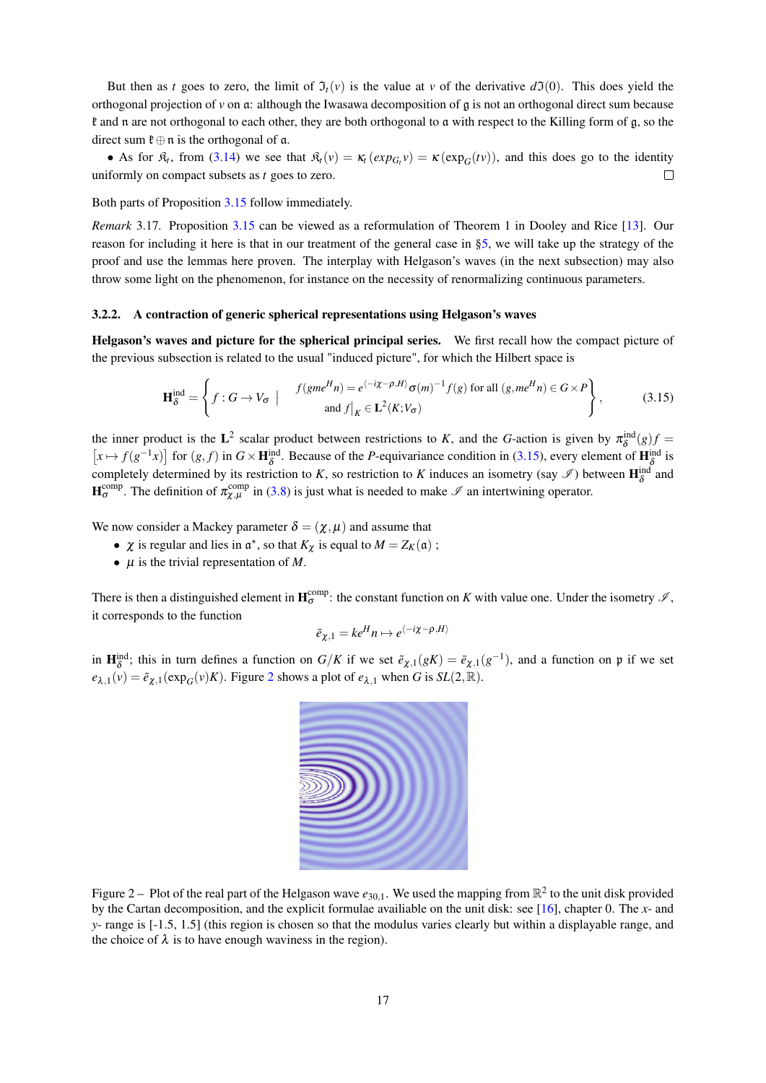But then as t goes to zero, the limit of  $\mathfrak{I}_t(v)$  is the value at v of the derivative  $d\mathfrak{I}(0)$ . This does yield the orthogonal projection of  $\nu$  on  $\alpha$ : although the Iwasawa decomposition of  $\alpha$  is not an orthogonal direct sum because if and n are not orthogonal to each other, they are both orthogonal to a with respect to the Killing form of g, so the direct sum  $\mathfrak{k} \oplus \mathfrak{n}$  is the orthogonal of  $\mathfrak{a}$ .

• As for  $\mathfrak{K}_t$ , from (3.14) we see that  $\mathfrak{K}_t(v) = \mathfrak{K}_t(exp_{G_t}v) = \kappa(exp_G(tv))$ , and this does go to the identity uniformly on compact subsets as  $t$  goes to zero.  $\Box$ 

# Both parts of Proposition 3.15 follow immediately.

*Remark* 3.17. Proposition 3.15 can be viewed as a reformulation of Theorem 1 in Dooley and Rice [13]. Our reason for including it here is that in our treatment of the general case in  $\S$ 5, we will take up the strategy of the proof and use the lemmas here proven. The interplay with Helgason's waves (in the next subsection) may also throw some light on the phenomenon, for instance on the necessity of renormalizing continuous parameters.

# 3.2.2. A contraction of generic spherical representations using Helgason's waves

Helgason's waves and picture for the spherical principal series. We first recall how the compact picture of the previous subsection is related to the usual "induced picture", for which the Hilbert space is

$$
\mathbf{H}_{\delta}^{\text{ind}} = \left\{ f : G \to V_{\sigma} \mid f(gme^{H}n) = e^{\langle -i\chi - \rho, H \rangle} \sigma(m)^{-1} f(g) \text{ for all } (g, me^{H}n) \in G \times P \right\},\tag{3.15}
$$

the inner product is the L<sup>2</sup> scalar product between restrictions to K, and the G-action is given by  $\pi_{\delta}^{\text{ind}}(g)f$  $[x \mapsto f(g^{-1}x)]$  for  $(g, f)$  in  $G \times \mathbf{H}_{\delta}^{\text{ind}}$ . Because of the *P*-equivariance condition in (3.15), every element of  $\mathbf{H}_{\delta}^{\text{ind}}$  is completely determined by its restriction to K, so restriction to K induces an isometry (say  $\mathcal{I}$ ) between  $\mathbf{H}_{\delta}^{\text{ind}}$  and  $\mathbf{H}_{\sigma}^{\text{comp}}$ . The definition of  $\pi_{\chi,\mu}^{\text{comp}}$  in (3.8) is just what is needed to make  $\mathscr I$  an intertwining operator.

We now consider a Mackey parameter  $\delta = (\chi, \mu)$  and assume that

- $\chi$  is regular and lies in  $\alpha^*$ , so that  $K_{\chi}$  is equal to  $M = Z_K(\mathfrak{a})$ ;
- $\bullet$   $\mu$  is the trivial representation of M.

There is then a distinguished element in  $H_{\sigma}^{comp}$ : the constant function on K with value one. Under the isometry  $\mathcal{I}$ , it corresponds to the function

$$
\bar{e}_{\gamma,1} = ke^H n \mapsto e^{\langle -i\chi - \rho, H \rangle}
$$

in  $\mathbf{H}_{\delta}^{\text{ind}}$ ; this in turn defines a function on  $G/K$  if we set  $\tilde{e}_{\chi,1}(gK) = \bar{e}_{\chi,1}(g^{-1})$ , and a function on p if we set  $e_{\lambda,1}(v) = \tilde{e}_{\chi,1}(\exp_G(v)K)$ . Figure 2 shows a plot of  $e_{\lambda,1}$  when G is  $SL(2,\mathbb{R})$ .



Figure 2 – Plot of the real part of the Helgason wave  $e_{30,1}$ . We used the mapping from  $\mathbb{R}^2$  to the unit disk provided by the Cartan decomposition, and the explicit formulae availiable on the unit disk; see [16], chapter 0. The x- and  $v$ - range is [-1.5, 1.5] (this region is chosen so that the modulus varies clearly but within a displayable range, and the choice of  $\lambda$  is to have enough waviness in the region).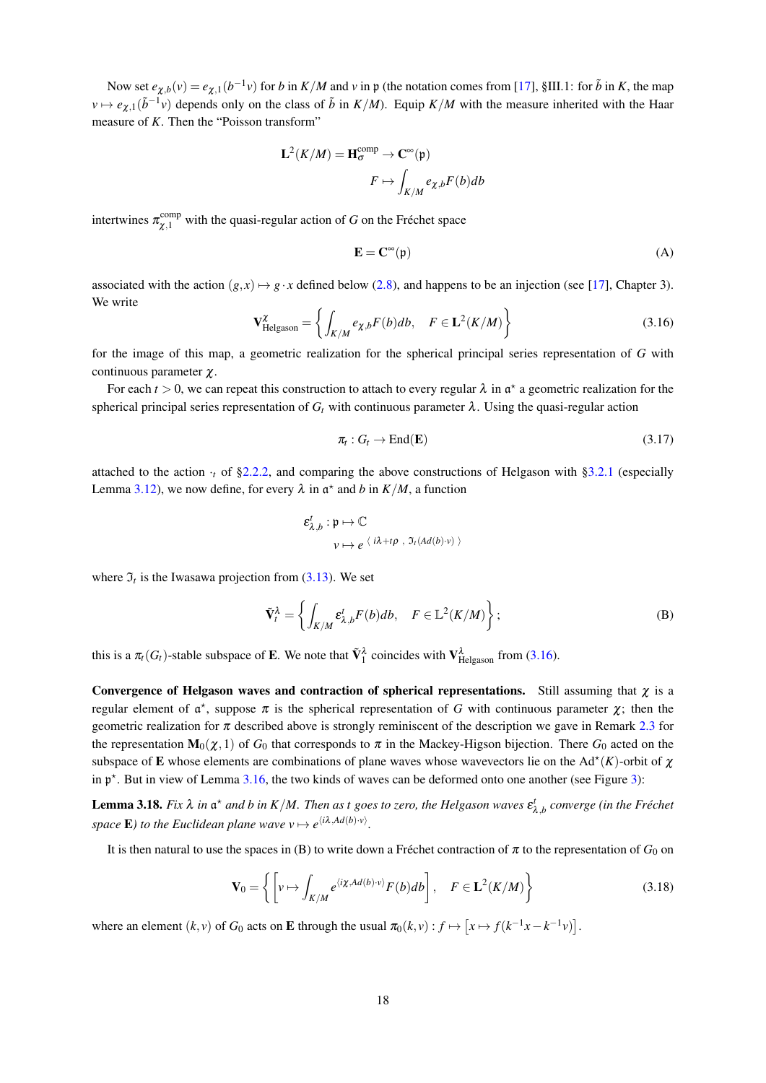Now set  $e_{\chi,b}(v) = e_{\chi,1}(b^{-1}v)$  for b in  $K/M$  and v in p (the notation comes from [17], §III.1: for  $\tilde{b}$  in K, the map  $v \mapsto e_{\chi,1}(\tilde{b}^{-1}v)$  depends only on the class of  $\tilde{b}$  in  $K/M$ ). Equip  $K/M$  with the measure inherited with the Haar measure of  $K$ . Then the "Poisson transform"

$$
\mathbf{L}^{2}(K/M) = \mathbf{H}_{\sigma}^{\text{comp}} \to \mathbf{C}^{\infty}(\mathfrak{p})
$$

$$
F \mapsto \int_{K/M} e_{\chi,b} F(b) db
$$

intertwines  $\pi_{\chi,1}^{\text{comp}}$  with the quasi-regular action of G on the Fréchet space

$$
\mathbf{E} = \mathbf{C}^{\infty}(\mathfrak{p}) \tag{A}
$$

associated with the action  $(g, x) \mapsto g \cdot x$  defined below (2.8), and happens to be an injection (see [17], Chapter 3). We write

$$
\mathbf{V}_{\text{Helgason}}^{\chi} = \left\{ \int_{K/M} e_{\chi,b} F(b) db, \quad F \in \mathbf{L}^{2}(K/M) \right\}
$$
 (3.16)

for the image of this map, a geometric realization for the spherical principal series representation of  $G$  with continuous parameter  $\chi$ .

For each  $t > 0$ , we can repeat this construction to attach to every regular  $\lambda$  in  $\mathfrak{a}^*$  a geometric realization for the spherical principal series representation of  $G_t$  with continuous parameter  $\lambda$ . Using the quasi-regular action

$$
\pi_t: G_t \to \text{End}(\mathbf{E}) \tag{3.17}
$$

attached to the action  $\cdot$ , of §2.2.2, and comparing the above constructions of Helgason with §3.2.1 (especially Lemma 3.12), we now define, for every  $\lambda$  in  $\alpha^*$  and b in  $K/M$ , a function

$$
\varepsilon^t_{\lambda,b} : \mathfrak{p} \mapsto \mathbb{C}
$$
  

$$
v \mapsto e \langle i\lambda + t\rho , \mathfrak{I}_t(Ad(b) \cdot v) \rangle
$$

where  $\mathfrak{I}_t$  is the Iwasawa projection from (3.13). We set

$$
\tilde{\mathbf{V}}_t^{\lambda} = \left\{ \int_{K/M} \varepsilon_{\lambda,b}^t F(b) db, \quad F \in \mathbb{L}^2(K/M) \right\};
$$
 (B)

this is a  $\pi_t(G_t)$ -stable subspace of **E**. We note that  $\tilde{V}_1^{\lambda}$  coincides with  $V_{Helgason}^{\lambda}$  from (3.16).

Convergence of Helgason waves and contraction of spherical representations. Still assuming that  $\chi$  is a regular element of  $\alpha^*$ , suppose  $\pi$  is the spherical representation of G with continuous parameter  $\chi$ ; then the geometric realization for  $\pi$  described above is strongly reminiscent of the description we gave in Remark 2.3 for the representation  $\mathbf{M}_0(\chi,1)$  of  $G_0$  that corresponds to  $\pi$  in the Mackey-Higson bijection. There  $G_0$  acted on the subspace of **E** whose elements are combinations of plane waves whose wavevectors lie on the Ad<sup>\*</sup>(K)-orbit of  $\chi$ in  $\mathfrak{p}^*$ . But in view of Lemma 3.16, the two kinds of waves can be deformed onto one another (see Figure 3):

**Lemma 3.18.** Fix  $\lambda$  in  $\mathfrak{a}^*$  and b in K/M. Then as t goes to zero, the Helgason waves  $\varepsilon^t_{\lambda,b}$  converge (in the Fréchet space **E**) to the Euclidean plane wave  $v \mapsto e^{i\lambda A d(b)v}$ .

It is then natural to use the spaces in (B) to write down a Fréchet contraction of  $\pi$  to the representation of  $G_0$  on

$$
\mathbf{V}_0 = \left\{ \left[ v \mapsto \int_{K/M} e^{\langle i\chi, Ad(b)\cdot v \rangle} F(b) db \right], \quad F \in \mathbf{L}^2(K/M) \right\} \tag{3.18}
$$

where an element  $(k, v)$  of  $G_0$  acts on **E** through the usual  $\pi_0(k, v) : f \mapsto [x \mapsto f(k^{-1}x - k^{-1}v)].$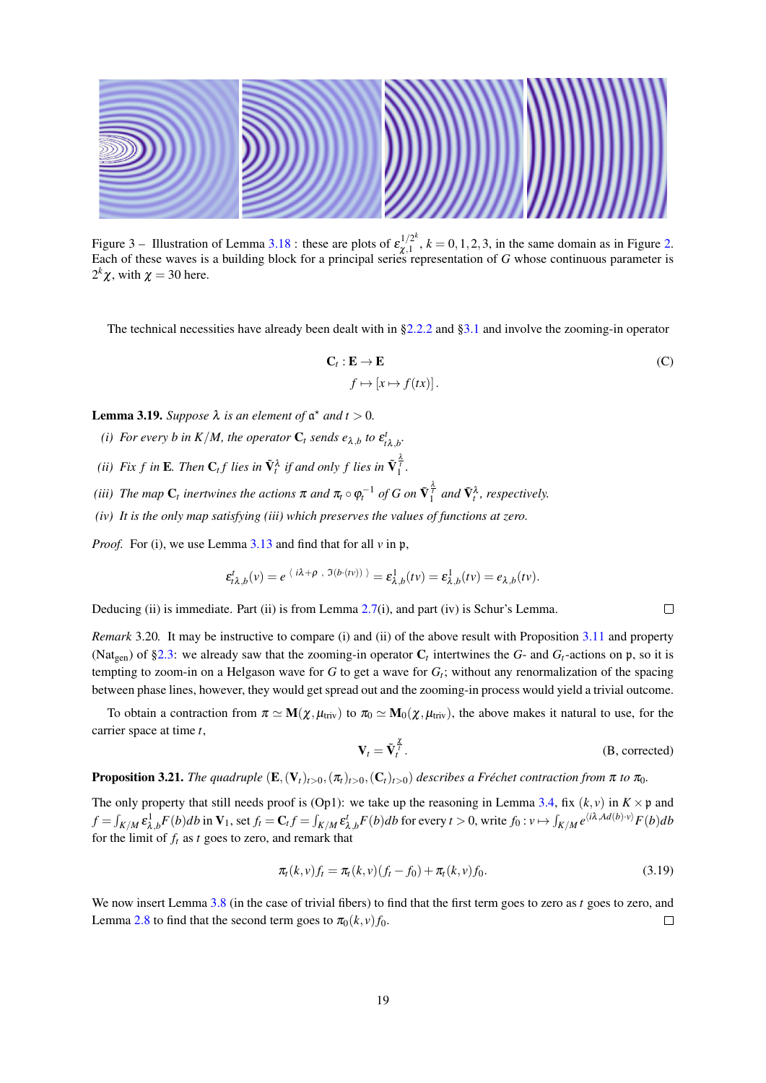

Figure 3 – Illustration of Lemma 3.18 : these are plots of  $\varepsilon_{\chi,1}^{1/2^k}$ ,  $k = 0, 1, 2, 3$ , in the same domain as in Figure 2.<br>Each of these waves is a building block for a principal series representation of G whose c  $2^k \chi$ , with  $\chi = 30$  here.

The technical necessities have already been dealt with in  $\S2.2.2$  and  $\S3.1$  and involve the zooming-in operator

$$
\mathbf{C}_t : \mathbf{E} \to \mathbf{E}
$$
  

$$
f \mapsto [x \mapsto f(tx)].
$$
 (C)

**Lemma 3.19.** Suppose  $\lambda$  is an element of  $\mathfrak{a}^*$  and  $t > 0$ .

- (i) For every b in K/M, the operator  $C_t$  sends  $e_{\lambda,b}$  to  $\varepsilon_{i\lambda,b}^t$ .
- (ii) Fix f in **E**. Then  $C_t f$  lies in  $\tilde{V}_t^{\lambda}$  if and only f lies in  $\tilde{V}_1^{\frac{\lambda}{2}}$ .
- (iii) The map  $C_t$  inertwines the actions  $\pi$  and  $\pi_t \circ \varphi_t^{-1}$  of G on  $\tilde{V}_1^{\frac{\lambda}{t}}$  and  $\tilde{V}_t^{\lambda}$ , respectively.
- $(iv)$  It is the only map satisfying (iii) which preserves the values of functions at zero.

*Proof.* For (i), we use Lemma  $3.13$  and find that for all  $\nu$  in  $\nu$ ,

$$
\varepsilon_{\lambda,h}^t(v) = e^{\langle i\lambda + \rho, \Im(b \cdot (tv)) \rangle} = \varepsilon_{\lambda,h}^1(v) = \varepsilon_{\lambda,h}^1(v) = e_{\lambda,h}(tv).
$$

Deducing (ii) is immediate. Part (ii) is from Lemma 2.7(i), and part (iv) is Schur's Lemma.

*Remark* 3.20. It may be instructive to compare (i) and (ii) of the above result with Proposition 3.11 and property (Nat<sub>een</sub>) of §2.3: we already saw that the zooming-in operator  $C_t$  intertwines the G- and  $G_t$ -actions on p, so it is tempting to zoom-in on a Helgason wave for G to get a wave for  $G_t$ ; without any renormalization of the spacing between phase lines, however, they would get spread out and the zooming-in process would yield a trivial outcome.

To obtain a contraction from  $\pi \simeq M(\chi, \mu_{\text{triv}})$  to  $\pi_0 \simeq M_0(\chi, \mu_{\text{triv}})$ , the above makes it natural to use, for the carrier space at time  $t$ ,

$$
\mathbf{V}_t = \tilde{\mathbf{V}}_t^{\frac{\mathcal{I}}{\mathcal{I}}}.
$$
 (B, corrected)

 $\Box$ 

# **Proposition 3.21.** The quadruple  $(E, (V_t)_{t>0}, (\pi_t)_{t>0}, (C_t)_{t>0})$  describes a Fréchet contraction from  $\pi$  to  $\pi_0$ .

The only property that still needs proof is (Op1): we take up the reasoning in Lemma 3.4, fix  $(k, v)$  in  $K \times \mathfrak{p}$  and  $f = \int_{K/M} \varepsilon_{\lambda,b}^1 F(b) db$  in  $V_1$ , set  $f_t = C_t f = \int_{K/M} \varepsilon_{\lambda,b}^t F(b) db$  for every  $t > 0$ , write  $f_0 : v \mapsto \int_{K/M} e^{i\lambda A d(b) \cdot v} F(b) db$ for the limit of  $f_t$  as t goes to zero, and remark that

$$
\pi_t(k, v)f_t = \pi_t(k, v)(f_t - f_0) + \pi_t(k, v)f_0.
$$
\n(3.19)

We now insert Lemma 3.8 (in the case of trivial fibers) to find that the first term goes to zero as t goes to zero, and Lemma 2.8 to find that the second term goes to  $\pi_0(k, v) f_0$ .  $\Box$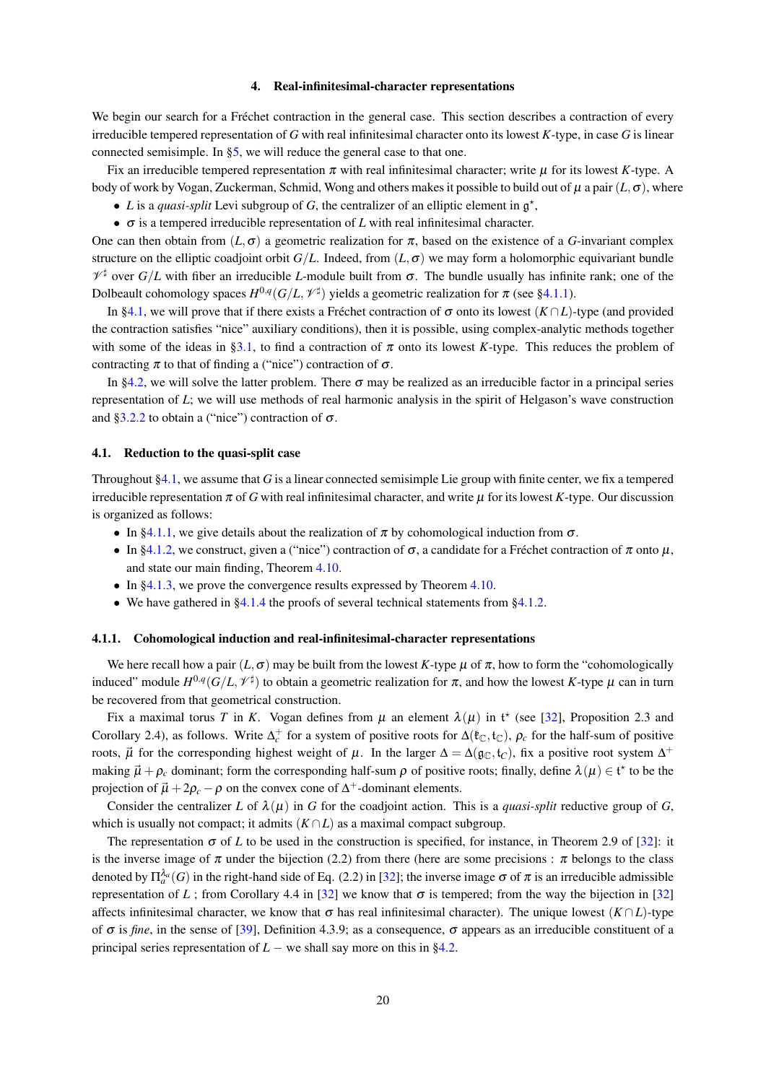# Real-infinitesimal-character representations

We begin our search for a Fréchet contraction in the general case. This section describes a contraction of every irreducible tempered representation of G with real infinitesimal character onto its lowest  $K$ -type, in case G is linear connected semisimple. In  $\S$ 5, we will reduce the general case to that one.

Fix an irreducible tempered representation  $\pi$  with real infinitesimal character; write  $\mu$  for its lowest K-type. A body of work by Vogan, Zuckerman, Schmid, Wong and others makes it possible to build out of  $\mu$  a pair  $(L, \sigma)$ , where

- L is a quasi-split Levi subgroup of G, the centralizer of an elliptic element in  $\mathfrak{g}^*$ .
- $\bullet$   $\sigma$  is a tempered irreducible representation of L with real infinitesimal character.

One can then obtain from  $(L, \sigma)$  a geometric realization for  $\pi$ , based on the existence of a G-invariant complex structure on the elliptic coadjoint orbit  $G/L$ . Indeed, from  $(L, \sigma)$  we may form a holomorphic equivariant bundle  $\mathcal{V}^{\sharp}$  over  $G/L$  with fiber an irreducible L-module built from  $\sigma$ . The bundle usually has infinite rank; one of the Dolbeault cohomology spaces  $H^{0,q}(G/L, \mathcal{V}^{\sharp})$  yields a geometric realization for  $\pi$  (see §4.1.1).

In §4.1, we will prove that if there exists a Fréchet contraction of  $\sigma$  onto its lowest (K  $\cap L$ )-type (and provided the contraction satisfies "nice" auxiliary conditions), then it is possible, using complex-analytic methods together with some of the ideas in §3.1, to find a contraction of  $\pi$  onto its lowest K-type. This reduces the problem of contracting  $\pi$  to that of finding a ("nice") contraction of  $\sigma$ .

In §4.2, we will solve the latter problem. There  $\sigma$  may be realized as an irreducible factor in a principal series representation of  $L$ ; we will use methods of real harmonic analysis in the spirit of Helgason's wave construction and §3.2.2 to obtain a ("nice") contraction of  $\sigma$ .

#### 4.1. Reduction to the quasi-split case

Throughout  $\S4.1$ , we assume that G is a linear connected semisimple Lie group with finite center, we fix a tempered irreducible representation  $\pi$  of G with real infinitesimal character, and write  $\mu$  for its lowest K-type. Our discussion is organized as follows:

- In §4.1.1, we give details about the realization of  $\pi$  by cohomological induction from  $\sigma$ .
- In §4.1.2, we construct, given a ("nice") contraction of  $\sigma$ , a candidate for a Fréchet contraction of  $\pi$  onto  $\mu$ , and state our main finding, Theorem 4.10.
- In  $\S 4.1.3$ , we prove the convergence results expressed by Theorem 4.10.
- We have gathered in  $\S 4.1.4$  the proofs of several technical statements from  $\S 4.1.2$ .

# 4.1.1. Cohomological induction and real-infinitesimal-character representations

We here recall how a pair  $(L, \sigma)$  may be built from the lowest K-type  $\mu$  of  $\pi$ , how to form the "cohomologically induced" module  $H^{0,q}(G/L, \mathcal{V}^{\sharp})$  to obtain a geometric realization for  $\pi$ , and how the lowest K-type  $\mu$  can in turn be recovered from that geometrical construction.

Fix a maximal torus T in K. Vogan defines from  $\mu$  an element  $\lambda(\mu)$  in t<sup>\*</sup> (see [32], Proposition 2.3 and Corollary 2.4), as follows. Write  $\Delta_{c}^{+}$  for a system of positive roots for  $\Delta(\mathfrak{k}_{\mathbb{C}}, \mathfrak{t}_{\mathbb{C}})$ ,  $\rho_c$  for the half-sum of positive roots,  $\vec{\mu}$  for the corresponding highest weight of  $\mu$ . In the larger  $\Delta = \Delta(g_C, t_C)$ , fix a positive root system  $\Delta^+$ making  $\vec{\mu} + \rho_c$  dominant; form the corresponding half-sum  $\rho$  of positive roots; finally, define  $\lambda(\mu) \in \mathfrak{t}^*$  to be the projection of  $\vec{\mu} + 2\rho_c - \rho$  on the convex cone of  $\Delta^+$ -dominant elements.

Consider the centralizer L of  $\lambda(\mu)$  in G for the coadjoint action. This is a *quasi-split* reductive group of G, which is usually not compact; it admits  $(K \cap L)$  as a maximal compact subgroup.

The representation  $\sigma$  of L to be used in the construction is specified, for instance, in Theorem 2.9 of [32]: it is the inverse image of  $\pi$  under the bijection (2.2) from there (here are some precisions:  $\pi$  belongs to the class denoted by  $\Pi_{\alpha}^{\lambda}(\widehat{G})$  in the right-hand side of Eq. (2.2) in [32]; the inverse image  $\sigma$  of  $\pi$  is an irreducible admissible representation of L; from Corollary 4.4 in [32] we know that  $\sigma$  is tempered; from the way the bijection in [32] affects infinitesimal character, we know that  $\sigma$  has real infinitesimal character). The unique lowest  $(K \cap L)$ -type of  $\sigma$  is *fine*, in the sense of [39], Definition 4.3.9; as a consequence,  $\sigma$  appears as an irreducible constituent of a principal series representation of  $L$  – we shall say more on this in §4.2.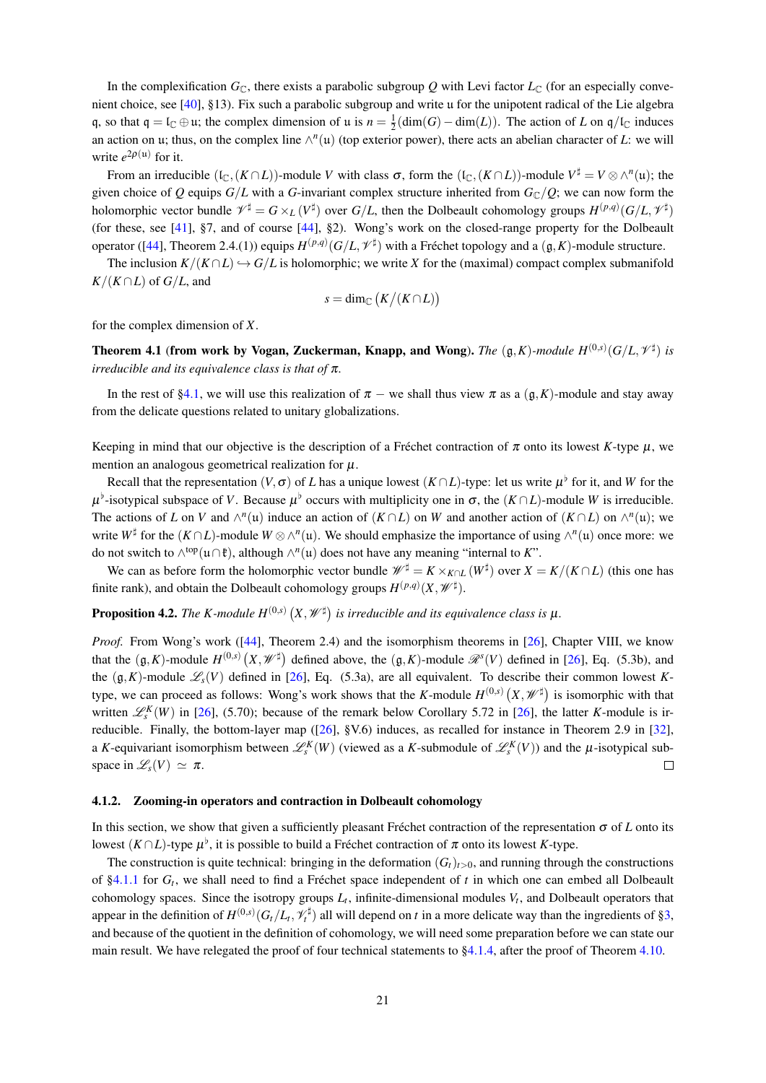In the complexification  $G_{\mathbb{C}}$ , there exists a parabolic subgroup Q with Levi factor  $L_{\mathbb{C}}$  (for an especially convenient choice, see [40], §13). Fix such a parabolic subgroup and write  $\mu$  for the unipotent radical of the Lie algebra q, so that  $q = l_{\mathbb{C}} \oplus u$ ; the complex dimension of u is  $n = \frac{1}{2}(\dim(G) - \dim(L))$ . The action of L on  $q/l_{\mathbb{C}}$  induces an action on u; thus, on the complex line  $\wedge^{n}(u)$  (top exterior power), there acts an abelian character of L: we will write  $e^{2\rho(u)}$  for it.

From an irreducible  $(I_{\mathbb{C}}, (K \cap L))$ -module V with class  $\sigma$ , form the  $(I_{\mathbb{C}}, (K \cap L))$ -module  $V^{\sharp} = V \otimes \wedge^{n}(u)$ ; the given choice of Q equips  $G/L$  with a G-invariant complex structure inherited from  $G_{\mathbb{C}}/Q$ ; we can now form the holomorphic vector bundle  $\mathscr{V}^{\sharp} = G \times_L (V^{\sharp})$  over  $G/L$ , then the Dolbeault cohomology groups  $H^{(p,q)}(G/L, \mathscr{V}^{\sharp})$ (for these, see [41], §7, and of course [44], §2). Wong's work on the closed-range property for the Dolbeault operator ([44], Theorem 2.4.(1)) equips  $H^{(p,q)}(G/L, \mathcal{V}^{\sharp})$  with a Fréchet topology and a  $(\mathfrak{g}, K)$ -module structure.

The inclusion  $K/(K \cap L) \hookrightarrow G/L$  is holomorphic; we write X for the (maximal) compact complex submanifold  $K/(K \cap L)$  of  $G/L$ , and

$$
s = \dim_{\mathbb{C}} (K/(K \cap L))
$$

for the complex dimension of  $X$ .

**Theorem 4.1 (from work by Vogan, Zuckerman, Knapp, and Wong).** The  $(g, K)$ -module  $H^{(0,s)}(G/L, \mathcal{V}^{\sharp})$  is irreducible and its equivalence class is that of  $\pi$ .

In the rest of §4.1, we will use this realization of  $\pi$  – we shall thus view  $\pi$  as a  $(\mathfrak{g}, K)$ -module and stay away from the delicate questions related to unitary globalizations.

Keeping in mind that our objective is the description of a Fréchet contraction of  $\pi$  onto its lowest K-type  $\mu$ , we mention an analogous geometrical realization for  $\mu$ .

Recall that the representation  $(V, \sigma)$  of L has a unique lowest  $(K \cap L)$ -type: let us write  $\mu^{\flat}$  for it, and W for the  $\mu^{\flat}$ -isotypical subspace of V. Because  $\mu^{\flat}$  occurs with multiplicity one in  $\sigma$ , the  $(K \cap L)$ -module W is irreducible. The actions of L on V and  $\wedge^n(u)$  induce an action of  $(K \cap L)$  on W and another action of  $(K \cap L)$  on  $\wedge^n(u)$ ; we write  $W^{\sharp}$  for the  $(K \cap L)$ -module  $W \otimes \wedge^{n}(u)$ . We should emphasize the importance of using  $\wedge^{n}(u)$  once more: we do not switch to  $\wedge^{top}(u \cap t)$ , although  $\wedge^{n}(u)$  does not have any meaning "internal to K".

We can as before form the holomorphic vector bundle  $\mathscr{W}^{\sharp} = K \times_{K \cap L} (W^{\sharp})$  over  $X = K/(K \cap L)$  (this one has finite rank), and obtain the Dolbeault cohomology groups  $H^{(p,q)}(X, \mathscr{W}^{\sharp})$ .

# **Proposition 4.2.** The K-module  $H^{(0,s)}(X, \mathscr{W}^{\sharp})$  is irreducible and its equivalence class is  $\mu$ .

*Proof.* From Wong's work ( $[44]$ , Theorem 2.4) and the isomorphism theorems in [26], Chapter VIII, we know that the  $(g, K)$ -module  $H^{(0,s)}(X, \mathcal{W}^{\sharp})$  defined above, the  $(g, K)$ -module  $\mathcal{R}^{s}(V)$  defined in [26], Eq. (5.3b), and the  $(\mathfrak{g}, K)$ -module  $\mathcal{L}_{s}(V)$  defined in [26], Eq. (5.3a), are all equivalent. To describe their common lowest Ktype, we can proceed as follows: Wong's work shows that the K-module  $H^{(0,s)}(X, \mathcal{W}^{\sharp})$  is isomorphic with that written  $\mathscr{L}_{s}^{K}(W)$  in [26], (5.70); because of the remark below Corollary 5.72 in [26], the latter K-module is irreducible. Finally, the bottom-layer map ( $[26]$ , §V.6) induces, as recalled for instance in Theorem 2.9 in  $[32]$ , a K-equivariant isomorphism between  $\mathcal{L}_{s}^{K}(W)$  (viewed as a K-submodule of  $\mathcal{L}_{s}^{K}(V)$ ) and the  $\mu$ -isotypical subspace in  $\mathscr{L}_s(V) \simeq \pi$ .  $\Box$ 

# 4.1.2. Zooming-in operators and contraction in Dolbeault cohomology

In this section, we show that given a sufficiently pleasant Fréchet contraction of the representation  $\sigma$  of L onto its lowest  $(K \cap L)$ -type  $\mu^{\flat}$ , it is possible to build a Fréchet contraction of  $\pi$  onto its lowest K-type.

The construction is quite technical: bringing in the deformation  $(G_t)_{t>0}$ , and running through the constructions of §4.1.1 for  $G_t$ , we shall need to find a Fréchet space independent of t in which one can embed all Dolbeault cohomology spaces. Since the isotropy groups  $L_t$ , infinite-dimensional modules  $V_t$ , and Dolbeault operators that appear in the definition of  $H^{(0,s)}(G_t/L_t, \mathcal{V}_t^{\sharp})$  all will depend on t in a more delicate way than the ingredients of §3, and because of the quotient in the definition of cohomology, we will need some preparation before we can state our main result. We have relegated the proof of four technical statements to  $\S4.1.4$ , after the proof of Theorem 4.10.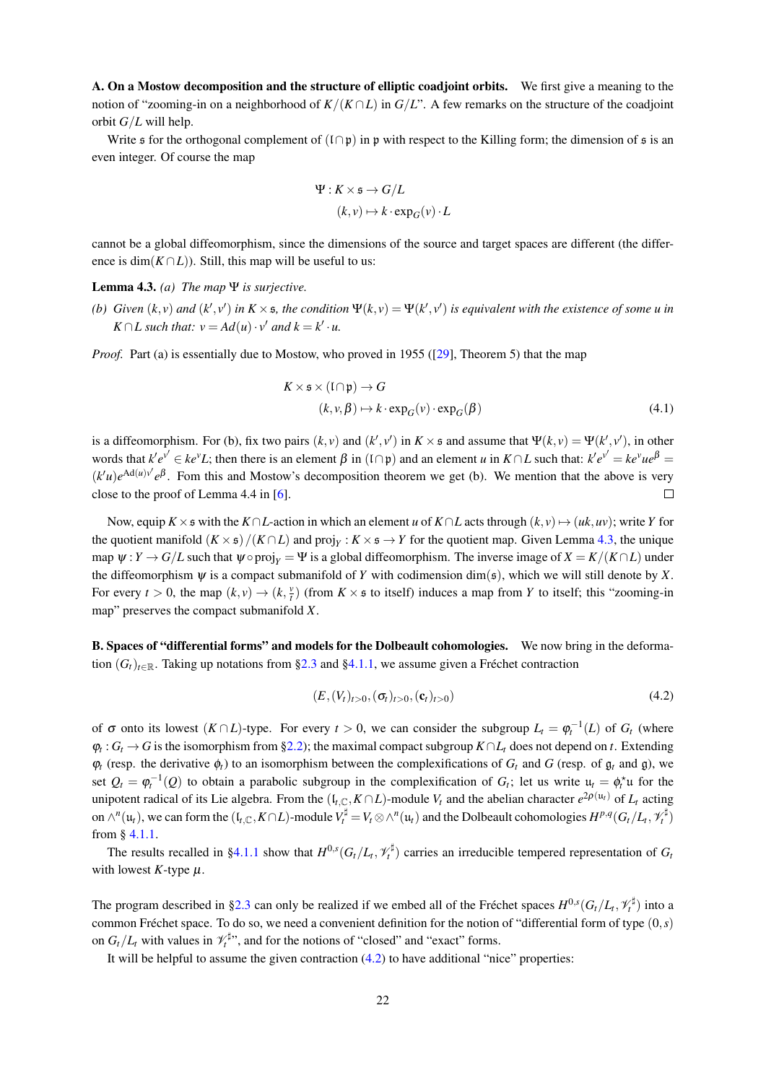A. On a Mostow decomposition and the structure of elliptic coadjoint orbits. We first give a meaning to the notion of "zooming-in on a neighborhood of  $K/(K \cap L)$  in  $G/L$ ". A few remarks on the structure of the coadjoint orbit  $G/L$  will help.

Write  $\epsilon$  for the orthogonal complement of  $(1 \cap \mathfrak{p})$  in  $\mathfrak{p}$  with respect to the Killing form; the dimension of  $\epsilon$  is an even integer. Of course the map

$$
\Psi: K \times \mathfrak{s} \to G/L
$$

$$
(k, v) \mapsto k \cdot \exp_G(v) \cdot L
$$

cannot be a global diffeomorphism, since the dimensions of the source and target spaces are different (the difference is dim $(K \cap L)$ ). Still, this map will be useful to us:

# **Lemma 4.3.** (a) The map  $\Psi$  is surjective.

(b) Given  $(k, v)$  and  $(k', v')$  in  $K \times s$ , the condition  $\Psi(k, v) = \Psi(k', v')$  is equivalent with the existence of some u in  $K \cap L$  such that:  $v = Ad(u) \cdot v'$  and  $k = k' \cdot u$ .

*Proof.* Part (a) is essentially due to Mostow, who proved in 1955 ([29], Theorem 5) that the map

$$
K \times \mathfrak{s} \times (\mathfrak{l} \cap \mathfrak{p}) \to G
$$
  

$$
(k, v, \beta) \mapsto k \cdot \exp_G(v) \cdot \exp_G(\beta)
$$
 (4.1)

is a diffeomorphism. For (b), fix two pairs  $(k, v)$  and  $(k', v')$  in  $K \times \mathfrak{s}$  and assume that  $\Psi(k, v) = \Psi(k', v')$ , in other words that  $k'e^{v'} \in ke^vL$ ; then there is an element  $\beta$  in  $(1 \cap p)$  and an element u in  $K \cap L$  such that:  $k'e^{v'} = ke^vue^{\beta}$  $(k'u)e^{Ad(u)v'}e^{\beta}$ . Fom this and Mostow's decomposition theorem we get (b). We mention that the above is very close to the proof of Lemma 4.4 in  $[6]$ .  $\Box$ 

Now, equip  $K \times \mathfrak{s}$  with the  $K \cap L$ -action in which an element u of  $K \cap L$  acts through  $(k, v) \mapsto (uk, uv)$ ; write Y for the quotient manifold  $(K \times s)/(K \cap L)$  and  $proj_Y : K \times s \to Y$  for the quotient map. Given Lemma 4.3, the unique map  $\psi: Y \to G/L$  such that  $\psi \circ \text{proj}_Y = \Psi$  is a global diffeomorphism. The inverse image of  $X = K/(K \cap L)$  under the diffeomorphism  $\psi$  is a compact submanifold of Y with codimension  $\dim(s)$ , which we will still denote by X. For every  $t > 0$ , the map  $(k, v) \rightarrow (k, \frac{v}{t})$  (from  $K \times \mathfrak{s}$  to itself) induces a map from Y to itself; this "zooming-in" map" preserves the compact submanifold  $X$ .

B. Spaces of "differential forms" and models for the Dolbeault cohomologies. We now bring in the deformation  $(G_t)_{t \in \mathbb{R}}$ . Taking up notations from §2.3 and §4.1.1, we assume given a Fréchet contraction

$$
(E,(Vt)t>0,(\sigmat)t>0,(\mathbf{c}t)t>0)
$$
\n(4.2)

of  $\sigma$  onto its lowest  $(K \cap L)$ -type. For every  $t > 0$ , we can consider the subgroup  $L_t = \varphi_t^{-1}(L)$  of  $G_t$  (where  $\varphi_t: G_t \to G$  is the isomorphism from §2.2); the maximal compact subgroup  $K \cap L_t$  does not depend on t. Extending  $\varphi_t$  (resp. the derivative  $\varphi_t$ ) to an isomorphism between the complexifications of  $G_t$  and  $G$  (resp. of  $\mathfrak{g}_t$  and  $\mathfrak{g}_t$ ), we set  $Q_t = \varphi_t^{-1}(Q)$  to obtain a parabolic subgroup in the complexification of  $G_t$ ; let us write  $u_t = \varphi_t^*u$  for the unipotent radical of its Lie algebra. From the  $(I_{t,C}, K \cap L)$ -module  $V_t$  and the abelian character  $e^{2\rho(u_t)}$  of  $L_t$  acting on  $\wedge^n(u_t)$ , we can form the  $(I_{t,C}, K \cap L)$ -module  $V_t^{\sharp} = V_t \otimes \wedge^n(u_t)$  and the Dolbeault cohomologies  $H^{p,q}(G_t/L_t, \mathcal{V}_t^{\sharp})$ from  $§$  4.1.1.

The results recalled in §4.1.1 show that  $H^{0,s}(G_t/L_t, \mathcal{V}_t^{\sharp})$  carries an irreducible tempered representation of  $G_t$ with lowest  $K$ -type  $\mu$ .

The program described in §2.3 can only be realized if we embed all of the Fréchet spaces  $H^{0,s}(G_t/L_t, \mathcal{V}_t^{\sharp})$  into a common Fréchet space. To do so, we need a convenient definition for the notion of "differential form of type  $(0, s)$ " on  $G_t/L_t$  with values in  $\mathcal{V}_t^{\sharp}$ , and for the notions of "closed" and "exact" forms.

It will be helpful to assume the given contraction  $(4.2)$  to have additional "nice" properties: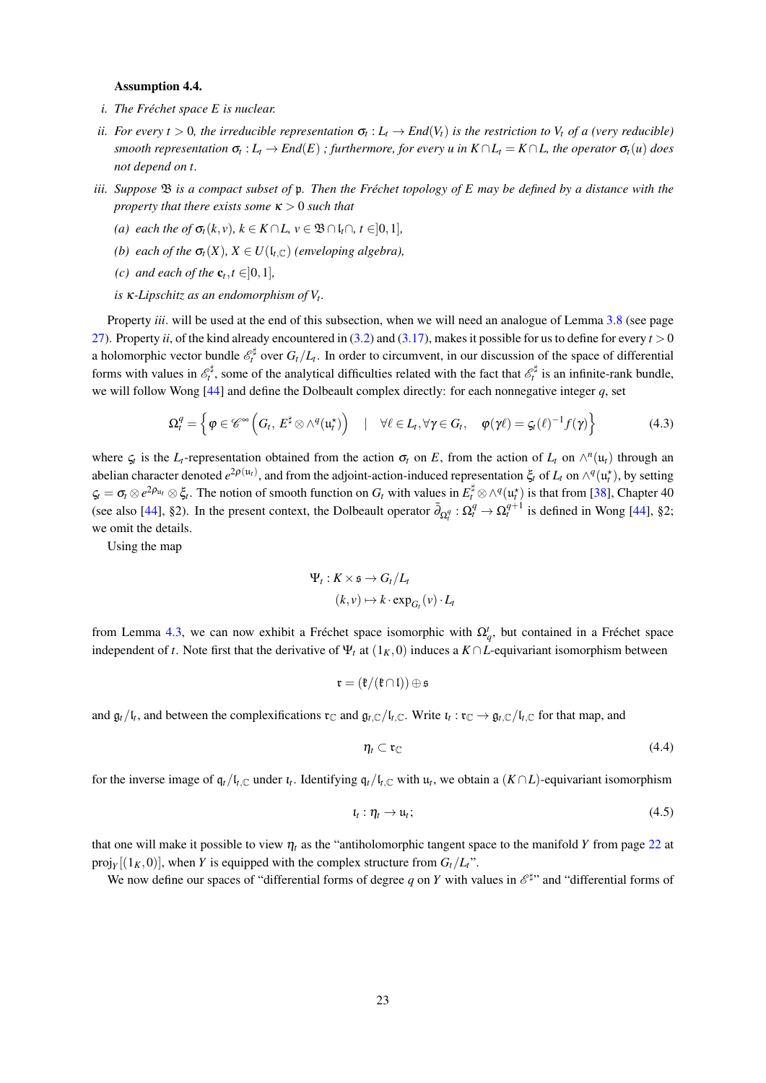# **Assumption 4.4.**

- i. The Fréchet space  $E$  is nuclear.
- ii. For every  $t > 0$ , the irreducible representation  $\sigma_t : L_t \to End(V_t)$  is the restriction to  $V_t$  of a (very reducible) smooth representation  $\sigma_t : L_t \to End(E)$ ; furthermore, for every u in  $K \cap L_t = K \cap L$ , the operator  $\sigma_t(u)$  does not depend on t.
- iii. Suppose  $\mathfrak B$  is a compact subset of  $\mathfrak p$ . Then the Fréchet topology of E may be defined by a distance with the property that there exists some  $\kappa > 0$  such that
	- (a) each the of  $\sigma_t(k, v)$ ,  $k \in K \cap L$ ,  $v \in \mathfrak{B} \cap \mathfrak{l}_t \cap$ ,  $t \in ]0, 1]$ ,
	- (b) each of the  $\sigma_t(X)$ ,  $X \in U(\mathfrak{l}_{t,\mathbb{C}})$  (enveloping algebra),
	- (c) and each of the  $\mathbf{c}_t, t \in ]0,1]$ ,
	- is  $\kappa$ -Lipschitz as an endomorphism of  $V_t$ .

Property *iii*. will be used at the end of this subsection, when we will need an analogue of Lemma 3.8 (see page 27). Property ii, of the kind already encountered in (3.2) and (3.17), makes it possible for us to define for every  $t > 0$ a holomorphic vector bundle  $\mathscr{E}_t^{\sharp}$  over  $G_t/L_t$ . In order to circumvent, in our discussion of the space of differential forms with values in  $\mathscr{E}_t^{\sharp}$ , some of the analytical difficulties related with the fact that  $\mathscr{E}_t^{\sharp}$  is an infinite-rank bundle, we will follow Wong [44] and define the Dolbeault complex directly: for each nonnegative integer  $q$ , set

$$
\Omega_t^q = \left\{ \varphi \in \mathscr{C}^{\infty} \left( G_t, E^{\sharp} \otimes \wedge^q (u_t^{\star}) \right) \quad | \quad \forall \ell \in L_t, \forall \gamma \in G_t, \quad \varphi(\gamma \ell) = \varsigma_t (\ell)^{-1} f(\gamma) \right\}
$$
(4.3)

where  $\zeta_t$  is the  $L_t$ -representation obtained from the action  $\sigma_t$  on E, from the action of  $L_t$  on  $\wedge^n(u_t)$  through an abelian character denoted  $e^{2\rho(u_t)}$ , and from the adjoint-action-induced representation  $\xi_t$  of  $L_t$  on  $\wedge^q(u_t^*)$ , by setting  $\zeta_t = \sigma_t \otimes e^{2\rho_{u_t}} \otimes \xi_t$ . The notion of smooth function on  $G_t$  with values in  $E_t^{\sharp} \otimes \wedge^q(u_t^*)$  is that from [38], Chapter 40 (see also [44], §2). In the present context, the Dolbeault operator  $\bar{\partial}_{\Omega_i^q} : \Omega_t^q \to \Omega_t^{q+1}$  is defined in Wong [44], §2; we omit the details.

Using the map

$$
\Psi_t: K \times \mathfrak{s} \to G_t/L_t
$$

$$
(k, v) \mapsto k \cdot \exp_{G_t}(v) \cdot L
$$

from Lemma 4.3, we can now exhibit a Fréchet space isomorphic with  $\Omega_a^t$ , but contained in a Fréchet space independent of t. Note first that the derivative of  $\Psi_t$  at  $(1_K, 0)$  induces a  $K \cap L$ -equivariant isomorphism between

$$
\mathfrak{r}=(\mathfrak{k}/(\mathfrak{k}\cap \mathfrak{l}))\oplus \mathfrak{s}
$$

and  $\mathfrak{g}_t/\mathfrak{l}_t$ , and between the complexifications  $\mathfrak{r}_\mathbb{C}$  and  $\mathfrak{g}_{t,\mathbb{C}}/\mathfrak{l}_{t,\mathbb{C}}$ . Write  $\mathfrak{l}_t : \mathfrak{r}_\mathbb{C} \to \mathfrak{g}_{t,\mathbb{C}}/\mathfrak{l}_{t,\mathbb{C}}$  for that map, and

$$
\eta_t \subset \mathfrak{r}_\mathbb{C} \tag{4.4}
$$

for the inverse image of  $q_t/l_{t,\mathbb{C}}$  under  $t_t$ . Identifying  $q_t/l_{t,\mathbb{C}}$  with  $u_t$ , we obtain a  $(K \cap L)$ -equivariant isomorphism

$$
u_t : \eta_t \to u_t; \tag{4.5}
$$

that one will make it possible to view  $\eta_t$  as the "antiholomorphic tangent space to the manifold Y from page 22 at proj<sub>y</sub>[ $(1_K, 0)$ ], when Y is equipped with the complex structure from  $G_t/L_t$ ".

We now define our spaces of "differential forms of degree q on Y with values in  $\mathcal{E}^{\sharp}$ " and "differential forms of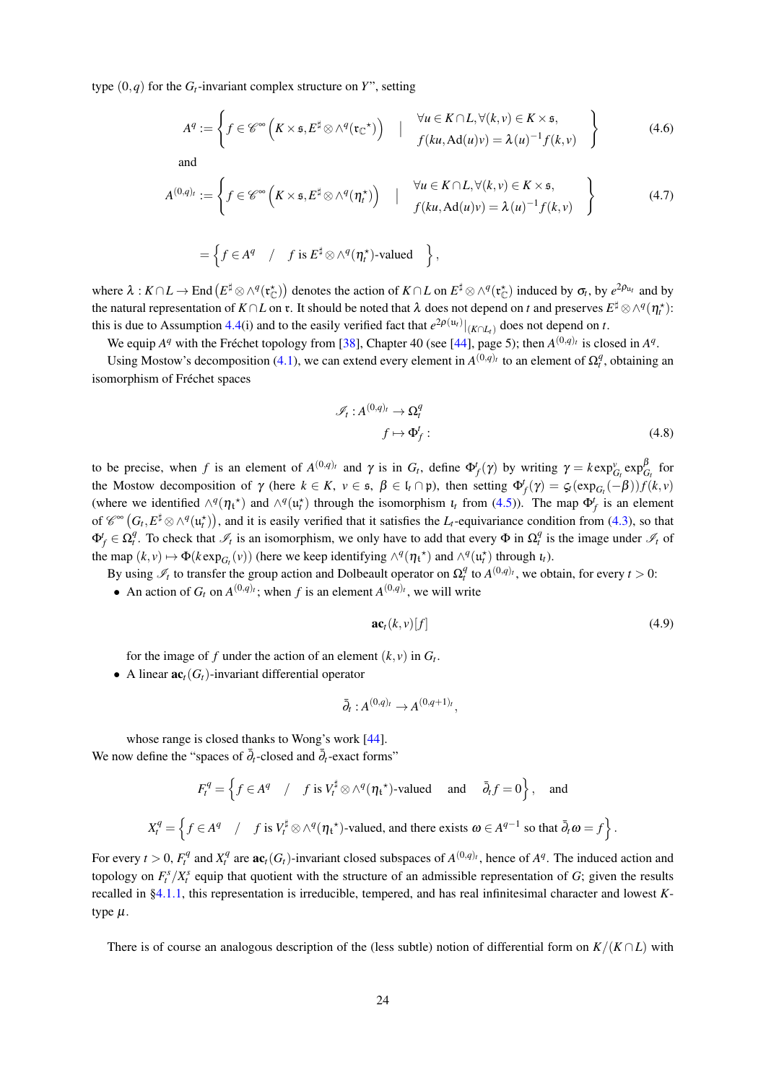type  $(0, q)$  for the  $G_t$ -invariant complex structure on Y", setting

$$
A^{q} := \left\{ f \in \mathscr{C}^{\infty} \left( K \times \mathfrak{s}, E^{\sharp} \otimes \wedge^{q}(\mathfrak{r}_{\mathbb{C}}^{\star}) \right) \quad | \quad \begin{array}{l} \forall u \in K \cap L, \forall (k, v) \in K \times \mathfrak{s}, \\ f(ku, \text{Ad}(u)v) = \lambda(u)^{-1} f(k, v) \end{array} \right\}
$$
(4.6)

and

$$
A^{(0,q)_t} := \left\{ f \in \mathscr{C}^\infty \left( K \times \mathfrak{s}, E^\sharp \otimes \wedge^q (\eta_t^\star) \right) \quad | \quad \begin{array}{l} \forall u \in K \cap L, \forall (k, v) \in K \times \mathfrak{s}, \\ f(ku, \mathrm{Ad}(u)v) = \lambda(u)^{-1} f(k, v) \end{array} \right\} \tag{4.7}
$$

$$
= \left\{ f \in A^q \quad / \quad f \text{ is } E^{\sharp} \otimes \wedge^q (\eta_t^{\star}) \text{-valued} \quad \right\},
$$

where  $\lambda : K \cap L \to \text{End}(E^{\sharp} \otimes \wedge^{q}(\mathfrak{r}_{\mathbb{C}}^{\star}))$  denotes the action of  $K \cap L$  on  $E^{\sharp} \otimes \wedge^{q}(\mathfrak{r}_{\mathbb{C}}^{\star})$  induced by  $\sigma_t$ , by  $e^{2\rho_{u_t}}$  and by the natural representation of  $K \cap L$  on r. It should be noted that  $\lambda$  does not depend on t and preserves  $E^{\sharp} \otimes \wedge^q (\eta_1^{\star})$ : this is due to Assumption 4.4(i) and to the easily verified fact that  $e^{2\rho(u_t)}|_{(K \cap L_t)}$  does not depend on t.

We equip  $A^q$  with the Fréchet topology from [38], Chapter 40 (see [44], page 5); then  $A^{(0,q)_t}$  is closed in  $A^q$ .

Using Mostow's decomposition (4.1), we can extend every element in  $A^{(0,q)_t}$  to an element of  $\Omega_t^q$ , obtaining an isomorphism of Fréchet spaces

$$
\mathcal{I}_t: A^{(0,q)_t} \to \Omega_t^q
$$
  

$$
f \mapsto \Phi_f^t:
$$
 (4.8)

to be precise, when f is an element of  $A^{(0,q)_t}$  and  $\gamma$  is in  $G_t$ , define  $\Phi_f^t(\gamma)$  by writing  $\gamma = k \exp_{G_t}^{\gamma} \exp_{G_t}^{\beta}$  for the Mostow decomposition of  $\gamma$  (here  $k \in K$ ,  $v \in \mathfrak{s}$ ,  $\beta \in \mathfrak{l}_t \cap \mathfrak{p}$ ), then setting  $\Phi_f'(\gamma) = \varsigma_f(\exp_{G_f}(-\beta))f(k, v)$ (where we identified  $\wedge^q(\eta_t^*)$  and  $\wedge^q(\mu_t^*)$  through the isomorphism  $\iota_t$  from (4.5)). The map  $\Phi_f^t$  is an element of  $\mathscr{C}^{\infty}(G_t, E^{\sharp} \otimes \wedge^q(\mathfrak{u}_t^*))$ , and it is easily verified that it satisfies the  $L_t$ -equivariance condition from (4.3), so that  $\Phi_f^t \in \Omega_t^q$ . To check that  $\mathcal{I}_t$  is an isomorphism, we only have to add that every  $\Phi$  in  $\Omega_t^q$  is the image under  $\mathcal{I}_t$  of the map  $(k, v) \mapsto \Phi(k \exp_{G_v}(v))$  (here we keep identifying  $\wedge^q(\eta_t^*)$  and  $\wedge^q(\mathfrak{u}_t^*)$  through  $\iota_t$ ).

By using  $\mathcal{I}_t$  to transfer the group action and Dolbeault operator on  $\Omega_t^q$  to  $A^{(0,q)_t}$ , we obtain, for every  $t > 0$ :

• An action of  $G_t$  on  $A^{(0,q)_t}$ ; when f is an element  $A^{(0,q)_t}$ , we will write

$$
\mathbf{ac}_t(k,\nu)[f] \tag{4.9}
$$

for the image of f under the action of an element  $(k, v)$  in  $G_t$ .

• A linear  $\mathbf{ac}_t(G_t)$ -invariant differential operator

$$
\bar{\partial}_t: A^{(0,q)_t} \to A^{(0,q+1)_t},
$$

whose range is closed thanks to Wong's work [44]. We now define the "spaces of  $\overline{\partial}_t$ -closed and  $\overline{\partial}_t$ -exact forms"

$$
F_t^q = \left\{ f \in A^q \quad / \quad f \text{ is } V_t^{\sharp} \otimes \wedge^q (\eta_t^*) \text{-valued} \quad \text{and} \quad \bar{\partial}_t f = 0 \right\}, \quad \text{and}
$$
  

$$
X_t^q = \left\{ f \in A^q \quad / \quad f \text{ is } V_t^{\sharp} \otimes \wedge^q (\eta_t^*) \text{-valued, and there exists } \omega \in A^{q-1} \text{ so that } \bar{\partial}_t \omega = f \right\}
$$

For every  $t > 0$ ,  $F_t^q$  and  $X_t^q$  are  $ac_t(G_t)$ -invariant closed subspaces of  $A^{(0,q)_t}$ , hence of  $A^q$ . The induced action and topology on  $F_t^s/X_t^s$  equip that quotient with the structure of an admissible representation of G; given the results recalled in  $\S4.1.1$ , this representation is irreducible, tempered, and has real infinitesimal character and lowest Ktype  $\mu$ .

There is of course an analogous description of the (less subtle) notion of differential form on  $K/(K \cap L)$  with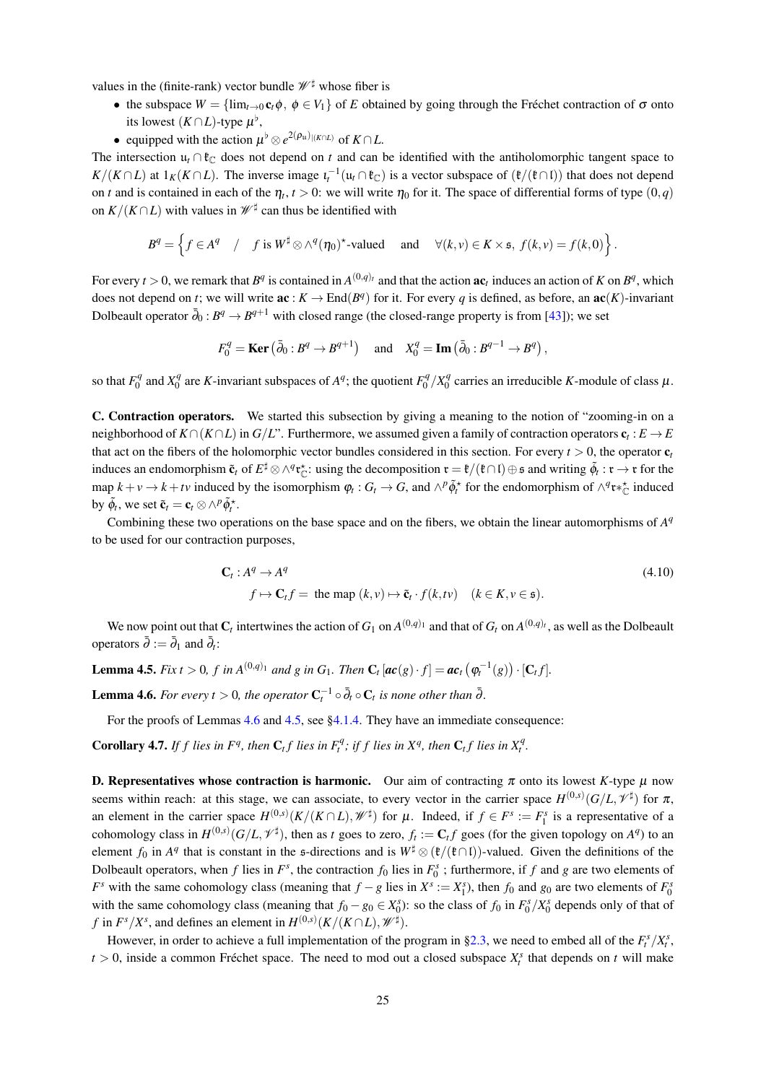values in the (finite-rank) vector bundle  $\mathcal{W}^{\sharp}$  whose fiber is

- the subspace  $W = \{\lim_{t\to 0} c_t \phi, \phi \in V_1\}$  of E obtained by going through the Fréchet contraction of  $\sigma$  onto its lowest  $(K \cap L)$ -type  $\mu^{\flat}$ ,
- equipped with the action  $\mu^{\flat} \otimes e^{2(\rho_{\mathfrak{u}})|(K \cap L)}$  of  $K \cap L$ .

The intersection  $u_t \cap \mathfrak{k}_\mathbb{C}$  does not depend on t and can be identified with the antiholomorphic tangent space to  $K/(K \cap L)$  at  $1_K(K \cap L)$ . The inverse image  $\iota_t^{-1}(u_t \cap \mathfrak{k}_\mathbb{C})$  is a vector subspace of  $(\mathfrak{k}/(\mathfrak{k} \cap L))$  that does not depend on t and is contained in each of the  $\eta_t$ ,  $t > 0$ : we will write  $\eta_0$  for it. The space of differential forms of type  $(0, q)$ on  $K/(K \cap L)$  with values in  $\mathscr{W}^{\sharp}$  can thus be identified with

$$
B^q = \left\{ f \in A^q \quad / \quad f \text{ is } W^{\sharp} \otimes \wedge^q (\eta_0)^{\star} \text{-valued} \quad \text{ and } \quad \forall (k, v) \in K \times \mathfrak{s}, \ f(k, v) = f(k, 0) \right\}.
$$

For every  $t > 0$ , we remark that  $B^q$  is contained in  $A^{(0,q)_t}$  and that the action **ac**, induces an action of K on  $B^q$ , which does not depend on t; we will write  $ac: K \to End(B^q)$  for it. For every q is defined, as before, an  $ac(K)$ -invariant Dolbeault operator  $\bar{\partial}_0 : B^q \to B^{q+1}$  with closed range (the closed-range property is from [43]); we set

$$
F_0^q = \text{Ker}(\bar{\partial}_0: B^q \to B^{q+1}) \quad \text{and} \quad X_0^q = \text{Im}(\bar{\partial}_0: B^{q-1} \to B^q),
$$

so that  $F_0^q$  and  $X_0^q$  are K-invariant subspaces of  $A^q$ ; the quotient  $F_0^q/X_0^q$  carries an irreducible K-module of class  $\mu$ .

C. Contraction operators. We started this subsection by giving a meaning to the notion of "zooming-in on a neighborhood of  $K \cap (K \cap L)$  in  $G/L$ ". Furthermore, we assumed given a family of contraction operators  $c_t : E \to E$ that act on the fibers of the holomorphic vector bundles considered in this section. For every  $t > 0$ , the operator  $c_t$ induces an endomorphism  $\tilde{\mathfrak{e}}_t$  of  $E^{\sharp} \otimes \wedge^q \mathfrak{r}_{\mathbb{C}}^*$  using the decomposition  $\mathfrak{r} = \mathfrak{k}/(\mathfrak{k} \cap \mathfrak{l}) \oplus \mathfrak{s}$  and writing  $\tilde{\phi}_t : \mathfrak{r} \to \mathfrak{r}$  for the map  $k+v\to k+t\nu$  induced by the isomorphism  $\varphi_t:G_t\to G$ , and  $\wedge^p\tilde{\varphi}_t^*$  for the endomorphism of  $\wedge^q\mathfrak{r}^*_{\mathfrak{m}}$  induced by  $\tilde{\phi}_t$ , we set  $\tilde{\mathbf{c}}_t = \mathbf{c}_t \otimes \wedge^p \tilde{\phi}_t^*$ .

Combining these two operations on the base space and on the fibers, we obtain the linear automorphisms of  $A<sup>q</sup>$ to be used for our contraction purposes,

$$
\mathbf{C}_{t}: A^{q} \to A^{q}
$$
\n
$$
f \mapsto \mathbf{C}_{t}f = \text{ the map } (k, v) \mapsto \tilde{\mathbf{c}}_{t} \cdot f(k, tv) \quad (k \in K, v \in \mathfrak{s}).
$$
\n
$$
(4.10)
$$

We now point out that  $C_t$  intertwines the action of  $G_1$  on  $A^{(0,q)_1}$  and that of  $G_t$  on  $A^{(0,q)_t}$ , as well as the Dolbeault operators  $\bar{\partial} := \bar{\partial}_1$  and  $\bar{\partial}_2$ :

**Lemma 4.5.** Fix  $t > 0$ , f in  $A^{(0,q)_1}$  and g in  $G_1$ . Then  $C_t [\textit{ac}(g) \cdot f] = \textit{ac}_t (\varphi_t^{-1}(g)) \cdot [C_t f]$ .

**Lemma 4.6.** For every  $t > 0$ , the operator  $C_t^{-1} \circ \overline{\partial}_t \circ C_t$  is none other than  $\overline{\partial}_t$ .

For the proofs of Lemmas  $4.6$  and  $4.5$ , see  $\S 4.1.4$ . They have an immediate consequence:

**Corollary 4.7.** If f lies in  $F^q$ , then  $C_t f$  lies in  $F_t^q$ ; if f lies in  $X^q$ , then  $C_t f$  lies in  $X_t^q$ .

**D. Representatives whose contraction is harmonic.** Our aim of contracting  $\pi$  onto its lowest K-type  $\mu$  now seems within reach: at this stage, we can associate, to every vector in the carrier space  $H^{(0,s)}(G/L, \mathcal{V}^{\sharp})$  for  $\pi$ , an element in the carrier space  $H^{(0,s)}(K/(K \cap L), \mathscr{W}^{\sharp})$  for  $\mu$ . Indeed, if  $f \in F^s := F_1^s$  is a representative of a cohomology class in  $H^{(0,s)}(G/L, \mathcal{V}^{\sharp})$ , then as t goes to zero,  $f_t := \mathbf{C}_t f$  goes (for the given topology on  $A^q$ ) to an element  $f_0$  in  $A^q$  that is constant in the s-directions and is  $W^{\sharp} \otimes (\mathfrak{k}/(\mathfrak{k} \cap \mathfrak{l}))$ -valued. Given the definitions of the Dolbeault operators, when f lies in  $F^s$ , the contraction  $f_0$  lies in  $F_0^s$ ; furthermore, if f and g are two elements of  $F^s$  with the same cohomology class (meaning that  $f-g$  lies in  $X^s := X_1^s$ ), then  $f_0$  and  $g_0$  are two elements of  $F_0^s$ with the same cohomology class (meaning that  $f_0 - g_0 \in X_0^s$ ): so the class of  $f_0$  in  $F_0^s / X_0^s$  depends only of that of f in  $F^s/X^s$ , and defines an element in  $H^{(0,s)}(K/(K \cap L), \mathscr{W}^{\sharp}).$ 

However, in order to achieve a full implementation of the program in §2.3, we need to embed all of the  $F_r^s/X_r^s$ ,  $t > 0$ , inside a common Fréchet space. The need to mod out a closed subspace  $X_t^s$  that depends on t will make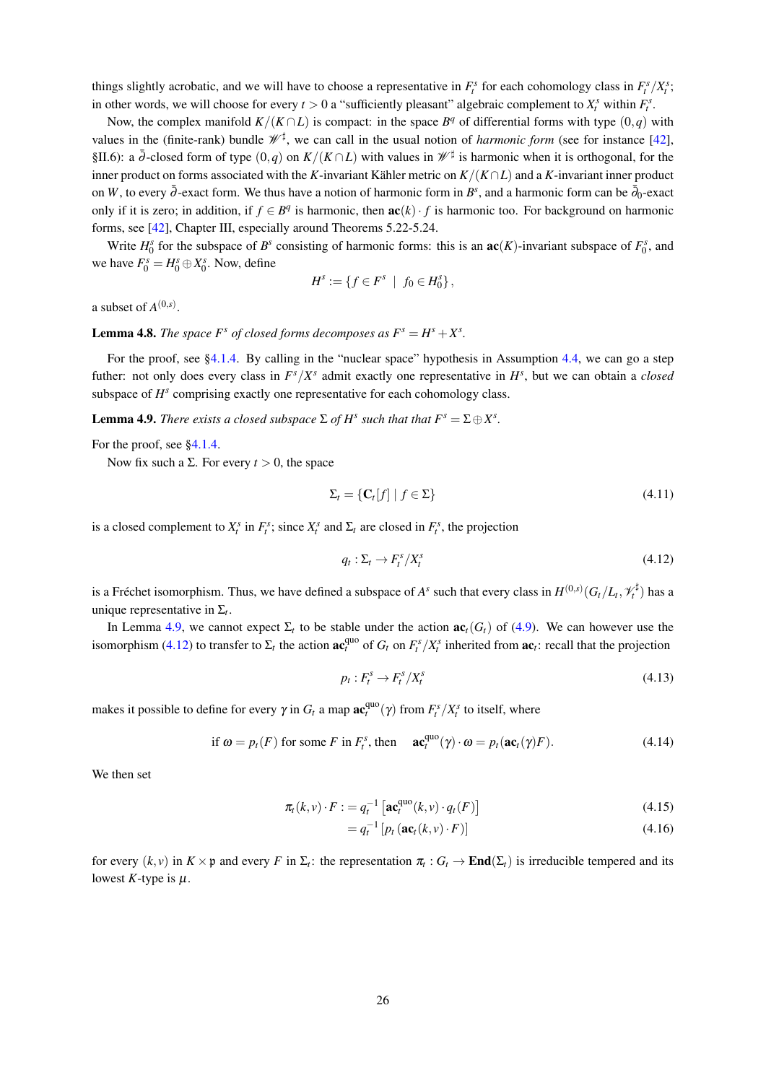things slightly acrobatic, and we will have to choose a representative in  $F_t^s$  for each cohomology class in  $F_t^s/X_t^s$ . in other words, we will choose for every  $t > 0$  a "sufficiently pleasant" algebraic complement to  $X_t^s$  within  $F_t^s$ .

Now, the complex manifold  $K/(K \cap L)$  is compact: in the space  $B<sup>q</sup>$  of differential forms with type  $(0,q)$  with values in the (finite-rank) bundle  $\mathcal{W}^{\sharp}$ , we can call in the usual notion of *harmonic form* (see for instance [42], §II.6): a  $\overline{\partial}$ -closed form of type  $(0, q)$  on  $K/(K \cap L)$  with values in  $\mathscr{W}^{\sharp}$  is harmonic when it is orthogonal, for the inner product on forms associated with the K-invariant Kähler metric on  $K/(K \cap L)$  and a K-invariant inner product on W, to every  $\bar{\partial}$ -exact form. We thus have a notion of harmonic form in B<sup>s</sup>, and a harmonic form can be  $\bar{\partial}_0$ -exact only if it is zero; in addition, if  $f \in B^q$  is harmonic, then  $\mathbf{ac}(k) \cdot f$  is harmonic too. For background on harmonic forms, see [42], Chapter III, especially around Theorems 5.22-5.24.

Write  $H_0^s$  for the subspace of  $B^s$  consisting of harmonic forms: this is an  $ac(K)$ -invariant subspace of  $F_0^s$ , and we have  $F_0^s = H_0^s \oplus X_0^s$ . Now, define

$$
H^s := \{ f \in F^s \mid f_0 \in H_0^s \},
$$

a subset of  $A^{(0,s)}$ .

**Lemma 4.8.** The space  $F^s$  of closed forms decomposes as  $F^s = H^s + X^s$ .

For the proof, see §4.1.4. By calling in the "nuclear space" hypothesis in Assumption 4.4, we can go a step futher: not only does every class in  $F^s/X^s$  admit exactly one representative in  $H^s$ , but we can obtain a closed subspace of  $H<sup>s</sup>$  comprising exactly one representative for each cohomology class.

**Lemma 4.9.** There exists a closed subspace  $\Sigma$  of  $H^s$  such that that  $F^s = \Sigma \oplus X^s$ .

For the proof, see  $84.1.4$ .

Now fix such a  $\Sigma$ . For every  $t > 0$ , the space

$$
\Sigma_t = \{ \mathbf{C}_t[f] \mid f \in \Sigma \} \tag{4.11}
$$

is a closed complement to  $X_t^s$  in  $F_t^s$ ; since  $X_t^s$  and  $\Sigma_t$  are closed in  $F_t^s$ , the projection

$$
q_t: \Sigma_t \to F_t^s / X_t^s \tag{4.12}
$$

is a Fréchet isomorphism. Thus, we have defined a subspace of  $A^s$  such that every class in  $H^{(0,s)}(G_t/L_t, \mathcal{V}_t^{\sharp})$  has a unique representative in  $\Sigma_t$ .

In Lemma 4.9, we cannot expect  $\Sigma_t$  to be stable under the action  $\mathbf{ac}_t(G_t)$  of (4.9). We can however use the isomorphism (4.12) to transfer to  $\Sigma_t$  the action  $\mathbf{ac}_t^{\text{quo}}$  of  $G_t$  on  $F_t^s/X_t^s$  inherited from  $\mathbf{ac}_t$ : recall that the projection

$$
p_t: F_t^s \to F_t^s / X_t^s \tag{4.13}
$$

makes it possible to define for every  $\gamma$  in  $G_t$  a map  $\mathbf{ac}_t^{\text{quo}}(\gamma)$  from  $F_t^s/X_t^s$  to itself, where

if 
$$
\omega = p_t(F)
$$
 for some F in  $F_t^s$ , then  $\mathbf{ac}_t^{\text{quo}}(\gamma) \cdot \omega = p_t(\mathbf{ac}_t(\gamma)F).$  (4.14)

We then set

$$
\pi_t(k, v) \cdot F := q_t^{-1} \left[ \mathbf{ac}_t^{\text{quo}}(k, v) \cdot q_t(F) \right] \tag{4.15}
$$

$$
=q_t^{-1}\left[p_t\left(\mathbf{ac}_t(k,v)\cdot F\right)\right]
$$
\n(4.16)

for every  $(k, v)$  in  $K \times \mathfrak{p}$  and every F in  $\Sigma_i$ : the representation  $\pi_i : G_i \to \mathbf{End}(\Sigma_i)$  is irreducible tempered and its lowest K-type is  $\mu$ .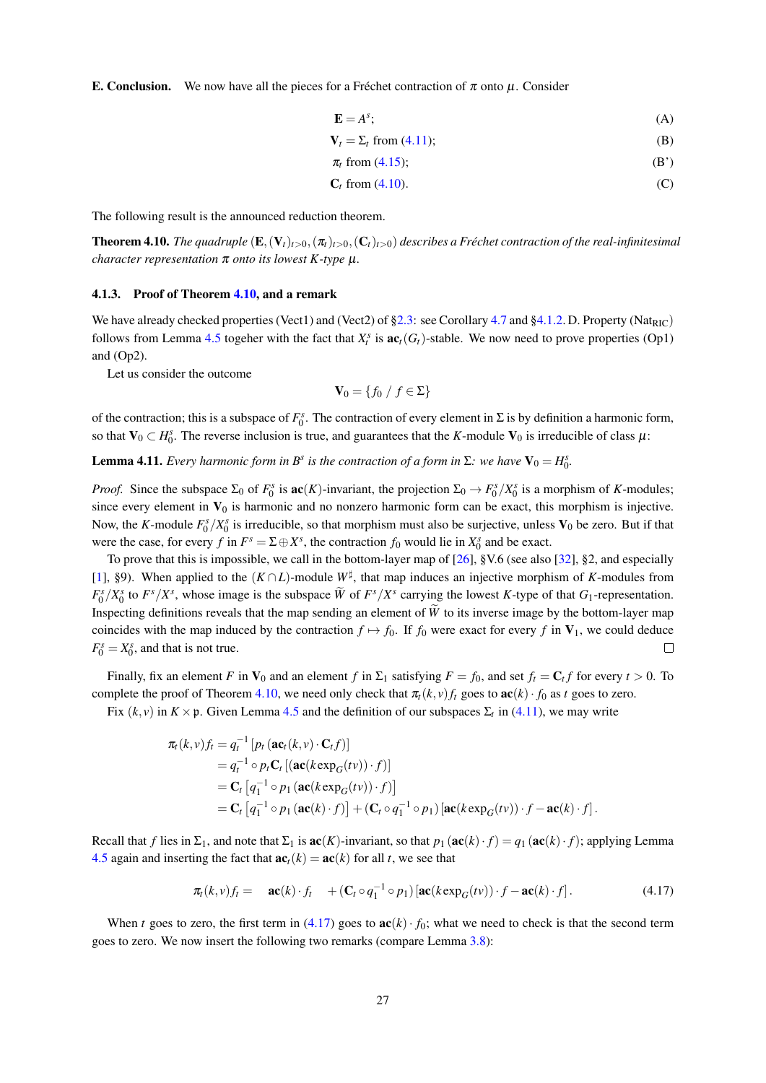**E. Conclusion.** We now have all the pieces for a Fréchet contraction of  $\pi$  onto  $\mu$ . Consider

$$
\mathbf{E} = A^s; \tag{A}
$$

$$
\mathbf{V}_t = \Sigma_t \text{ from (4.11)};
$$
 (B)

$$
\pi_t \text{ from (4.15)}; \tag{B'}
$$

 $C_t$  from (4.10).  $(C)$ 

The following result is the announced reduction theorem.

**Theorem 4.10.** The quadruple  $(E, (V_t)_{t>0}, (\pi_t)_{t>0}, (C_t)_{t>0})$  describes a Fréchet contraction of the real-infinitesimal character representation  $\pi$  onto its lowest K-type  $\mu$ .

#### 4.1.3. Proof of Theorem 4.10, and a remark

We have already checked properties (Vect1) and (Vect2) of §2.3: see Corollary 4.7 and §4.1.2. D. Property (Nat<sub>RIC</sub>) follows from Lemma 4.5 togeher with the fact that  $X_t^s$  is  $ac_t(G_t)$ -stable. We now need to prove properties (Op1) and  $(Op2)$ .

Let us consider the outcome

$$
\mathbf{V}_0 = \{f_0 \mid f \in \Sigma\}
$$

of the contraction; this is a subspace of  $F_0^s$ . The contraction of every element in  $\Sigma$  is by definition a harmonic form, so that  $V_0 \subset H_0^s$ . The reverse inclusion is true, and guarantees that the K-module  $V_0$  is irreducible of class  $\mu$ :

**Lemma 4.11.** Every harmonic form in B<sup>s</sup> is the contraction of a form in  $\Sigma$ : we have  $V_0 = H_0^s$ .

*Proof.* Since the subspace  $\Sigma_0$  of  $F_0^s$  is  $\mathbf{ac}(K)$ -invariant, the projection  $\Sigma_0 \to F_0^s / X_0^s$  is a morphism of K-modules; since every element in  $V_0$  is harmonic and no nonzero harmonic form can be exact, this morphism is injective. Now, the K-module  $F_0^s/X_0^s$  is irreducible, so that morphism must also be surjective, unless  $V_0$  be zero. But if that were the case, for every f in  $F^s = \Sigma \oplus X^s$ , the contraction  $f_0$  would lie in  $X_0^s$  and be exact.

To prove that this is impossible, we call in the bottom-layer map of  $[26]$ , §V.6 (see also  $[32]$ , §2, and especially [1], §9). When applied to the  $(K \cap L)$ -module  $W^{\sharp}$ , that map induces an injective morphism of K-modules from  $F_0^s/X_0^s$  to  $F^s/X^s$ , whose image is the subspace  $\widetilde{W}$  of  $F^s/X^s$  carrying the lowest K-type of that  $G_1$ -representation. Inspecting definitions reveals that the map sending an element of  $\tilde{W}$  to its inverse image by the bottom-layer map coincides with the map induced by the contraction  $f \mapsto f_0$ . If  $f_0$  were exact for every f in  $V_1$ , we could deduce  $F_0^s = X_0^s$ , and that is not true.  $\Box$ 

Finally, fix an element F in  $V_0$  and an element f in  $\Sigma_1$  satisfying  $F = f_0$ , and set  $f_t = C_t f$  for every  $t > 0$ . To complete the proof of Theorem 4.10, we need only check that  $\pi_t(k, v) f_t$  goes to  $\mathbf{ac}(k) \cdot f_0$  as t goes to zero. Fix  $(k, y)$  in  $K \times p$ . Given Lemma 4.5 and the definition of our subspaces  $\Sigma_t$  in (4.11), we may write

$$
\pi_t(k, v) f_t = q_t^{-1} [p_t (\mathbf{ac}_t(k, v) \cdot \mathbf{C}_t f)]
$$
  
\n
$$
= q_t^{-1} \circ p_t \mathbf{C}_t [(\mathbf{ac}(k \exp_G(tv)) \cdot f)]
$$
  
\n
$$
= \mathbf{C}_t [q_1^{-1} \circ p_1 (\mathbf{ac}(k \exp_G(tv)) \cdot f)]
$$
  
\n
$$
= \mathbf{C}_t [q_1^{-1} \circ p_1 (\mathbf{ac}(k) \cdot f)] + (\mathbf{C}_t \circ q_1^{-1} \circ p_1) [\mathbf{ac}(k \exp_G(tv)) \cdot f - \mathbf{ac}(k) \cdot f].
$$

Recall that f lies in  $\Sigma_1$ , and note that  $\Sigma_1$  is  $\mathbf{ac}(K)$ -invariant, so that  $p_1(\mathbf{ac}(k) \cdot f) = q_1(\mathbf{ac}(k) \cdot f)$ ; applying Lemma 4.5 again and inserting the fact that  $ac<sub>t</sub>(k) = ac(k)$  for all t, we see that

$$
\pi_t(k,\nu)f_t = \mathbf{ac}(k) \cdot f_t + (\mathbf{C}_t \circ q_1^{-1} \circ p_1) [\mathbf{ac}(k \exp_G(t\nu)) \cdot f - \mathbf{ac}(k) \cdot f]. \tag{4.17}
$$

When t goes to zero, the first term in (4.17) goes to  $\mathbf{ac}(k) \cdot f_0$ ; what we need to check is that the second term goes to zero. We now insert the following two remarks (compare Lemma 3.8):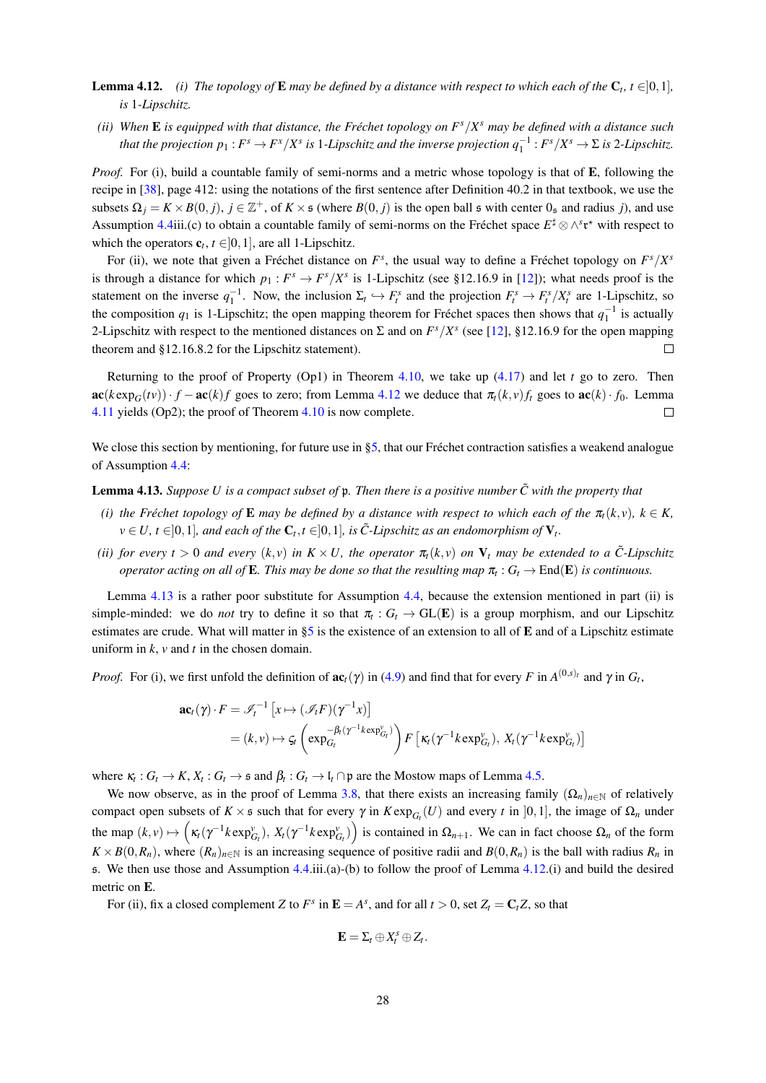- **Lemma 4.12.** (i) The topology of **E** may be defined by a distance with respect to which each of the  $C_t$ ,  $t \in ]0,1]$ , is 1-Lipschitz.
- (ii) When **E** is equipped with that distance, the Fréchet topology on  $F<sup>s</sup>/X<sup>s</sup>$  may be defined with a distance such that the projection  $p_1: F^s \to F^x/X^s$  is 1-Lipschitz and the inverse projection  $q_1^{-1}: F^s/X^s \to \Sigma$  is 2-Lipschitz.

*Proof.* For (i), build a countable family of semi-norms and a metric whose topology is that of **E**, following the recipe in  $[38]$ , page 412: using the notations of the first sentence after Definition 40.2 in that textbook, we use the subsets  $\Omega_i = K \times B(0, i)$ ,  $j \in \mathbb{Z}^+$ , of  $K \times \mathfrak{s}$  (where  $B(0, i)$ ) is the open ball  $\mathfrak{s}$  with center  $0_{\mathfrak{s}}$  and radius j), and use Assumption 4.4iii.(c) to obtain a countable family of semi-norms on the Fréchet space  $E^{\sharp} \otimes \wedge^s \mathfrak{r}^*$  with respect to which the operators  $\mathbf{c}_t$ ,  $t \in ]0,1]$ , are all 1-Lipschitz.

For (ii), we note that given a Fréchet distance on  $F^s$ , the usual way to define a Fréchet topology on  $F^s/X^s$ is through a distance for which  $p_1: F^s \to F^s/X^s$  is 1-Lipschitz (see §12.16.9 in [12]); what needs proof is the statement on the inverse  $q_1^{-1}$ . Now, the inclusion  $\Sigma_t \hookrightarrow F_t^s$  and the projection  $F_t^s \to F_t^s / X_t^s$  are 1-Lipschitz, so the composition  $q_1$  is 1-Lipschitz; the open mapping theorem for Fréchet spaces then shows that  $q_1^{-1}$  is actually 2-Lipschitz with respect to the mentioned distances on  $\Sigma$  and on  $F<sup>s</sup>/X<sup>s</sup>$  (see [12], §12.16.9 for the open mapping theorem and §12.16.8.2 for the Lipschitz statement).  $\Box$ 

Returning to the proof of Property (Op1) in Theorem 4.10, we take up  $(4.17)$  and let t go to zero. Then  $\mathbf{ac}(k \exp_{C}(tv)) \cdot f - \mathbf{ac}(k)f$  goes to zero; from Lemma 4.12 we deduce that  $\pi_t(k, v)f_t$  goes to  $\mathbf{ac}(k) \cdot f_0$ . Lemma 4.11 yields (Op2); the proof of Theorem  $4.10$  is now complete.  $\Box$ 

We close this section by mentioning, for future use in §5, that our Fréchet contraction satisfies a weakend analogue of Assumption 4.4:

**Lemma 4.13.** Suppose U is a compact subset of  $\mathfrak p$ . Then there is a positive number  $\tilde{C}$  with the property that

- (i) the Fréchet topology of **E** may be defined by a distance with respect to which each of the  $\pi_t(k, y)$ ,  $k \in K$ ,  $v \in U$ ,  $t \in ]0,1]$ , and each of the  $C_t$ ,  $t \in ]0,1]$ , is  $\tilde{C}$ -Lipschitz as an endomorphism of  $V_t$ .
- (ii) for every  $t > 0$  and every  $(k, v)$  in  $K \times U$ , the operator  $\pi_t(k, v)$  on  $V_t$  may be extended to a C-Lipschitz operator acting on all of **E**. This may be done so that the resulting map  $\pi_t$ :  $G_t \to \text{End}(\mathbf{E})$  is continuous.

Lemma 4.13 is a rather poor substitute for Assumption 4.4, because the extension mentioned in part (ii) is simple-minded: we do *not* try to define it so that  $\pi_t$ :  $G_t \to GL(E)$  is a group morphism, and our Lipschitz estimates are crude. What will matter in  $\S$ 5 is the existence of an extension to all of E and of a Lipschitz estimate uniform in  $k$ ,  $\nu$  and  $t$  in the chosen domain.

*Proof.* For (i), we first unfold the definition of  $ac_t(\gamma)$  in (4.9) and find that for every F in  $A^{(0,s)_t}$  and  $\gamma$  in  $G_t$ ,

$$
\mathbf{ac}_t(\gamma) \cdot F = \mathscr{I}_t^{-1} \left[ x \mapsto (\mathscr{I}_t F)(\gamma^{-1} x) \right]
$$
  
=  $(k, v) \mapsto \zeta_t \left( \exp_{G_t}^{-\beta_t(\gamma^{-1} k \exp_{G_t}^v)} \right) F \left[ \kappa_t(\gamma^{-1} k \exp_{G_t}^v), X_t(\gamma^{-1} k \exp_{G_t}^v) \right]$ 

where  $\kappa_t : G_t \to K$ ,  $X_t : G_t \to \mathfrak{s}$  and  $\beta_t : G_t \to \mathfrak{l}_t \cap \mathfrak{p}$  are the Mostow maps of Lemma 4.5.

We now observe, as in the proof of Lemma 3.8, that there exists an increasing family  $(\Omega_n)_{n\in\mathbb{N}}$  of relatively compact open subsets of  $K \times$  s such that for every  $\gamma$  in  $K \exp_{G_t}(U)$  and every t in [0,1], the image of  $\Omega_n$  under the map  $(k, v) \mapsto (\kappa_f(\gamma^{-1} k \exp_{G_r}^v), X_f(\gamma^{-1} k \exp_{G_r}^v))$  is contained in  $\Omega_{n+1}$ . We can in fact choose  $\Omega_n$  of the form  $K \times B(0, R_n)$ , where  $(R_n)_{n \in \mathbb{N}}$  is an increasing sequence of positive radii and  $B(0, R_n)$  is the ball with radius  $R_n$  in 5. We then use those and Assumption 4.4.iii.(a)-(b) to follow the proof of Lemma 4.12.(i) and build the desired metric on E.

For (ii), fix a closed complement Z to  $F^s$  in  $\mathbf{E} = A^s$ , and for all  $t > 0$ , set  $Z_t = C_t Z$ , so that

$$
\mathbf{E}=\Sigma_t\oplus X_t^s\oplus Z_t.
$$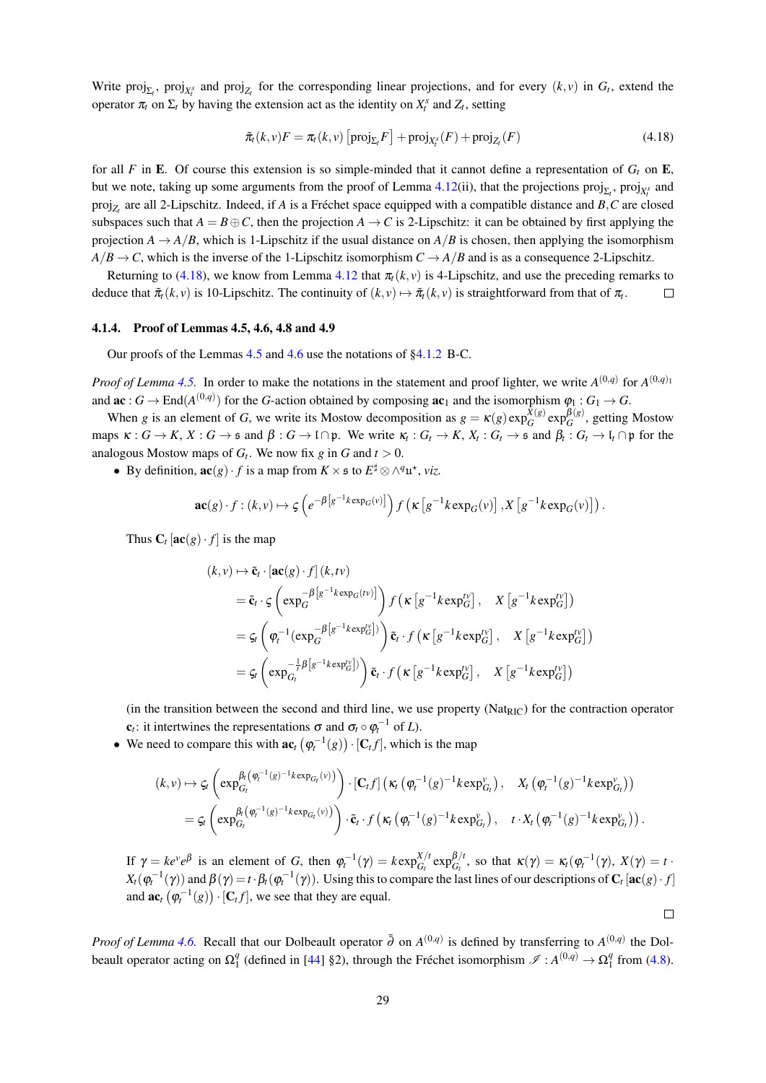Write proj<sub> $\Sigma_t$ </sub>, proj<sub> $X_t$ </sub> and proj<sub> $Z_t$ </sub> for the corresponding linear projections, and for every  $(k, v)$  in  $G_t$ , extend the operator  $\pi_t$  on  $\Sigma_t$  by having the extension act as the identity on  $X_t^s$  and  $Z_t$ , setting

$$
\tilde{\pi}_t(k,\nu)F = \pi_t(k,\nu)\left[\text{proj}_{\Sigma_t}F\right] + \text{proj}_{X_t^s}(F) + \text{proj}_{Z_t}(F) \tag{4.18}
$$

for all F in E. Of course this extension is so simple-minded that it cannot define a representation of  $G_t$  on E, but we note, taking up some arguments from the proof of Lemma 4.12(ii), that the projections  $proj_{\Sigma}$ ,  $proj_{X^{\circ}}$  and  $proj_{Z}$  are all 2-Lipschitz. Indeed, if A is a Fréchet space equipped with a compatible distance and B, C are closed subspaces such that  $A = B \oplus C$ , then the projection  $A \rightarrow C$  is 2-Lipschitz: it can be obtained by first applying the projection  $A \rightarrow A/B$ , which is 1-Lipschitz if the usual distance on  $A/B$  is chosen, then applying the isomorphism  $A/B \rightarrow C$ , which is the inverse of the 1-Lipschitz isomorphism  $C \rightarrow A/B$  and is as a consequence 2-Lipschitz.

Returning to (4.18), we know from Lemma 4.12 that  $\pi_t(k, v)$  is 4-Lipschitz, and use the preceding remarks to deduce that  $\tilde{\pi}_t(k, v)$  is 10-Lipschitz. The continuity of  $(k, v) \mapsto \tilde{\pi}_t(k, v)$  is straightforward from that of  $\pi_t$ .  $\Box$ 

# 4.1.4. Proof of Lemmas 4.5, 4.6, 4.8 and 4.9

Our proofs of the Lemmas  $4.5$  and  $4.6$  use the notations of  $\S4.1.2$  B-C.

*Proof of Lemma 4.5.* In order to make the notations in the statement and proof lighter, we write  $A^{(0,q)}$  for  $A^{(0,q)}$ and  $ac: G \to \text{End}(A^{(0,q)})$  for the G-action obtained by composing  $ac_1$  and the isomorphism  $\varphi_1: G_1 \to G$ .

When g is an element of G, we write its Mostow decomposition as  $g = \kappa(g) \exp_G^{\hat{X}(g)} \exp_G^{\hat{B}(g)}$ , getting Mostow maps  $\kappa: G \to K$ ,  $X: G \to \mathfrak{s}$  and  $\beta: G \to \mathfrak{l} \cap \mathfrak{p}$ . We write  $\kappa_i: G_t \to K$ ,  $X_t: G_t \to \mathfrak{s}$  and  $\beta_t: G_t \to \mathfrak{l}_t \cap \mathfrak{p}$  for the analogous Mostow maps of  $G_t$ . We now fix g in G and  $t > 0$ .

• By definition,  $\mathbf{ac}(g) \cdot f$  is a map from  $K \times \mathfrak{s}$  to  $E^{\sharp} \otimes \wedge^q \mathfrak{u}^*$ , viz.

$$
\mathbf{ac}(g) \cdot f : (k, v) \mapsto \zeta \left( e^{-\beta \left[ g^{-1} k \exp_{G}(v) \right]} \right) f \left( \kappa \left[ g^{-1} k \exp_{G}(v) \right], X \left[ g^{-1} k \exp_{G}(v) \right] \right).
$$

Thus  $C_t$  [ac(g)  $\cdot$  f] is the map

$$
(k, v) \mapsto \tilde{\mathbf{c}}_t \cdot [\mathbf{ac}(g) \cdot f] (k, tv)
$$
  
\n
$$
= \tilde{\mathbf{c}}_t \cdot \varsigma \left( \exp_G^{-\beta [g^{-1}k \exp_G(tv)]} \right) f \left( \kappa [g^{-1}k \exp_G^{tv}] , \quad X [g^{-1}k \exp_G^{tv}] \right)
$$
  
\n
$$
= \varsigma_t \left( \varphi_t^{-1} (\exp_G^{-\beta [g^{-1}k \exp_G^{tv}])} \right) \tilde{\mathbf{c}}_t \cdot f \left( \kappa [g^{-1}k \exp_G^{tv}] , \quad X [g^{-1}k \exp_G^{tv}] \right)
$$
  
\n
$$
= \varsigma_t \left( \exp_{G_t}^{-\frac{1}{t} \beta [g^{-1}k \exp_G^{tv}]} \right) \tilde{\mathbf{c}}_t \cdot f \left( \kappa [g^{-1}k \exp_G^{tv}] , \quad X [g^{-1}k \exp_G^{tv}] \right)
$$

(in the transition between the second and third line, we use property (Nat<sub>RIC</sub>) for the contraction operator  ${\bf c}_t$ : it intertwines the representations  $\sigma$  and  $\sigma_t \circ \varphi_t^{-1}$  of L).

• We need to compare this with  $ac_{t}(\varphi_{t}^{-1}(g)) \cdot [C_{t}f]$ , which is the map

$$
(k, v) \mapsto \zeta_t \left( \exp_{G_t}^{\beta_t \left( \varphi_t^{-1}(g)^{-1} \operatorname{ker} p_{G_t}(v) \right)} \right) \cdot \left[ \mathbf{C}_t f \right] \left( \kappa_t \left( \varphi_t^{-1}(g)^{-1} \operatorname{ker} p_{G_t}^v \right), \quad X_t \left( \varphi_t^{-1}(g)^{-1} \operatorname{ker} p_{G_t}^v \right) \right)
$$
  
= 
$$
\zeta_t \left( \exp_{G_t}^{\beta_t \left( \varphi_t^{-1}(g)^{-1} \operatorname{ker} p_{G_t}(v) \right)} \right) \cdot \tilde{\mathbf{c}}_t \cdot f \left( \kappa_t \left( \varphi_t^{-1}(g)^{-1} \operatorname{ker} p_{G_t}^v \right), \quad t \cdot X_t \left( \varphi_t^{-1}(g)^{-1} \operatorname{ker} p_{G_t}^v \right) \right)
$$

If  $\gamma = ke^{\nu}e^{\beta}$  is an element of G, then  $\varphi_t^{-1}(\gamma) = k \exp_{G_t}^{X/t} \exp_{G_t}^{\beta/t}$ , so that  $\kappa(\gamma) = \kappa_t(\varphi_t^{-1}(\gamma), X(\gamma) = t$ .  $X_t(\varphi_t^{-1}(\gamma))$  and  $\beta(\gamma) = t \cdot \beta_t(\varphi_t^{-1}(\gamma))$ . Using this to compare the last lines of our descriptions of  $C_t [\textbf{ac}(g) \cdot f]$ and  $\mathbf{ac}_t(\varphi_t^{-1}(g)) \cdot [\mathbf{C}_t f]$ , we see that they are equal.

 $\Box$ 

*Proof of Lemma 4.6.* Recall that our Dolbeault operator  $\bar{\partial}$  on  $A^{(0,q)}$  is defined by transferring to  $A^{(0,q)}$  the Dolbeault operator acting on  $\Omega_1^q$  (defined in [44] §2), through the Fréchet isomorphism  $\mathscr{I}: A^{(0,q)} \to \Omega_1^q$  from (4.8).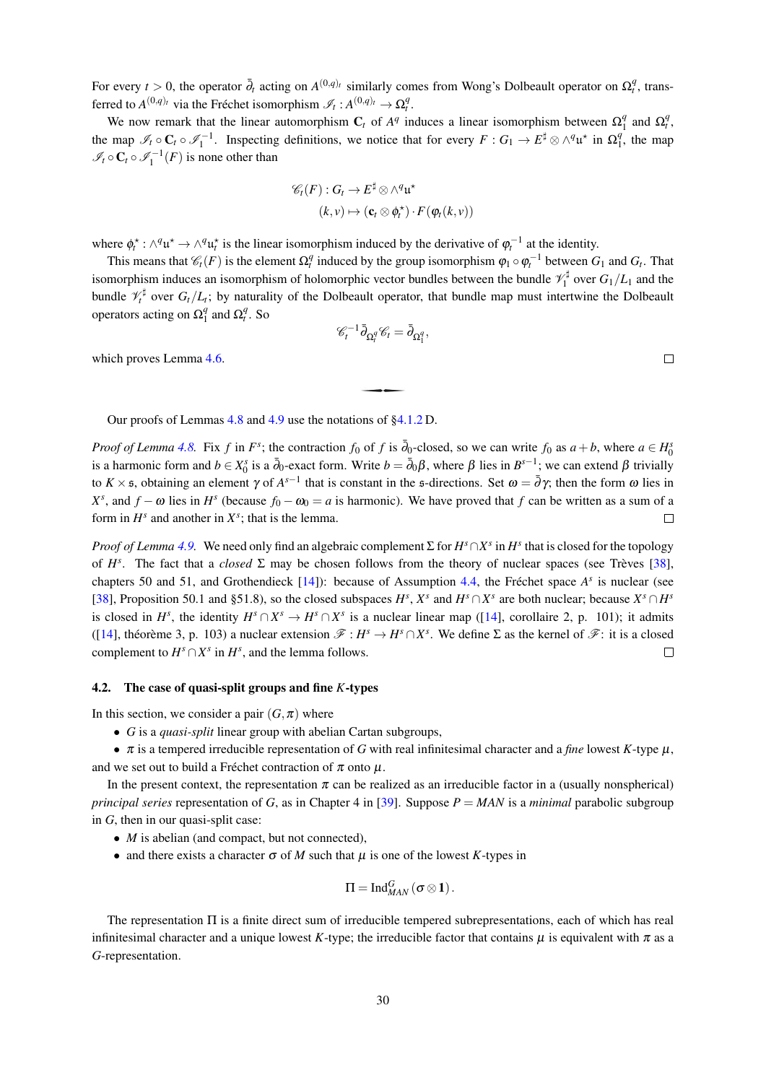For every  $t > 0$ , the operator  $\overline{\partial}_t$  acting on  $A^{(0,q)_t}$  similarly comes from Wong's Dolbeault operator on  $\Omega_t^q$ , transferred to  $A^{(0,q)_t}$  via the Fréchet isomorphism  $\mathscr{I}_t : A^{(0,q)_t} \to \Omega_t^q$ .

We now remark that the linear automorphism  $C_t$  of  $A^q$  induces a linear isomorphism between  $\Omega_1^q$  and  $\Omega_t^q$ , the map  $\mathscr{I}_t \circ \mathbb{C}_t \circ \mathscr{I}_1^{-1}$ . Inspecting definitions, we notice that for every  $F: G_1 \to E^{\sharp} \otimes \wedge^q \mathfrak{u}^*$  in  $\Omega_t^q$ , the map  $\mathcal{I}_t \circ \mathbf{C}_t \circ \mathcal{I}_1^{-1}(F)$  is none other than

$$
\mathscr{C}_t(F) : G_t \to E^{\sharp} \otimes \wedge^q \mathfrak{u}^{\star}
$$

$$
(k, v) \mapsto (\mathbf{c}_t \otimes \phi_t^{\star}) \cdot F(\phi_t(k, v))
$$

where  $\phi_t^* : \wedge^q \mathfrak{u}^* \to \wedge^q \mathfrak{u}_t^*$  is the linear isomorphism induced by the derivative of  $\varphi_t^{-1}$  at the identity.

This means that  $\mathcal{C}_t(F)$  is the element  $\Omega_t^q$  induced by the group isomorphism  $\varphi_1 \circ \varphi_t^{-1}$  between  $G_1$  and  $G_t$ . That isomorphism induces an isomorphism of holomorphic vector bundles between the bundle  $\mathcal{V}_1^{\sharp}$  over  $G_1/L_1$  and the bundle  $\mathcal{V}_t^{\sharp}$  over  $G_t/L_t$ ; by naturality of the Dolbeault operator, that bundle map must intertwine the Dolbeault operators acting on  $\Omega_1^q$  and  $\Omega_1^q$ . So

$$
\mathscr{C}_t^{-1} \bar{\partial}_{\Omega_t^q} \mathscr{C}_t = \bar{\partial}_{\Omega_1^q},
$$

which proves Lemma 4.6.

Our proofs of Lemmas 4.8 and 4.9 use the notations of  $\S4.1.2$  D.

*Proof of Lemma 4.8.* Fix f in  $F^s$ ; the contraction  $f_0$  of f is  $\overline{\partial}_0$ -closed, so we can write  $f_0$  as  $a+b$ , where  $a \in H_0^s$ is a harmonic form and  $b \in X_0^s$  is a  $\bar{\partial}_0$ -exact form. Write  $b = \bar{\partial}_0 \beta$ , where  $\beta$  lies in  $B^{s-1}$ ; we can extend  $\beta$  trivially to  $K \times$  5, obtaining an element  $\gamma$  of  $A^{s-1}$  that is constant in the 5-directions. Set  $\omega = \overline{\partial} \gamma$ ; then the form  $\omega$  lies in  $X^s$ , and  $f - \omega$  lies in  $H^s$  (because  $f_0 - \omega_0 = a$  is harmonic). We have proved that f can be written as a sum of a form in  $H^s$  and another in  $X^s$ ; that is the lemma.  $\Box$ 

*Proof of Lemma 4.9.* We need only find an algebraic complement  $\Sigma$  for  $H^s \cap X^s$  in  $H^s$  that is closed for the topology of  $H^s$ . The fact that a *closed*  $\Sigma$  may be chosen follows from the theory of nuclear spaces (see Trèves [38], chapters 50 and 51, and Grothendieck [14]): because of Assumption 4.4, the Fréchet space  $A<sup>s</sup>$  is nuclear (see [38], Proposition 50.1 and §51.8), so the closed subspaces  $H^s$ ,  $X^s$  and  $H^s \cap X^s$  are both nuclear; because  $X^s \cap H^s$ is closed in  $H^s$ , the identity  $H^s \cap X^s \to H^s \cap X^s$  is a nuclear linear map ([14], corollaire 2, p. 101); it admits ([14], théorème 3, p. 103) a nuclear extension  $\mathscr{F}: H^s \to H^s \cap X^s$ . We define  $\Sigma$  as the kernel of  $\mathscr{F}:$  it is a closed complement to  $H^s \cap X^s$  in  $H^s$ , and the lemma follows.  $\Box$ 

# 4.2. The case of quasi-split groups and fine  $K$ -types

In this section, we consider a pair  $(G, \pi)$  where

•  $G$  is a *quasi-split* linear group with abelian Cartan subgroups,

•  $\pi$  is a tempered irreducible representation of G with real infinitesimal character and a *fine* lowest K-type  $\mu$ , and we set out to build a Fréchet contraction of  $\pi$  onto  $\mu$ .

In the present context, the representation  $\pi$  can be realized as an irreducible factor in a (usually nonspherical) principal series representation of G, as in Chapter 4 in [39]. Suppose  $P = MAN$  is a minimal parabolic subgroup in  $G$ , then in our quasi-split case:

- $\bullet$  *M* is abelian (and compact, but not connected),
- and there exists a character  $\sigma$  of M such that u is one of the lowest K-types in

$$
\Pi=\mathop{\mathrm{Ind}}\nolimits_{MAN}^{G}\left( \sigma\otimes\mathbf{1}\right) .
$$

The representation  $\Pi$  is a finite direct sum of irreducible tempered subrepresentations, each of which has real infinitesimal character and a unique lowest K-type; the irreducible factor that contains  $\mu$  is equivalent with  $\pi$  as a G-representation.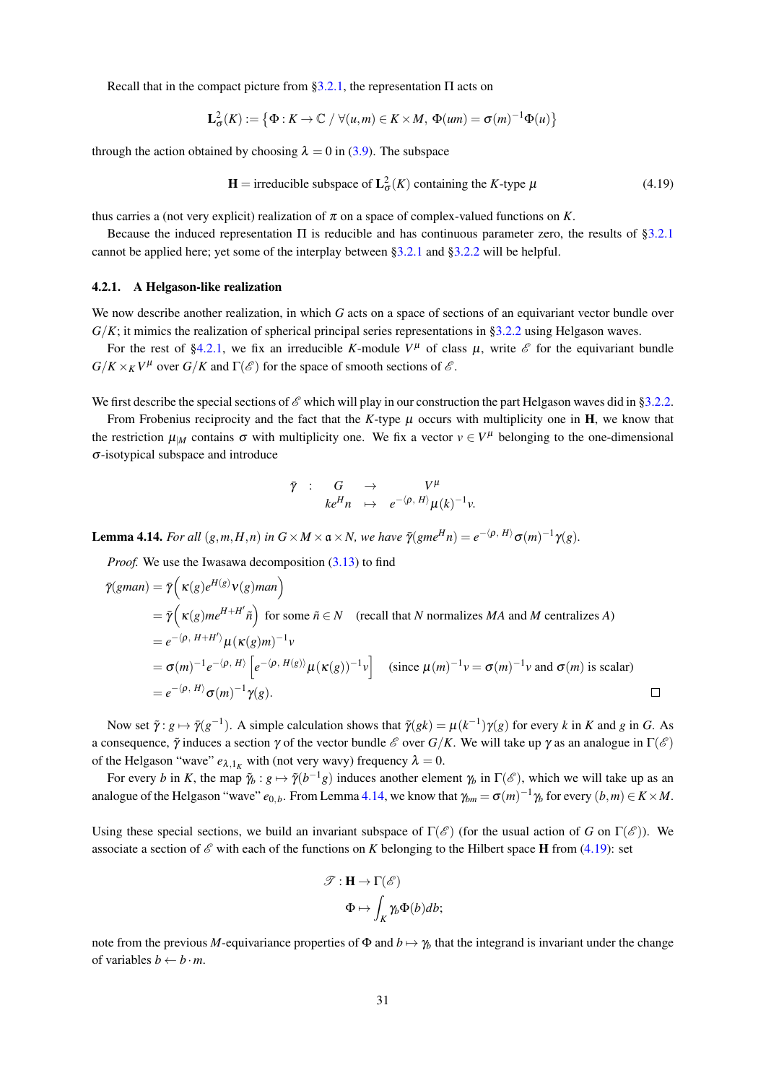Recall that in the compact picture from §3.2.1, the representation  $\Pi$  acts on

$$
\mathbf{L}_{\sigma}^{2}(K) := \left\{ \Phi : K \to \mathbb{C} \; / \; \forall (u, m) \in K \times M, \; \Phi(um) = \sigma(m)^{-1} \Phi(u) \right\}
$$

through the action obtained by choosing  $\lambda = 0$  in (3.9). The subspace

$$
\mathbf{H} = \text{irreducible subspace of } \mathbf{L}_{\sigma}^{2}(K) \text{ containing the } K \text{-type } \mu \tag{4.19}
$$

thus carries a (not very explicit) realization of  $\pi$  on a space of complex-valued functions on K.

Because the induced representation  $\Pi$  is reducible and has continuous parameter zero, the results of §3.2.1 cannot be applied here; yet some of the interplay between §3.2.1 and §3.2.2 will be helpful.

# 4.2.1. A Helgason-like realization

We now describe another realization, in which  $G$  acts on a space of sections of an equivariant vector bundle over  $G/K$ ; it mimics the realization of spherical principal series representations in §3.2.2 using Helgason waves.

For the rest of §4.2.1, we fix an irreducible K-module  $V^{\mu}$  of class  $\mu$ , write  $\mathscr E$  for the equivariant bundle  $G/K \times_K V^{\mu}$  over  $G/K$  and  $\Gamma(\mathscr{E})$  for the space of smooth sections of  $\mathscr{E}$ .

We first describe the special sections of  $\mathscr E$  which will play in our construction the part Helgason waves did in §3.2.2.

From Frobenius reciprocity and the fact that the K-type  $\mu$  occurs with multiplicity one in **H**, we know that the restriction  $\mu_M$  contains  $\sigma$  with multiplicity one. We fix a vector  $v \in V^{\mu}$  belonging to the one-dimensional  $\sigma$ -isotypical subspace and introduce

$$
\bar{\gamma} \quad : \quad G \quad \rightarrow \quad V^{\mu} \quad \ \ \, k e^{H} n \quad \mapsto \quad e^{-\langle \rho, H \rangle} \mu(k)^{-1} \nu.
$$

**Lemma 4.14.** For all  $(g,m,H,n)$  in  $G \times M \times \mathfrak{a} \times N$ , we have  $\overline{\gamma}(gme^{H}n) = e^{-\langle \rho, H \rangle} \sigma(m)^{-1} \gamma(g)$ .

*Proof.* We use the Iwasawa decomposition (3.13) to find

$$
\bar{\gamma}(gman) = \bar{\gamma} \Big( \kappa(g)e^{H(g)}v(g)man \Big)
$$
  
\n
$$
= \bar{\gamma} \Big( \kappa(g)me^{H+H'}\tilde{n} \Big) \text{ for some } \tilde{n} \in N \quad \text{(recall that } N \text{ normalizes } MA \text{ and } M \text{ centralizes } A\text{)}
$$
  
\n
$$
= e^{-\langle \rho, H+H' \rangle} \mu(\kappa(g)m)^{-1}v
$$
  
\n
$$
= \sigma(m)^{-1}e^{-\langle \rho, H \rangle} \Big[ e^{-\langle \rho, H(g) \rangle} \mu(\kappa(g))^{-1}v \Big] \quad \text{(since } \mu(m)^{-1}v = \sigma(m)^{-1}v \text{ and } \sigma(m) \text{ is scalar}
$$
  
\n
$$
= e^{-\langle \rho, H \rangle} \sigma(m)^{-1} \gamma(g).
$$

Now set  $\tilde{\gamma}: g \mapsto \tilde{\gamma}(g^{-1})$ . A simple calculation shows that  $\tilde{\gamma}(gk) = \mu(k^{-1})\gamma(g)$  for every k in K and g in G. As a consequence,  $\tilde{\gamma}$  induces a section  $\gamma$  of the vector bundle  $\mathscr E$  over  $G/K$ . We will take up  $\gamma$  as an analogue in  $\Gamma(\mathscr E)$ of the Helgason "wave"  $e_{\lambda,1_K}$  with (not very wavy) frequency  $\lambda = 0$ .

For every b in K, the map  $\tilde{\gamma}_b : g \mapsto \tilde{\gamma}(b^{-1}g)$  induces another element  $\gamma_b$  in  $\Gamma(\mathscr{E})$ , which we will take up as an analogue of the Helgason "wave"  $e_{0,b}$ . From Lemma 4.14, we know that  $\gamma_{bm} = \sigma(m)^{-1} \gamma_b$  for every  $(b,m) \in K \times M$ .

Using these special sections, we build an invariant subspace of  $\Gamma(\mathscr{E})$  (for the usual action of G on  $\Gamma(\mathscr{E})$ ). We associate a section of  $\mathscr E$  with each of the functions on K belonging to the Hilbert space **H** from (4.19): set

$$
\mathcal{T} : \mathbf{H} \to \Gamma(\mathcal{E})
$$

$$
\Phi \mapsto \int_K \gamma_b \Phi(b) db;
$$

note from the previous M-equivariance properties of  $\Phi$  and  $b \mapsto \gamma_b$  that the integrand is invariant under the change of variables  $b \leftarrow b \cdot m$ .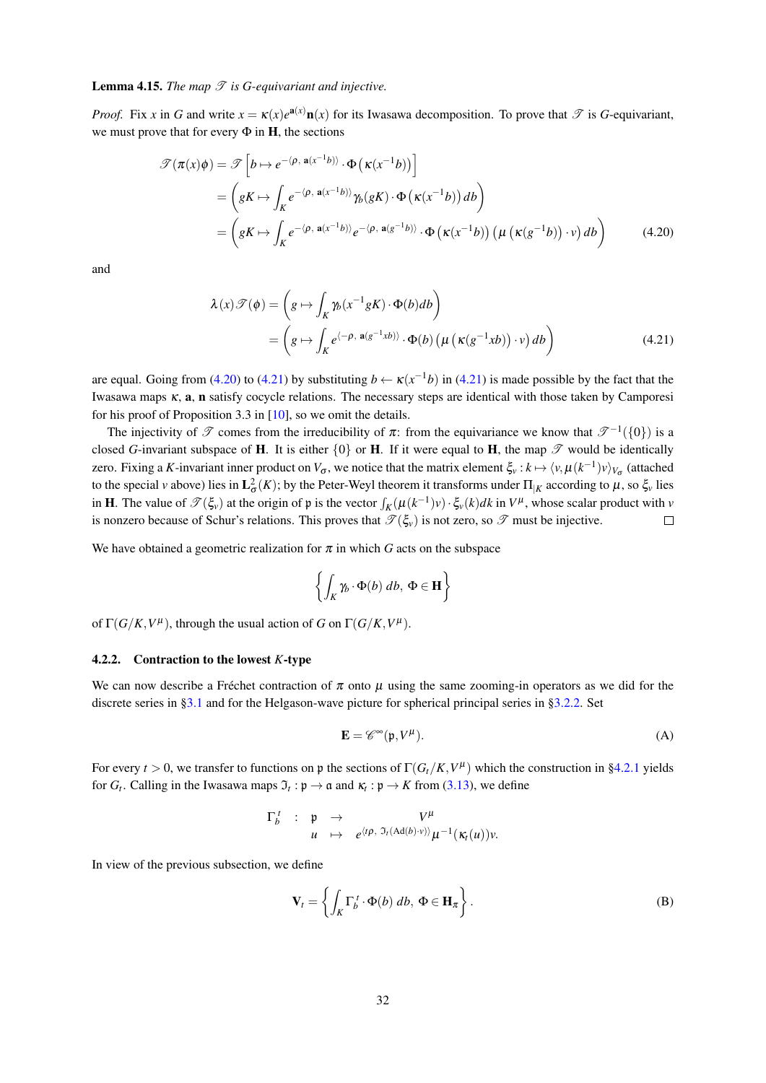# **Lemma 4.15.** The map  $\mathscr T$  is G-equivariant and injective.

*Proof.* Fix x in G and write  $x = \kappa(x)e^{a(x)}n(x)$  for its Iwasawa decomposition. To prove that  $\Im$  is G-equivariant, we must prove that for every  $\Phi$  in **H**, the sections

$$
\mathcal{T}(\pi(x)\phi) = \mathcal{T}\left[b \mapsto e^{-(\rho, \mathbf{a}(x^{-1}b))} \cdot \Phi\left(\kappa(x^{-1}b)\right)\right]
$$
  
\n
$$
= \left(gK \mapsto \int_{K} e^{-(\rho, \mathbf{a}(x^{-1}b))} \gamma_b(gK) \cdot \Phi\left(\kappa(x^{-1}b)\right) db\right)
$$
  
\n
$$
= \left(gK \mapsto \int_{K} e^{-(\rho, \mathbf{a}(x^{-1}b))} e^{-(\rho, \mathbf{a}(g^{-1}b))} \cdot \Phi\left(\kappa(x^{-1}b)\right) \left(\mu\left(\kappa(g^{-1}b)\right) \cdot v\right) db\right)
$$
(4.20)

and

$$
\lambda(x)\mathcal{T}(\phi) = \left(g \mapsto \int_K \gamma_b(x^{-1}gK) \cdot \Phi(b) db\right)
$$
  
= 
$$
\left(g \mapsto \int_K e^{\langle -\rho, \mathbf{a}(g^{-1}xb) \rangle} \cdot \Phi(b) \left(\mu \left(\kappa(g^{-1}xb)\right) \cdot v\right) db\right)
$$
(4.21)

are equal. Going from (4.20) to (4.21) by substituting  $b \leftarrow \kappa(x^{-1}b)$  in (4.21) is made possible by the fact that the Iwasawa maps  $\kappa$ , **a**, **n** satisfy cocycle relations. The necessary steps are identical with those taken by Camporesi for his proof of Proposition 3.3 in  $[10]$ , so we omit the details.

The injectivity of  $\mathscr T$  comes from the irreducibility of  $\pi$ : from the equivariance we know that  $\mathscr T^{-1}(\{0\})$  is a closed G-invariant subspace of H. It is either  $\{0\}$  or H. If it were equal to H, the map  $\mathscr T$  would be identically zero. Fixing a K-invariant inner product on  $V_{\sigma}$ , we notice that the matrix element  $\xi_{v}: k \mapsto \langle v, \mu(k^{-1})v \rangle_{V_{\sigma}}$  (attached to the special v above) lies in  $L^2_{\sigma}(K)$ ; by the Peter-Weyl theorem it transforms under  $\Pi_{|K}$  according to  $\mu$ , so  $\xi$  lies in **H**. The value of  $\mathcal{T}(\xi_v)$  at the origin of p is the vector  $\int_K (\mu(k^{-1})v) \cdot \xi_v(k) dk$  in  $V^{\mu}$ , whose scalar product with v is nonzero because of Schur's relations. This proves that  $\mathcal{T}(\xi_v)$  is not zero, so  $\mathcal T$  must be injective.  $\Box$ 

We have obtained a geometric realization for  $\pi$  in which G acts on the subspace

$$
\left\{\int_K \gamma_b \cdot \Phi(b) \, db, \, \Phi \in \mathbf{H}\right\}
$$

of  $\Gamma(G/K, V^{\mu})$ , through the usual action of G on  $\Gamma(G/K, V^{\mu})$ .

## 4.2.2. Contraction to the lowest  $K$ -type

We can now describe a Fréchet contraction of  $\pi$  onto  $\mu$  using the same zooming-in operators as we did for the discrete series in §3.1 and for the Helgason-wave picture for spherical principal series in §3.2.2. Set

$$
\mathbf{E} = \mathscr{C}^{\infty}(\mathfrak{p}, V^{\mu}). \tag{A}
$$

For every  $t > 0$ , we transfer to functions on p the sections of  $\Gamma(G_t/K, V^{\mu})$  which the construction in §4.2.1 yields for  $G_t$ . Calling in the Iwasawa maps  $\mathfrak{I}_t : \mathfrak{p} \to \mathfrak{a}$  and  $\kappa_t : \mathfrak{p} \to K$  from (3.13), we define

$$
\begin{array}{cccc}\n\Gamma_b^t & : & \mathfrak{p} & \to & V^{\mu} \\
& u & \mapsto & e^{\langle t\rho, \mathfrak{I}_t(\mathrm{Ad}(b) \cdot v) \rangle} \mu^{-1}(\kappa_t(u))v.\n\end{array}
$$

In view of the previous subsection, we define

$$
\mathbf{V}_t = \left\{ \int_K \Gamma_b^t \cdot \Phi(b) \, db, \, \Phi \in \mathbf{H}_\pi \right\}.
$$
 (B)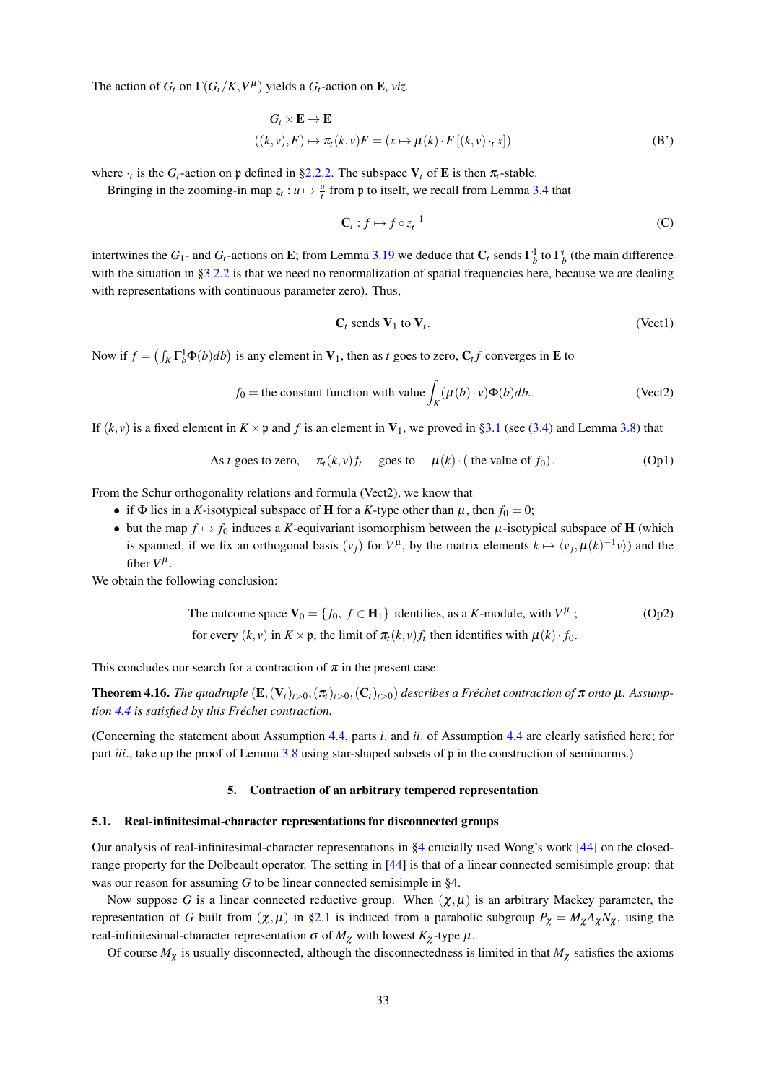The action of  $G_t$  on  $\Gamma(G_t/K, V^{\mu})$  yields a  $G_t$ -action on **E**, viz.

$$
G_t \times \mathbf{E} \to \mathbf{E}
$$
  

$$
((k, v), F) \mapsto \pi_t(k, v)F = (x \mapsto \mu(k) \cdot F[(k, v) \cdot_t x])
$$
 (B')

where  $\cdot_t$  is the  $G_t$ -action on p defined in §2.2.2. The subspace  $V_t$  of **E** is then  $\pi_t$ -stable.

Bringing in the zooming-in map  $z_t : u \mapsto \frac{u}{t}$  from p to itself, we recall from Lemma 3.4 that

$$
\mathbf{C}_t: f \mapsto f \circ z_t^{-1} \tag{C}
$$

intertwines the  $G_1$ - and  $G_t$ -actions on E; from Lemma 3.19 we deduce that  $C_t$  sends  $\Gamma_h^1$  to  $\Gamma_h^t$  (the main difference with the situation in §3.2.2 is that we need no renormalization of spatial frequencies here, because we are dealing with representations with continuous parameter zero). Thus,

$$
C_t \text{ sends } V_1 \text{ to } V_t. \tag{Vect1}
$$

Now if  $f = (\int_K \Gamma_h^1 \Phi(b) db)$  is any element in  $V_1$ , then as t goes to zero,  $C_t f$  converges in **E** to

$$
f_0 = \text{the constant function with value} \int_K (\mu(b) \cdot v) \Phi(b) db.
$$
 (Vect2)

If  $(k, v)$  is a fixed element in  $K \times \mathfrak{p}$  and f is an element in  $V_1$ , we proved in §3.1 (see (3.4) and Lemma 3.8) that

As *t* goes to zero, 
$$
\pi_t(k, v)f_t
$$
 goes to  $\mu(k) \cdot$  (the value of  $f_0$ ). (Op1)

From the Schur orthogonality relations and formula (Vect2), we know that

- if  $\Phi$  lies in a K-isotypical subspace of **H** for a K-type other than  $\mu$ , then  $f_0 = 0$ ;
- but the map  $f \mapsto f_0$  induces a K-equivariant isomorphism between the  $\mu$ -isotypical subspace of **H** (which is spanned, if we fix an orthogonal basis  $(v_i)$  for  $V^{\mu}$ , by the matrix elements  $k \mapsto \langle v_i, \mu(k)^{-1}v \rangle$  and the fiber  $V^{\mu}$ .

We obtain the following conclusion:

The outcome space 
$$
\mathbf{V}_0 = \{f_0, f \in \mathbf{H}_1\}
$$
 identifies, as a *K*-module, with  $V^{\mu}$  ; (Op2)  
for every  $(k, v)$  in  $K \times \mathfrak{p}$ , the limit of  $\pi_t(k, v)f_t$  then identifies with  $\mu(k) \cdot f_0$ .

This concludes our search for a contraction of  $\pi$  in the present case:

**Theorem 4.16.** The quadruple  $(E, (V_t)_{t>0}, (\pi_t)_{t>0}, (C_t)_{t>0})$  describes a Fréchet contraction of  $\pi$  onto  $\mu$ . Assumption 4.4 is satisfied by this Fréchet contraction.

(Concerning the statement about Assumption 4.4, parts *i*. and *ii*. of Assumption 4.4 are clearly satisfied here; for part *iii.*, take up the proof of Lemma 3.8 using star-shaped subsets of  $\mathfrak p$  in the construction of seminorms.)

# 5. Contraction of an arbitrary tempered representation

#### 5.1. Real-infinitesimal-character representations for disconnected groups

Our analysis of real-infinitesimal-character representations in  $\S 4$  crucially used Wong's work [44] on the closedrange property for the Dolbeault operator. The setting in [44] is that of a linear connected semisimple group: that was our reason for assuming  $G$  to be linear connected semisimple in §4.

Now suppose G is a linear connected reductive group. When  $(\chi,\mu)$  is an arbitrary Mackey parameter, the representation of G built from  $(\chi, \mu)$  in §2.1 is induced from a parabolic subgroup  $P_{\chi} = M_{\chi} A_{\chi} N_{\chi}$ , using the real-infinitesimal-character representation  $\sigma$  of  $M_{\chi}$  with lowest  $K_{\chi}$ -type  $\mu$ .

Of course  $M_{\chi}$  is usually disconnected, although the disconnectedness is limited in that  $M_{\chi}$  satisfies the axioms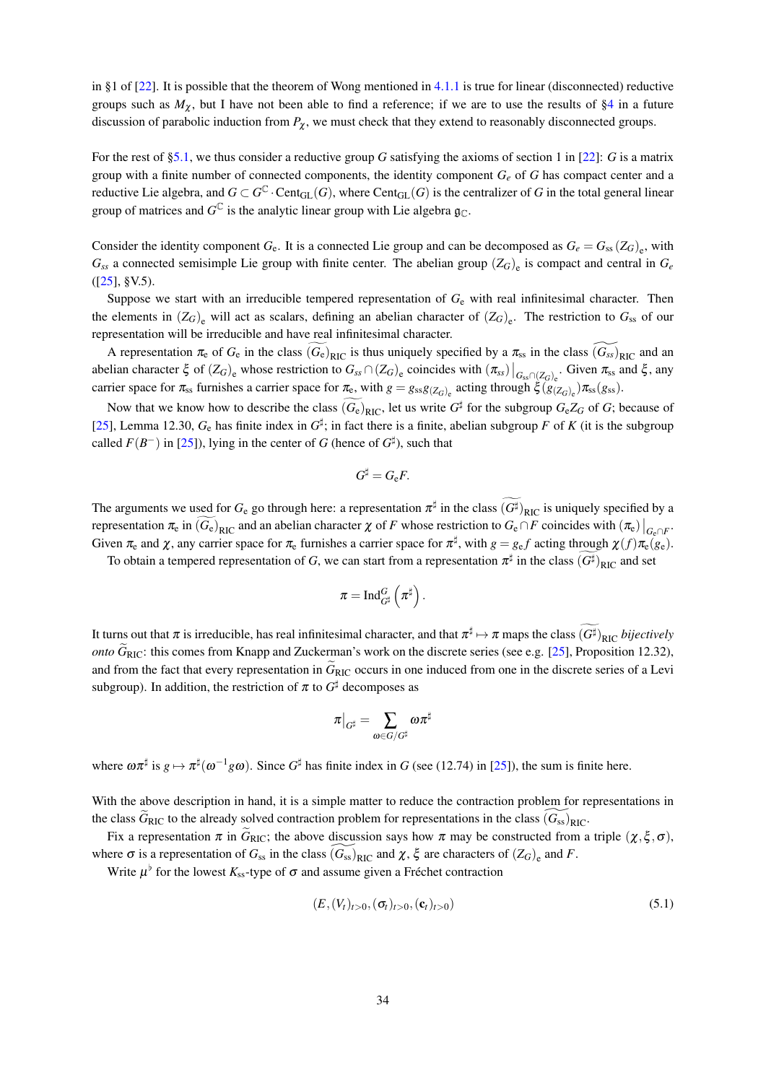in §1 of  $[22]$ . It is possible that the theorem of Wong mentioned in 4.1.1 is true for linear (disconnected) reductive groups such as  $M_{\gamma}$ , but I have not been able to find a reference; if we are to use the results of §4 in a future discussion of parabolic induction from  $P_{\chi}$ , we must check that they extend to reasonably disconnected groups.

For the rest of §5.1, we thus consider a reductive group G satisfying the axioms of section 1 in [22]: G is a matrix group with a finite number of connected components, the identity component  $G_e$  of G has compact center and a reductive Lie algebra, and  $G \subset G^{\mathbb{C}}$ . Cent<sub>GL</sub>(G), where Cent<sub>GL</sub>(G) is the centralizer of G in the total general linear group of matrices and  $G^{\mathbb{C}}$  is the analytic linear group with Lie algebra  $\mathfrak{g}_{\mathbb{C}}$ .

Consider the identity component  $G_e$ . It is a connected Lie group and can be decomposed as  $G_e = G_{ss}(Z_G)_{e}$ , with  $G_{ss}$  a connected semisimple Lie group with finite center. The abelian group  $(Z_G)_{e}$  is compact and central in  $G_e$  $([25], \S V.5).$ 

Suppose we start with an irreducible tempered representation of  $G_e$  with real infinitesimal character. Then the elements in  $(Z_G)_{\text{e}}$  will act as scalars, defining an abelian character of  $(Z_G)_{\text{e}}$ . The restriction to  $G_{ss}$  of our representation will be irreducible and have real infinitesimal character.

A representation  $\pi_e$  of  $G_e$  in the class  $(G_e)_{RIC}$  is thus uniquely specified by a  $\pi_{ss}$  in the class  $(G_{ss})_{RIC}$  and an abelian character  $\xi$  of  $(Z_G)_{\text{e}}$  whose restriction to  $G_{ss} \cap (Z_G)_{\text{e}}$  coincides with  $(\pi_{ss})|_{G_{ss} \cap (Z_G)_{\text{e}}}$ . Given  $\pi_{ss}$  and  $\xi$ , any carrier space for  $\pi_{ss}$  furnishes a carrier space for  $\pi_e$ , with  $g = g_{ss}g_{(Z_G)_e}$  acting through  $\zeta(g_{(Z_G)_e})\pi_{ss}(g_{ss})$ .

Now that we know how to describe the class  $(G_e)_{\text{RIC}}$ , let us write  $G^{\sharp}$  for the subgroup  $G_eZ_G$  of G; because of [25], Lemma 12.30,  $G_e$  has finite index in  $G^{\sharp}$ ; in fact there is a finite, abelian subgroup F of K (it is the subgroup called  $F(B^{-})$  in [25]), lying in the center of G (hence of  $G^{\sharp}$ ), such that

$$
G^{\sharp}=G_{\rm e}F
$$

The arguments we used for  $G_e$  go through here: a representation  $\pi^{\sharp}$  in the class  $(G^{\sharp})_{\text{RIC}}$  is uniquely specified by a representation  $\pi_e$  in  $(G_e)_{\text{RIC}}$  and an abelian character  $\chi$  of F whose restriction to  $G_e \cap F$  coincides with  $(\pi_e)|_{G_e \cap F}$ . Given  $\pi_e$  and  $\chi$ , any carrier space for  $\pi_e$  furnishes a carrier space for  $\pi^{\sharp}$ , with  $g = g_e f$  acting through  $\chi(f) \pi_e(g_e)$ .

To obtain a tempered representation of G, we can start from a representation  $\pi^{\sharp}$  in the class  $(G^{\sharp})_{\text{RIC}}$  and set

$$
\pi=\mathop{\operatorname{Ind}}\nolimits^G_{G^\sharp}\left( \pi^\sharp \right).
$$

It turns out that  $\pi$  is irreducible, has real infinitesimal character, and that  $\pi^{\sharp} \mapsto \pi$  maps the class  $(G^{\sharp})_{\text{RIC}}$  bijectively *onto*  $\tilde{G}_{\text{RIC}}$ : this comes from Knapp and Zuckerman's work on the discrete series (see e.g. [25], Proposition 12.32), and from the fact that every representation in  $\tilde{G}_{\text{RIC}}$  occurs in one induced from one in the discrete series of a Levi subgroup). In addition, the restriction of  $\pi$  to  $G^{\sharp}$  decomposes as

$$
\pi\big|_{G^\sharp}=\sum_{\omega\in G/G^\sharp}\omega\pi^\sharp
$$

where  $\omega \pi^{\sharp}$  is  $g \mapsto \pi^{\sharp}(\omega^{-1} g \omega)$ . Since  $G^{\sharp}$  has finite index in G (see (12.74) in [25]), the sum is finite here.

With the above description in hand, it is a simple matter to reduce the contraction problem for representations in the class  $\hat{G}_{\text{RIC}}$  to the already solved contraction problem for representations in the class  $(G_{ss})_{\text{RIC}}$ .

Fix a representation  $\pi$  in  $\tilde{G}_{\text{RIC}}$ ; the above discussion says how  $\pi$  may be constructed from a triple  $(\chi, \xi, \sigma)$ , where  $\sigma$  is a representation of  $G_{ss}$  in the class  $(G_{ss})_{\text{RIC}}$  and  $\chi$ ,  $\xi$  are characters of  $(Z_G)_{\text{e}}$  and F.

Write  $\mu^{\flat}$  for the lowest  $K_{ss}$ -type of  $\sigma$  and assume given a Fréchet contraction

$$
(E, (V_t)_{t>0}, (\sigma_t)_{t>0}, (\mathbf{c}_t)_{t>0})
$$
\n(5.1)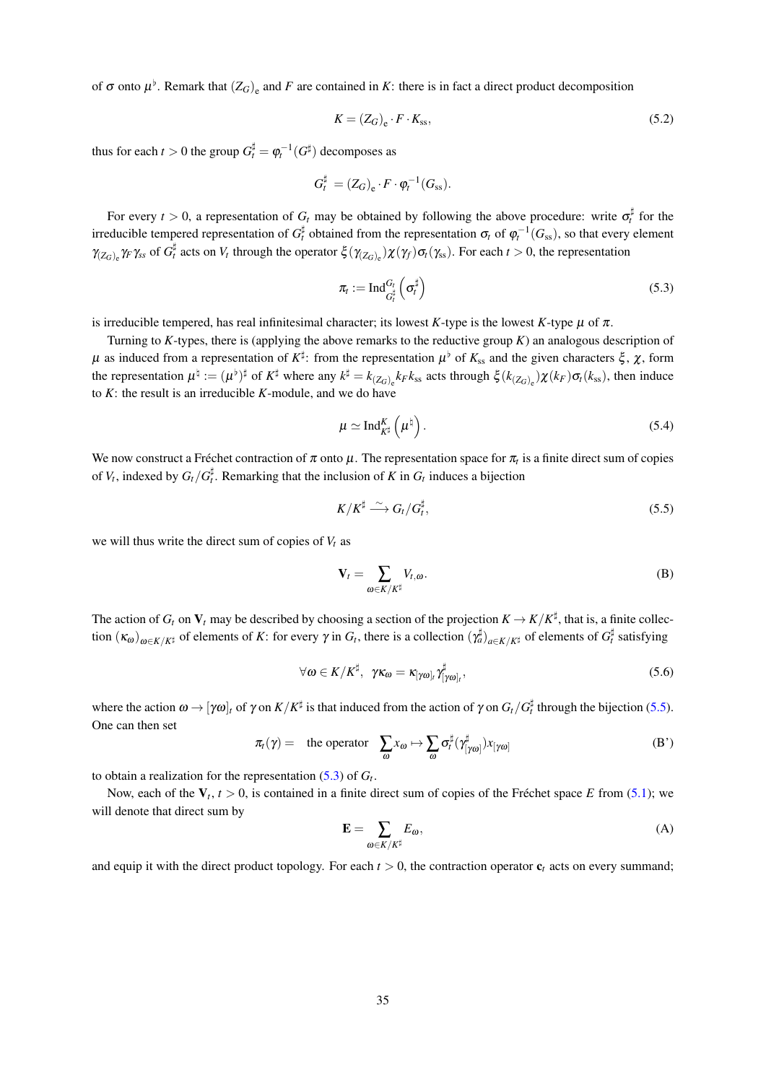of  $\sigma$  onto  $\mu^{\flat}$ . Remark that  $(Z_G)_{\epsilon}$  and F are contained in K: there is in fact a direct product decomposition

$$
K = (Z_G)_e \cdot F \cdot K_{ss},\tag{5.2}
$$

thus for each  $t > 0$  the group  $G_t^{\sharp} = \varphi_t^{-1}(G^{\sharp})$  decomposes as

$$
G_t^{\sharp} = (Z_G)_{\rm e} \cdot F \cdot \varphi_t^{-1}(G_{\rm ss}).
$$

For every  $t > 0$ , a representation of  $G_t$  may be obtained by following the above procedure: write  $\sigma_t^{\sharp}$  for the irreducible tempered representation of  $G_t^{\sharp}$  obtained from the representation  $\sigma_t$  of  $\varphi_t^{-1}(G_{ss})$ , so that every element  $\gamma_{(Z_G)_{e}} \gamma_{F} \gamma_{ss}$  of  $G_t^{\sharp}$  acts on  $V_t$  through the operator  $\xi(\gamma_{(Z_G)_{e}})\chi(\gamma_{f})\sigma_t(\gamma_{ss})$ . For each  $t > 0$ , the representation

$$
\pi_t := \mathrm{Ind}_{G_t^\sharp}^{G_t} \left( \sigma_t^\sharp \right) \tag{5.3}
$$

is irreducible tempered, has real infinitesimal character; its lowest K-type is the lowest K-type  $\mu$  of  $\pi$ .

Turning to K-types, there is (applying the above remarks to the reductive group  $K$ ) an analogous description of  $\mu$  as induced from a representation of  $K^{\sharp}$ : from the representation  $\mu^{\flat}$  of  $K_{ss}$  and the given characters  $\xi$ ,  $\chi$ , form the representation  $\mu^{\natural} := (\mu^{\flat})^{\sharp}$  of  $K^{\sharp}$  where any  $k^{\sharp} = k_{(Z_G)_e} k_F k_{ss}$  acts through  $\xi(k_{(Z_G)_e}) \chi(k_F) \sigma_k(k_{ss})$ , then induce to  $K$ : the result is an irreducible  $K$ -module, and we do have

$$
\mu \simeq \mathrm{Ind}_{K^{\sharp}}^{K}\left(\mu^{\sharp}\right). \tag{5.4}
$$

We now construct a Fréchet contraction of  $\pi$  onto  $\mu$ . The representation space for  $\pi_t$  is a finite direct sum of copies of  $V_t$ , indexed by  $G_t/G_t^{\sharp}$ . Remarking that the inclusion of K in  $G_t$  induces a bijection

$$
K/K^{\sharp} \stackrel{\sim}{\longrightarrow} G_t/G_t^{\sharp},\tag{5.5}
$$

we will thus write the direct sum of copies of  $V_t$  as

$$
\mathbf{V}_t = \sum_{\omega \in K/K^\sharp} V_{t,\omega}.
$$
 (B)

The action of  $G_t$  on  $V_t$  may be described by choosing a section of the projection  $K \to K/K^{\sharp}$ , that is, a finite collection  $(\kappa_{\omega})_{\omega \in K/K^{\sharp}}$  of elements of K: for every  $\gamma$  in  $G_t$ , there is a collection  $(\gamma_a^{\sharp})_{a \in K/K^{\sharp}}$  of elements of  $G_t^{\sharp}$  satisfying

$$
\forall \omega \in K / K^{\sharp}, \ \gamma \kappa_{\omega} = \kappa_{[\gamma \omega]_t} \gamma_{[\gamma \omega]_t}^{\sharp}, \tag{5.6}
$$

where the action  $\omega \to [\gamma \omega]_t$  of  $\gamma$  on  $K/K^{\sharp}$  is that induced from the action of  $\gamma$  on  $G_t/G_t^{\sharp}$  through the bijection (5.5). One can then set

$$
\pi_t(\gamma) = \text{ the operator } \sum_{\omega} x_{\omega} \mapsto \sum_{\omega} \sigma_t^{\sharp} (\gamma_{[\gamma\omega]}^{\sharp}) x_{[\gamma\omega]} \tag{B'}
$$

to obtain a realization for the representation  $(5.3)$  of  $G_t$ .

Now, each of the  $V_t$ ,  $t > 0$ , is contained in a finite direct sum of copies of the Fréchet space E from (5.1); we will denote that direct sum by

$$
\mathbf{E} = \sum_{\omega \in K/K^{\sharp}} E_{\omega},\tag{A}
$$

and equip it with the direct product topology. For each  $t > 0$ , the contraction operator  $c_t$  acts on every summand;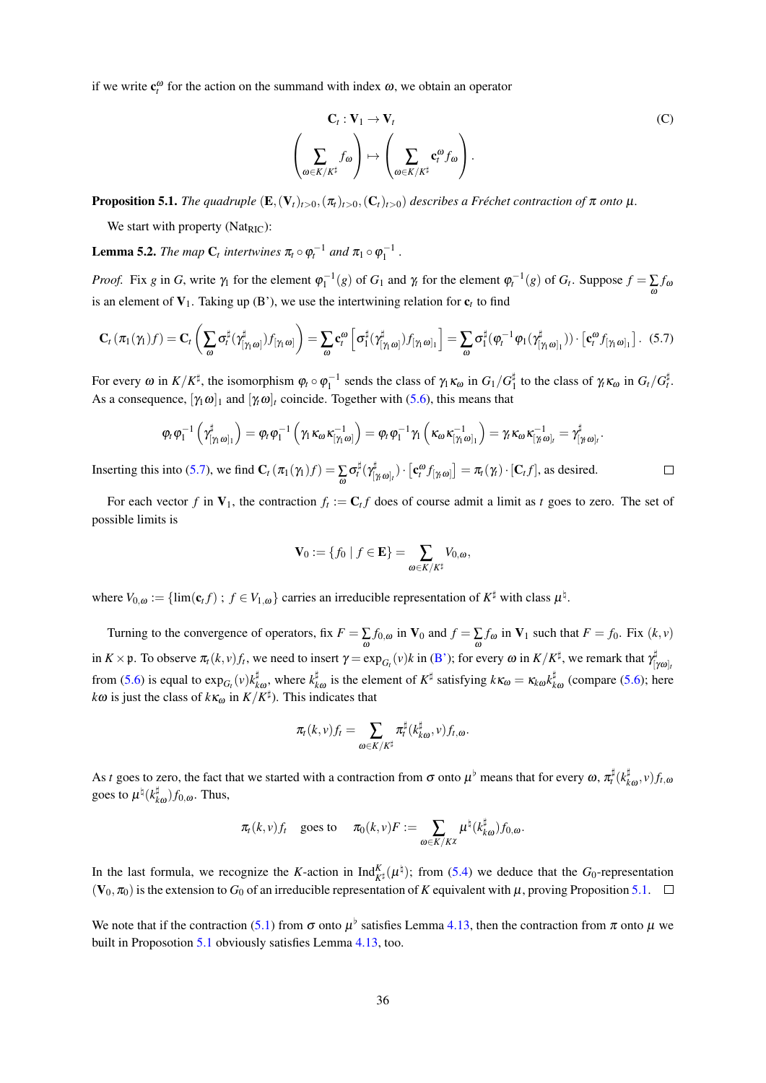if we write  $c_t^{\omega}$  for the action on the summand with index  $\omega$ , we obtain an operator

$$
\begin{aligned}\n\mathbf{C}_t: \mathbf{V}_1 &\rightarrow \mathbf{V}_t \\
\sum_{\omega \in K/K^\sharp} f_\omega \end{aligned}\n\bigg\} \mapsto \left( \sum_{\omega \in K/K^\sharp} \mathbf{c}_t^\omega f_\omega \right).
$$

 $(C)$ 

**Proposition 5.1.** The quadruple  $(E, (V_t)_{t>0}, (\pi_t)_{t>0}, (C_t)_{t>0})$  describes a Fréchet contraction of  $\pi$  onto  $\mu$ .

We start with property ( $Nat_{\text{RIC}}$ ):

**Lemma 5.2.** The map  $C_t$  intertwines  $\pi_t \circ \varphi_t^{-1}$  and  $\pi_1 \circ \varphi_1^{-1}$ .

*Proof.* Fix g in G, write  $\gamma_1$  for the element  $\varphi_1^{-1}(g)$  of  $G_1$  and  $\gamma_t$  for the element  $\varphi_t^{-1}(g)$  of  $G_t$ . Suppose  $f = \sum f_\omega$ is an element of  $V_1$ . Taking up (B'), we use the intertwining relation for  $c_t$  to find

$$
\mathbf{C}_{t}\left(\pi_{1}(\gamma_{1})f\right) = \mathbf{C}_{t}\left(\sum_{\omega}\sigma_{t}^{\sharp}(\gamma_{\left[\gamma_{1}\omega\right]}^{\sharp})f_{\left[\gamma_{1}\omega\right]}\right) = \sum_{\omega}\mathbf{c}_{t}^{\omega}\left[\sigma_{1}^{\sharp}(\gamma_{\left[\gamma_{1}\omega\right]}^{\sharp})f_{\left[\gamma_{1}\omega\right]_{1}}\right] = \sum_{\omega}\sigma_{1}^{\sharp}(\varphi_{t}^{-1}\varphi_{1}(\gamma_{\left[\gamma_{1}\omega\right]_{1}}^{\sharp})) \cdot \left[\mathbf{c}_{t}^{\omega}f_{\left[\gamma_{1}\omega\right]_{1}}\right].
$$
 (5.7)

For every  $\omega$  in  $K/K^{\sharp}$ , the isomorphism  $\varphi_t \circ \varphi_1^{-1}$  sends the class of  $\gamma_1 \kappa_{\omega}$  in  $G_1/G_1^{\sharp}$  to the class of  $\gamma_t \kappa_{\omega}$  in  $G_t/G_t^{\sharp}$ . As a consequence,  $[\gamma_1 \omega]_1$  and  $[\gamma_i \omega]_t$  coincide. Together with (5.6), this means that

$$
\phi_{\text{r}}\phi_{\text{l}}^{-1}\left(\gamma^{\sharp}_{[\gamma_1\omega]_1}\right)=\phi_{\text{r}}\phi_{\text{l}}^{-1}\left(\gamma_1\kappa_{\omega}\kappa_{[\gamma_1\omega]}^{-1}\right)=\phi_{\text{r}}\phi_{\text{l}}^{-1}\gamma_{\text{l}}\left(\kappa_{\omega}\kappa_{[\gamma_1\omega]_1}^{-1}\right)=\gamma_{\text{r}}\kappa_{\omega}\kappa_{[\gamma_t\omega]_t}^{-1}=\gamma^{\sharp}_{[\gamma_t\omega]_t}.
$$

Inserting this into (5.7), we find  $\mathbf{C}_t(\pi_1(\gamma_1)f) = \sum_{\alpha} \sigma_t^{\sharp}(\gamma_{[\gamma_1\omega]_t}^{\sharp}) \cdot [\mathbf{c}_t^{\omega} f_{[\gamma_1\omega]}] = \pi_t(\gamma) \cdot [\mathbf{C}_t f]$ , as desired.  $\Box$ 

For each vector f in  $V_1$ , the contraction  $f_t := C_t f$  does of course admit a limit as t goes to zero. The set of possible limits is

$$
\mathbf{V}_0 := \{ f_0 \mid f \in \mathbf{E} \} = \sum_{\omega \in K / K^{\sharp}} V_{0,\omega},
$$

where  $V_{0,\omega} := \{\lim(\mathbf{c}_t f) : f \in V_{1,\omega}\}\$  carries an irreducible representation of  $K^{\sharp}$  with class  $\mu^{\natural}$ .

Turning to the convergence of operators, fix  $F = \sum_{\alpha} f_{0,\omega}$  in  $V_0$  and  $f = \sum_{\alpha} f_{\omega}$  in  $V_1$  such that  $F = f_0$ . Fix  $(k, v)$ in  $K \times \mathfrak{p}$ . To observe  $\pi_t(k, v)f_t$ , we need to insert  $\gamma = \exp_{G_t}(v)k$  in (B'); for every  $\omega$  in  $K/K^{\sharp}$ , we remark that  $\gamma^{\sharp}_{[\gamma\omega]_t}$ from (5.6) is equal to  $\exp_{G_t}(v)k_{k\omega}^{\sharp}$ , where  $k_{k\omega}^{\sharp}$  is the element of  $K^{\sharp}$  satisfying  $k\kappa_{\omega} = \kappa_{k\omega}k_{k\omega}^{\sharp}$  (compare (5.6); here  $k\omega$  is just the class of  $k\kappa_{\omega}$  in  $K/K^{\sharp}$ ). This indicates that

$$
\pi_t(k,\nu)f_t=\sum_{\omega\in K/K^\sharp}\pi_t^\sharp(k_{k\omega}^\sharp,\nu)f_{t,\omega}.
$$

As t goes to zero, the fact that we started with a contraction from  $\sigma$  onto  $\mu^{\flat}$  means that for every  $\omega$ ,  $\pi_t^{\sharp}(k_{k\omega}^{\sharp},v) f_{t,\omega}$ goes to  $\mu^{\natural}(k_{k\omega}^{\sharp})f_{0,\omega}$ . Thus,

$$
\pi_t(k,\nu)f_t \quad \text{goes to} \quad \pi_0(k,\nu)F := \sum_{\omega \in K/K^\chi} \mu^\natural(k_{k\omega}^\sharp) f_{0,\omega}.
$$

In the last formula, we recognize the K-action in Ind $_{K^{\sharp}}^{K}(\mu^{\natural})$ ; from (5.4) we deduce that the  $G_0$ -representation  $(V_0, \pi_0)$  is the extension to  $G_0$  of an irreducible representation of K equivalent with  $\mu$ , proving Proposition 5.1.  $\Box$ 

We note that if the contraction (5.1) from  $\sigma$  onto  $\mu^{\flat}$  satisfies Lemma 4.13, then the contraction from  $\pi$  onto  $\mu$  we built in Proposotion 5.1 obviously satisfies Lemma 4.13, too.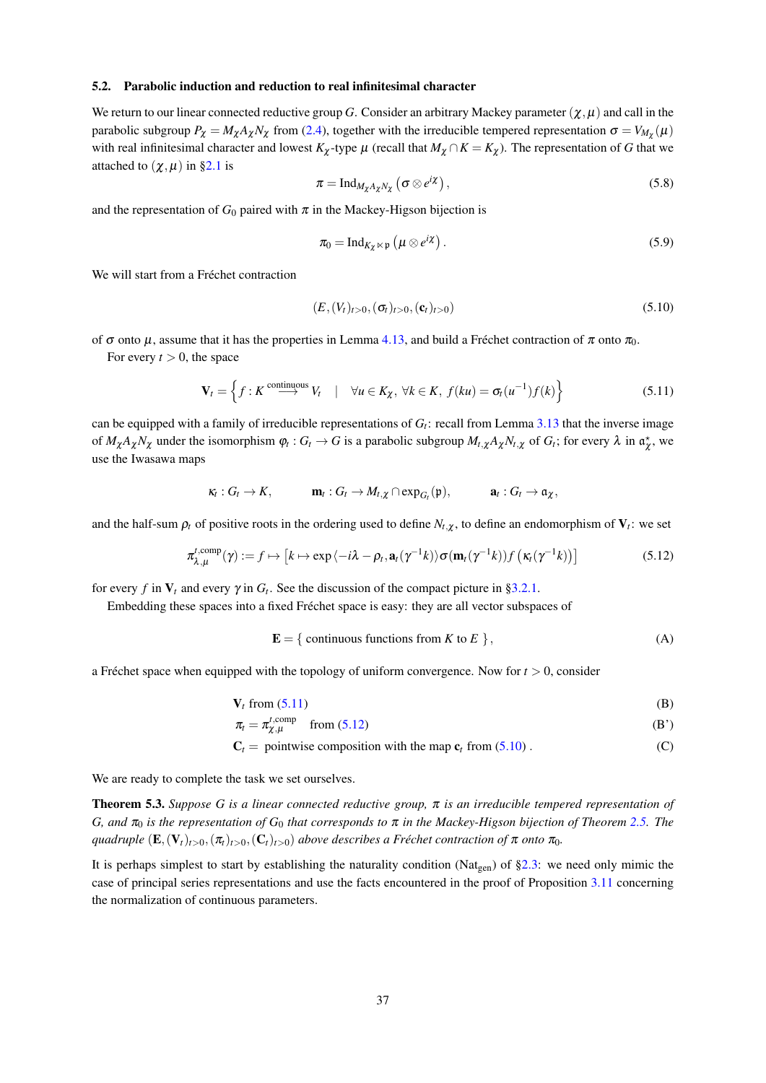# 5.2. Parabolic induction and reduction to real infinitesimal character

We return to our linear connected reductive group G. Consider an arbitrary Mackey parameter  $(\chi,\mu)$  and call in the parabolic subgroup  $P_{\chi} = M_{\chi} A_{\chi} N_{\chi}$  from (2.4), together with the irreducible tempered representation  $\sigma = V_{M_{\chi}}(\mu)$ with real infinitesimal character and lowest  $K_{\chi}$ -type  $\mu$  (recall that  $M_{\chi} \cap K = K_{\chi}$ ). The representation of G that we attached to  $(\chi, \mu)$  in §2.1 is

$$
\pi = \mathrm{Ind}_{M_{\chi}A_{\chi}N_{\chi}}\left(\sigma \otimes e^{i\chi}\right),\tag{5.8}
$$

and the representation of  $G_0$  paired with  $\pi$  in the Mackey-Higson bijection is

$$
\pi_0 = \mathrm{Ind}_{K_{\chi} \ltimes \mathfrak{p}} \left( \mu \otimes e^{i\chi} \right). \tag{5.9}
$$

We will start from a Fréchet contraction

$$
(E, (V_t)_{t>0}, (\sigma_t)_{t>0}, (\mathbf{c}_t)_{t>0})
$$
\n(5.10)

of  $\sigma$  onto  $\mu$ , assume that it has the properties in Lemma 4.13, and build a Fréchet contraction of  $\pi$  onto  $\pi_0$ .

For every  $t > 0$ , the space

$$
\mathbf{V}_t = \left\{ f : K \stackrel{\text{continuous}}{\longrightarrow} V_t \quad | \quad \forall u \in K_\chi, \ \forall k \in K, \ f(ku) = \sigma_t(u^{-1})f(k) \right\} \tag{5.11}
$$

can be equipped with a family of irreducible representations of  $G_t$ : recall from Lemma 3.13 that the inverse image of  $M_{\chi}A_{\chi}N_{\chi}$  under the isomorphism  $\varphi_t$ :  $G_t \to G$  is a parabolic subgroup  $M_{t,\chi}A_{\chi}N_{t,\chi}$  of  $G_t$ ; for every  $\lambda$  in  $\alpha_{\chi}^*$ , we use the Iwasawa maps

$$
\kappa_t: G_t \to K, \qquad \mathbf{m}_t: G_t \to M_{t,\chi} \cap \exp_{G_t}(\mathfrak{p}), \qquad \mathbf{a}_t: G_t \to \mathfrak{a}_{\chi}
$$

and the half-sum  $\rho_t$  of positive roots in the ordering used to define  $N_{t,\chi}$ , to define an endomorphism of  $V_t$ : we set

$$
\pi_{\lambda,\mu}^{t,\text{comp}}(\gamma) := f \mapsto \left[ k \mapsto \exp\left\langle -i\lambda - \rho_t, \mathbf{a}_t(\gamma^{-1}k)\right\rangle \sigma(\mathbf{m}_t(\gamma^{-1}k)) f\left(\kappa_t(\gamma^{-1}k)\right) \right]
$$
(5.12)

for every f in  $V_t$  and every  $\gamma$  in  $G_t$ . See the discussion of the compact picture in §3.2.1.

Embedding these spaces into a fixed Fréchet space is easy: they are all vector subspaces of

$$
\mathbf{E} = \{ \text{ continuous functions from } K \text{ to } E \}, \tag{A}
$$

a Fréchet space when equipped with the topology of uniform convergence. Now for  $t > 0$ , consider

$$
\mathbf{V}_t \text{ from (5.11)} \tag{B}
$$

$$
\pi_t = \pi_{\chi,\mu}^{t,\text{comp}} \quad \text{from (5.12)}\tag{B'}
$$

$$
C_t = \text{pointwise composition with the map } c_t \text{ from (5.10)}.
$$
 (C)

We are ready to complete the task we set ourselves.

**Theorem 5.3.** Suppose G is a linear connected reductive group,  $\pi$  is an irreducible tempered representation of G, and  $\pi_0$  is the representation of G<sub>0</sub> that corresponds to  $\pi$  in the Mackey-Higson bijection of Theorem 2.5. The quadruple  $(E, (V_t)_{t>0}, (\pi_t)_{t>0}, (C_t)_{t>0})$  above describes a Fréchet contraction of  $\pi$  onto  $\pi_0$ .

It is perhaps simplest to start by establishing the naturality condition (Nat<sub>gen</sub>) of §2.3: we need only mimic the case of principal series representations and use the facts encountered in the proof of Proposition 3.11 concerning the normalization of continuous parameters.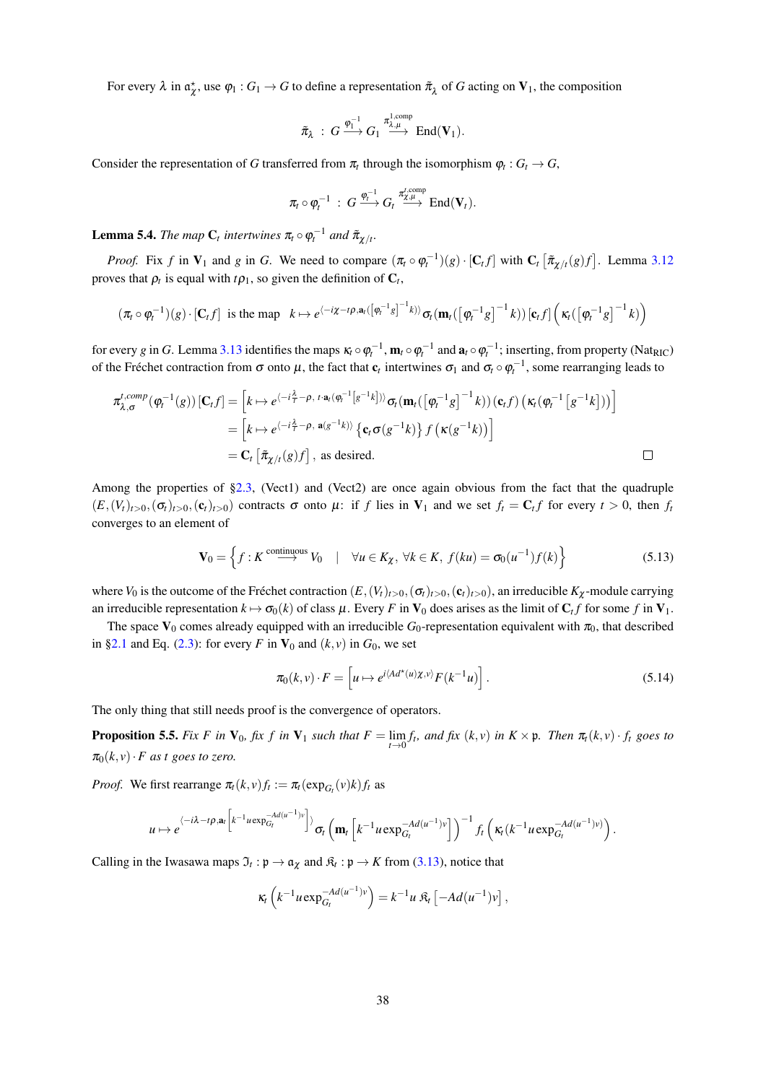For every  $\lambda$  in  $\alpha_{\chi}^*$ , use  $\varphi_1: G_1 \to G$  to define a representation  $\tilde{\pi}_{\lambda}$  of G acting on  $V_1$ , the composition

$$
\tilde{\pi}_{\lambda} \; : \; G \xrightarrow{\phi_1^{-1}} G_1 \xrightarrow{\pi_{\lambda,\mu}^{1,\text{comp}}} \text{End}(\mathbf{V}_1).
$$

Consider the representation of G transferred from  $\pi_t$  through the isomorphism  $\varphi_t : G_t \to G$ ,

$$
\pi_t \circ \varphi_t^{-1} \; : \; G \xrightarrow{\varphi_t^{-1}} G_t \xrightarrow{\pi_{\chi,\mu}^{t,\text{comp}}} \text{End}(\mathbf{V}_t).
$$

**Lemma 5.4.** The map  $C_t$  intertwines  $\pi_t \circ \varphi_t^{-1}$  and  $\tilde{\pi}_{\chi/t}$ .

*Proof.* Fix f in  $V_1$  and g in G. We need to compare  $(\pi_t \circ \varphi_t^{-1})(g) \cdot [C_t f]$  with  $C_t [\tilde{\pi}_{\gamma/t}(g)f]$ . Lemma 3.12 proves that  $\rho_t$  is equal with  $t\rho_1$ , so given the definition of  $C_t$ ,

$$
(\pi_t \circ \varphi_t^{-1})(g) \cdot [\mathbf{C}_t f] \text{ is the map } k \mapsto e^{\langle -i\chi - i\rho, \mathbf{a}_t(\left[\varphi_t^{-1}g\right]^{-1}k)\rangle} \sigma_t(\mathbf{m}_t(\left[\varphi_t^{-1}g\right]^{-1}k)) [\mathbf{c}_t f] \left(\kappa_t(\left[\varphi_t^{-1}g\right]^{-1}k)\right)
$$

for every g in G. Lemma 3.13 identifies the maps  $\kappa_t \circ \varphi_t^{-1}$ ,  $\mathbf{m}_t \circ \varphi_t^{-1}$  and  $\mathbf{a}_t \circ \varphi_t^{-1}$ ; inserting, from property (Nat<sub>RIC</sub>) of the Fréchet contraction from  $\sigma$  onto  $\mu$ , the fact that  $c_t$  intertwines  $\sigma_1$  and  $\sigma_t \circ \varphi_t^{-1}$ , some rearranging leads to

$$
\pi_{\lambda,\sigma}^{t,comp}(\varphi_t^{-1}(g)) [\mathbf{C}_t f] = \left[ k \mapsto e^{\langle -i\frac{\lambda}{t} - \rho, t \cdot \mathbf{a}_t(\varphi_t^{-1}[g^{-1}k]) \rangle} \sigma_t(\mathbf{m}_t (\left[ \varphi_t^{-1} g \right]^{-1} k)) (\mathbf{c}_t f) \left( \kappa_t(\varphi_t^{-1}[g^{-1}k]) \right) \right]
$$
\n
$$
= \left[ k \mapsto e^{\langle -i\frac{\lambda}{t} - \rho, \mathbf{a}(g^{-1}k) \rangle} \left\{ \mathbf{c}_t \sigma(g^{-1}k) \right\} f \left( \kappa(g^{-1}k) \right) \right]
$$
\n
$$
= \mathbf{C}_t \left[ \tilde{\pi}_{\chi/t}(g) f \right], \text{ as desired.} \qquad \Box
$$

Among the properties of §2.3, (Vect1) and (Vect2) are once again obvious from the fact that the quadruple  $(E, (V_t)_{t>0}, (\sigma_t)_{t>0}, (\mathbf{c}_t)_{t>0})$  contracts  $\sigma$  onto  $\mu$ : if f lies in  $V_1$  and we set  $f_t = C_t f$  for every  $t > 0$ , then  $f_t$ converges to an element of

$$
\mathbf{V}_0 = \left\{ f : K \xrightarrow{\text{continuous}} V_0 \quad | \quad \forall u \in K_\chi, \ \forall k \in K, \ f(ku) = \sigma_0(u^{-1})f(k) \right\} \tag{5.13}
$$

where  $V_0$  is the outcome of the Fréchet contraction  $(E, (V_t)_{t>0}, (\sigma_t)_{t>0}, (\mathbf{c}_t)_{t>0})$ , an irreducible  $K_{\chi}$ -module carrying an irreducible representation  $k \mapsto \sigma_0(k)$  of class  $\mu$ . Every F in  $V_0$  does arises as the limit of  $C_t f$  for some f in  $V_1$ .

The space  $V_0$  comes already equipped with an irreducible  $G_0$ -representation equivalent with  $\pi_0$ , that described in §2.1 and Eq. (2.3): for every F in  $V_0$  and  $(k, v)$  in  $G_0$ , we set

$$
\pi_0(k,\nu) \cdot F = \left[ u \mapsto e^{i \langle A d^\star(u) \chi, \nu \rangle} F(k^{-1} u) \right]. \tag{5.14}
$$

The only thing that still needs proof is the convergence of operators.

**Proposition 5.5.** Fix F in  $V_0$ , fix f in  $V_1$  such that  $F = \lim_{t \to 0} f_t$ , and fix  $(k, v)$  in  $K \times \mathfrak{p}$ . Then  $\pi_t(k, v) \cdot f_t$  goes to  $\pi_0(k, v) \cdot F$  as t goes to zero.

*Proof.* We first rearrange  $\pi_t(k, v) f_t := \pi_t(\exp_{G_t}(v)k) f_t$  as

$$
u\mapsto e^{\langle -i\lambda -t\rho, a_t\left|k^{-1}u\exp_{G_t}^{-Ad(u^{-1})v}\right|\rangle}\sigma_t\left(\mathbf{m}_t\left[k^{-1}u\exp_{G_t}^{-Ad(u^{-1})v}\right]\right)^{-1}f_t\left(\kappa_t(k^{-1}u\exp_{G_t}^{-Ad(u^{-1})v})\right).
$$

Calling in the Iwasawa maps  $\mathfrak{I}_t : \mathfrak{p} \to \mathfrak{a}_\chi$  and  $\mathfrak{K}_t : \mathfrak{p} \to K$  from (3.13), notice that

$$
\kappa_t\left(k^{-1}u\exp_{G_t}^{-Ad(u^{-1})v}\right)=k^{-1}u\mathfrak{K}_t\left[-Ad(u^{-1})v\right],
$$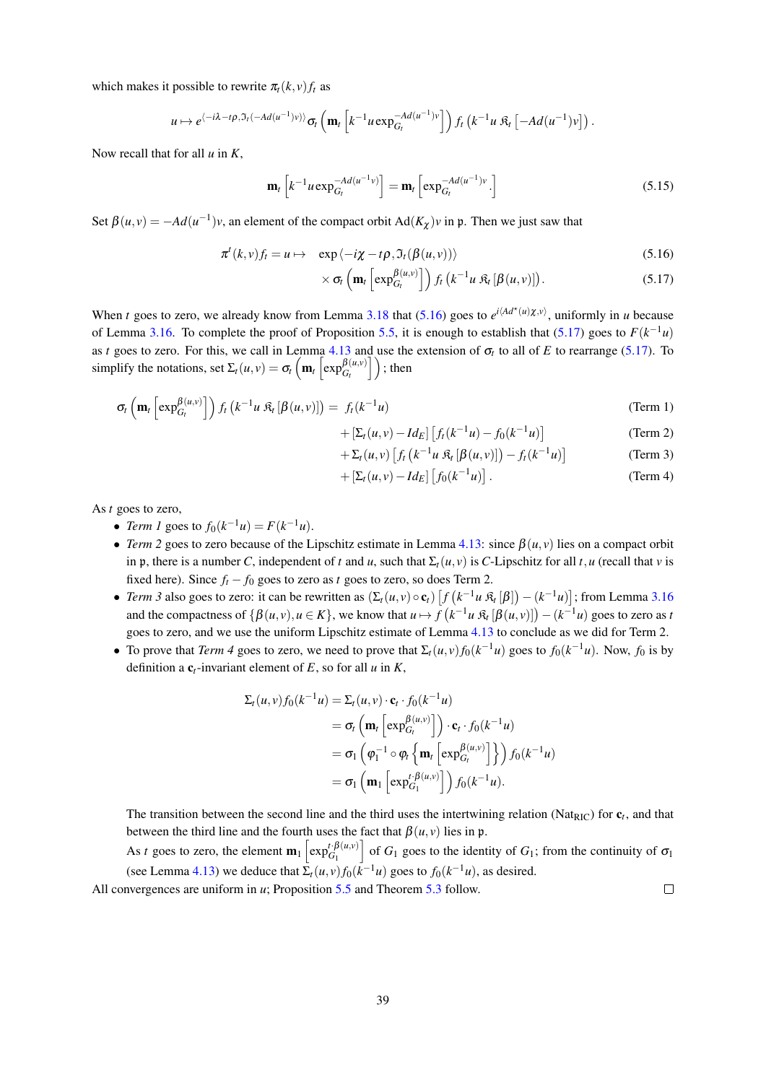which makes it possible to rewrite  $\pi_t(k, v) f_t$  as

$$
u\mapsto e^{\langle -i\lambda -t\rho, \Im_t(-Ad(u^{-1})v)\rangle}\sigma_t\left(\mathbf{m}_t\left[k^{-1}u\exp_{G_t}^{-Ad(u^{-1})v}\right]\right)f_t\left(k^{-1}u\mathfrak{K}_t\left[-Ad(u^{-1})v\right]\right).
$$

Now recall that for all  $u$  in  $K$ ,

$$
\mathbf{m}_t \left[ k^{-1} u \exp_{G_t}^{-Ad(u^{-1}v)} \right] = \mathbf{m}_t \left[ \exp_{G_t}^{-Ad(u^{-1})v} \cdot \right] \tag{5.15}
$$

Set  $\beta(u, v) = -Ad(u^{-1})v$ , an element of the compact orbit  $Ad(K_{\gamma})v$  in p. Then we just saw that

$$
\pi^{t}(k,v)f_{t} = u \mapsto \exp\left\langle -i\chi - t\rho, \mathfrak{I}_{t}(\beta(u,v)) \right\rangle \tag{5.16}
$$

$$
\times \sigma_t \left( \mathbf{m}_t \left[ \exp_{G_t}^{\beta(u,v)} \right] \right) f_t \left( k^{-1} u \mathfrak{R}_t \left[ \beta(u,v) \right] \right). \tag{5.17}
$$

When t goes to zero, we already know from Lemma 3.18 that (5.16) goes to  $e^{i\langle A d^{\star}(u)\chi, v\rangle}$ , uniformly in u because of Lemma 3.16. To complete the proof of Proposition 5.5, it is enough to establish that (5.17) goes to  $F(k^{-1}u)$ as t goes to zero. For this, we call in Lemma 4.13 and use the extension of  $\sigma_t$  to all of E to rearrange (5.17). To simplify the notations, set  $\Sigma_t(u, v) = \sigma_t\left(\mathbf{m}_t\left[\exp_{G_t}^{\beta(u, v)}\right]\right)$ ; then

$$
\sigma_t \left( \mathbf{m}_t \left[ \exp_{G_t}^{\beta(u,v)} \right] \right) f_t \left( k^{-1} u \mathfrak{K}_t \left[ \beta(u,v) \right] \right) = f_t(k^{-1} u) \tag{Term 1}
$$

$$
+ \left[\Sigma_t(u, v) - Id_E\right] \left[f_t(k^{-1}u) - f_0(k^{-1}u)\right]
$$
 (Term 2)  
+  $\Sigma_t(u, v) \left[f_t(k^{-1}u \mathfrak{K}_t[\beta(u, v)]) - f_t(k^{-1}u)\right]$  (Term 3)  
+  $\left[\Sigma_t(u, v) - Id_E\right] \left[f_0(k^{-1}u)\right]$ . (Term 4)

$$
+\Sigma_t(u,v)\left[f_t\left(k^{-1}u\mathfrak{K}_t\left[\beta(u,v)\right]\right)-f_t(k^{-1}u)\right]
$$
 (Term 3)

$$
\left[\Sigma_t(u,v) - Id_E\right] \left[f_0(k^{-1}u)\right].
$$
\n(Term 4)

As  $t$  goes to zero,

- Term 1 goes to  $f_0(k^{-1}u) = F(k^{-1}u)$ .
- Term 2 goes to zero because of the Lipschitz estimate in Lemma 4.13: since  $\beta(u, v)$  lies on a compact orbit in p, there is a number C, independent of t and u, such that  $\Sigma_t(u, v)$  is C-Lipschitz for all t, u (recall that v is fixed here). Since  $f_t - f_0$  goes to zero as t goes to zero, so does Term 2.
- Term 3 also goes to zero: it can be rewritten as  $(\Sigma_t(u, v) \circ \mathbf{c}_t) [f(k^{-1}u \mathcal{R}_t[\beta]) (k^{-1}u)]$ ; from Lemma 3.16 and the compactness of  $\{\beta(u, v), u \in K\}$ , we know that  $u \mapsto f(k^{-1}u \mathcal{R}_t[\beta(u, v)]) - (k^{-1}u)$  goes to zero as t goes to zero, and we use the uniform Lipschitz estimate of Lemma 4.13 to conclude as we did for Term 2.
- To prove that Term 4 goes to zero, we need to prove that  $\Sigma_t(u, v) f_0(k^{-1}u)$  goes to  $f_0(k^{-1}u)$ . Now,  $f_0$  is by definition a  $c_t$ -invariant element of E, so for all u in K,

$$
\Sigma_t(u, v) f_0(k^{-1}u) = \Sigma_t(u, v) \cdot \mathbf{c}_t \cdot f_0(k^{-1}u)
$$
  
\n
$$
= \sigma_t \left( \mathbf{m}_t \left[ \exp_{G_t}^{\beta(u, v)} \right] \right) \cdot \mathbf{c}_t \cdot f_0(k^{-1}u)
$$
  
\n
$$
= \sigma_1 \left( \varphi_1^{-1} \circ \varphi_t \left\{ \mathbf{m}_t \left[ \exp_{G_t}^{\beta(u, v)} \right] \right\} \right) f_0(k^{-1}u)
$$
  
\n
$$
= \sigma_1 \left( \mathbf{m}_1 \left[ \exp_{G_1}^{t \cdot \beta(u, v)} \right] \right) f_0(k^{-1}u).
$$

The transition between the second line and the third uses the intertwining relation (Nat<sub>RIC</sub>) for  $c_t$ , and that between the third line and the fourth uses the fact that  $\beta(u, v)$  lies in p.

As t goes to zero, the element  $\mathbf{m}_1$   $\left[\exp_{G_1}^{t\cdot\beta(u,v)}\right]$  of  $G_1$  goes to the identity of  $G_1$ ; from the continuity of  $\sigma_1$ (see Lemma 4.13) we deduce that  $\Sigma_t(u, v) f_0(k^{-1}u)$  goes to  $f_0(k^{-1}u)$ , as desired.  $\Box$ 

All convergences are uniform in  $u$ ; Proposition 5.5 and Theorem 5.3 follow.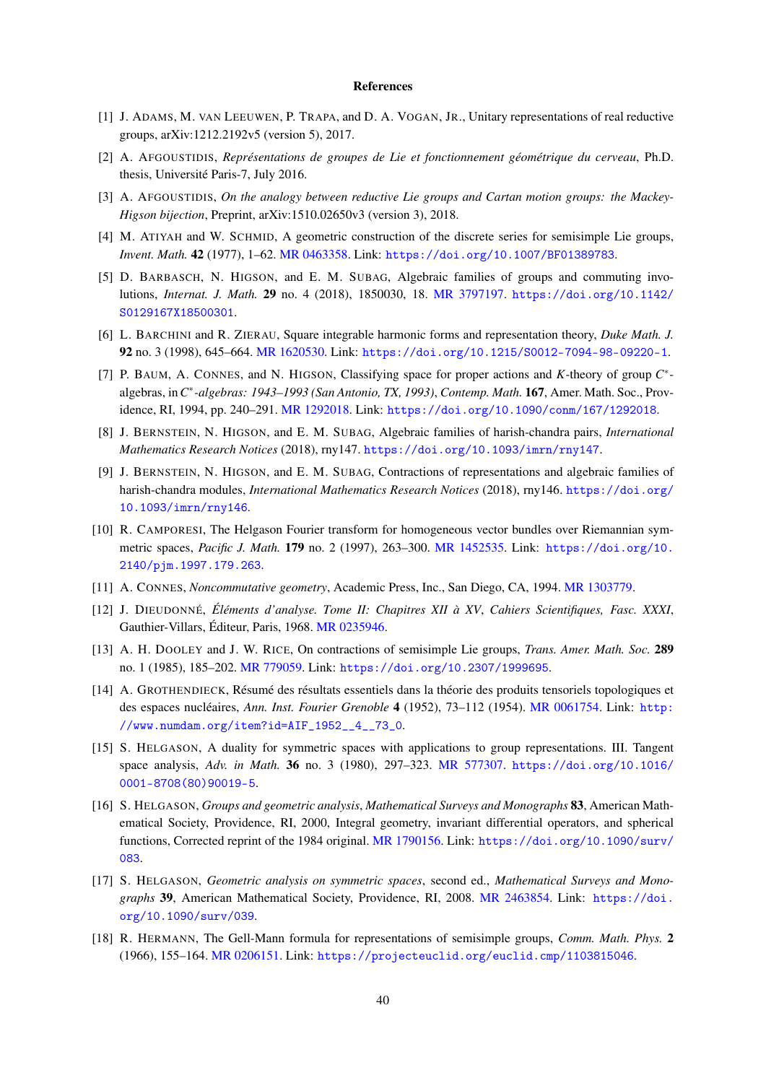## **References**

- [1] J. ADAMS, M. VAN LEEUWEN, P. TRAPA, and D. A. VOGAN, JR., Unitary representations of real reductive groups, arXiv:1212.2192v5 (version 5), 2017.
- [2] A. AFGOUSTIDIS, Représentations de groupes de Lie et fonctionnement géométrique du cerveau, Ph.D. thesis, Université Paris-7, July 2016.
- [3] A. AFGOUSTIDIS, On the analogy between reductive Lie groups and Cartan motion groups: the Mackey-Higson bijection, Preprint, arXiv:1510.02650v3 (version 3), 2018.
- [4] M. ATIYAH and W. SCHMID, A geometric construction of the discrete series for semisimple Lie groups, Invent. Math. 42 (1977), 1-62. MR 0463358. Link: https://doi.org/10.1007/BF01389783.
- [5] D. BARBASCH, N. HIGSON, and E. M. SUBAG, Algebraic families of groups and commuting involutions, Internat. J. Math. 29 no. 4 (2018), 1850030, 18. MR 3797197. https://doi.org/10.1142/ S0129167X18500301.
- [6] L. BARCHINI and R. ZIERAU, Square integrable harmonic forms and representation theory, Duke Math. J. 92 no. 3 (1998), 645-664. MR 1620530. Link: https://doi.org/10.1215/S0012-7094-98-09220-1.
- [7] P. BAUM, A. CONNES, and N. HIGSON, Classifying space for proper actions and K-theory of group  $C^*$ algebras, in C\*-algebras: 1943-1993 (San Antonio, TX, 1993), Contemp. Math. 167, Amer. Math. Soc., Providence, RI, 1994, pp. 240-291. MR 1292018. Link: https://doi.org/10.1090/conm/167/1292018.
- [8] J. BERNSTEIN, N. HIGSON, and E. M. SUBAG, Algebraic families of harish-chandra pairs, *International* Mathematics Research Notices (2018), my147. https://doi.org/10.1093/imrn/rny147.
- [9] J. BERNSTEIN, N. HIGSON, and E. M. SUBAG, Contractions of representations and algebraic families of harish-chandra modules, *International Mathematics Research Notices* (2018), rny146. https://doi.org/ 10.1093/imrn/rny146.
- [10] R. CAMPORESI, The Helgason Fourier transform for homogeneous vector bundles over Riemannian symmetric spaces, Pacific J. Math. 179 no. 2 (1997), 263-300. MR 1452535. Link: https://doi.org/10. 2140/pjm.1997.179.263.
- [11] A. CONNES, *Noncommutative geometry*, Academic Press, Inc., San Diego, CA, 1994. MR 1303779.
- [12] J. DIEUDONNÉ, Éléments d'analyse. Tome II: Chapitres XII à XV, Cahiers Scientifiques, Fasc. XXXI, Gauthier-Villars, Éditeur, Paris, 1968. MR 0235946.
- [13] A. H. DOOLEY and J. W. RICE, On contractions of semisimple Lie groups, *Trans. Amer. Math. Soc.* 289 no. 1 (1985), 185-202. MR 779059. Link: https://doi.org/10.2307/1999695.
- [14] A. GROTHENDIECK, Résumé des résultats essentiels dans la théorie des produits tensoriels topologiques et des espaces nucléaires, Ann. Inst. Fourier Grenoble 4 (1952), 73-112 (1954). MR 0061754. Link: http: //www.numdam.org/item?id=AIF\_1952\_4\_73\_0.
- [15] S. HELGASON, A duality for symmetric spaces with applications to group representations. III. Tangent space analysis, Adv. in Math. 36 no. 3 (1980), 297-323. MR 577307. https://doi.org/10.1016/  $0001 - 8708(80)90019 - 5.$
- [16] S. HELGASON, Groups and geometric analysis, Mathematical Surveys and Monographs 83, American Mathematical Society, Providence, RI, 2000, Integral geometry, invariant differential operators, and spherical functions, Corrected reprint of the 1984 original. MR 1790156. Link: https://doi.org/10.1090/surv/ 083.
- [17] S. HELGASON, Geometric analysis on symmetric spaces, second ed., Mathematical Surveys and Monographs 39, American Mathematical Society, Providence, RI, 2008. MR 2463854. Link: https://doi. org/10.1090/surv/039.
- [18] R. HERMANN, The Gell-Mann formula for representations of semisimple groups, Comm. Math. Phys. 2 (1966), 155-164. MR 0206151. Link: https://projecteuclid.org/euclid.cmp/1103815046.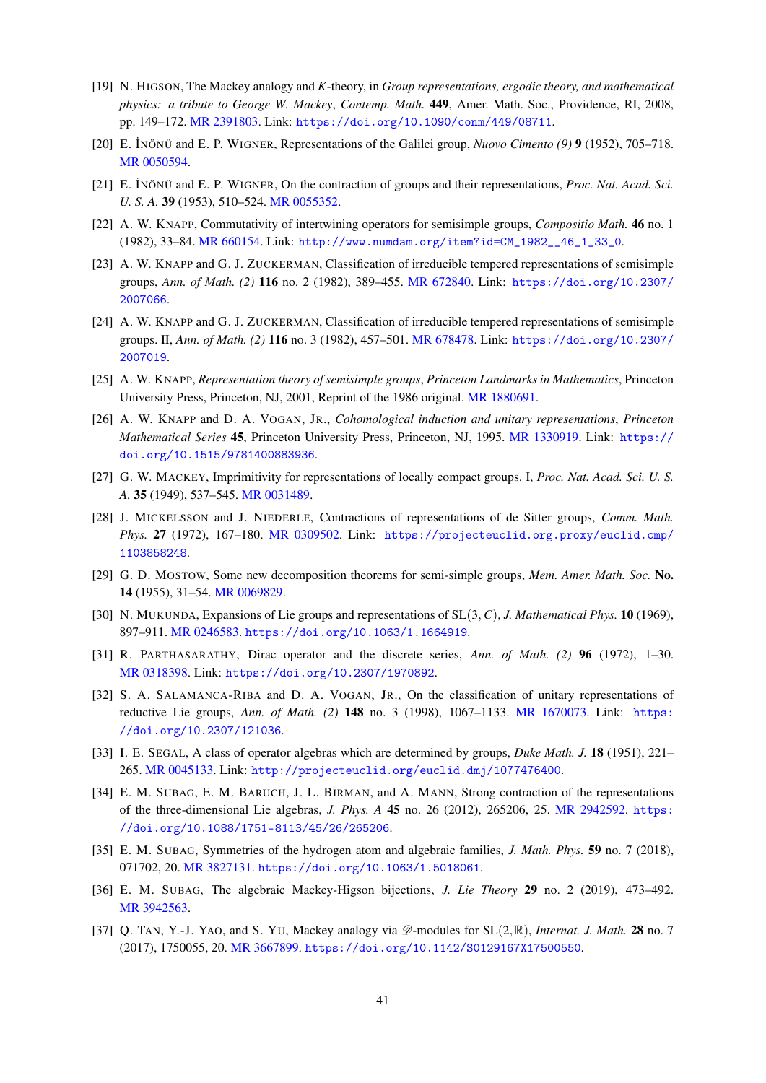- [19] N. HIGSON, The Mackey analogy and K-theory, in Group representations, ergodic theory, and mathematical physics: a tribute to George W. Mackey, Contemp. Math. 449, Amer. Math. Soc., Providence, RI, 2008, pp. 149-172. MR 2391803. Link: https://doi.org/10.1090/conm/449/08711.
- [20] E. İNÖNÜ and E. P. WIGNER, Representations of the Galilei group, *Nuovo Cimento* (9) 9 (1952), 705–718. MR 0050594.
- [21] E. İNÖNÜ and E. P. WIGNER, On the contraction of groups and their representations, *Proc. Nat. Acad. Sci.* U. S. A. 39 (1953), 510-524. MR 0055352.
- [22] A. W. KNAPP, Commutativity of intertwining operators for semisimple groups, Compositio Math. 46 no. 1 (1982), 33-84. MR 660154. Link: http://www.numdam.org/item?id=CM\_1982\_46\_1\_33\_0.
- [23] A. W. KNAPP and G. J. ZUCKERMAN, Classification of irreducible tempered representations of semisimple groups, Ann. of Math. (2) 116 no. 2 (1982), 389-455. MR 672840. Link: https://doi.org/10.2307/ 2007066.
- [24] A. W. KNAPP and G. J. ZUCKERMAN, Classification of irreducible tempered representations of semisimple groups. II, Ann. of Math. (2) 116 no. 3 (1982), 457-501. MR 678478. Link: https://doi.org/10.2307/ 2007019.
- [25] A. W. KNAPP, Representation theory of semisimple groups, Princeton Landmarks in Mathematics, Princeton University Press, Princeton, NJ, 2001, Reprint of the 1986 original. MR 1880691.
- [26] A. W. KNAPP and D. A. VOGAN, JR., Cohomological induction and unitary representations, Princeton Mathematical Series 45, Princeton University Press, Princeton, NJ, 1995. MR 1330919. Link: https:// doi.org/10.1515/9781400883936.
- [27] G. W. MACKEY, Imprimitivity for representations of locally compact groups. I, Proc. Nat. Acad. Sci. U. S. A. 35 (1949), 537-545. MR 0031489.
- [28] J. MICKELSSON and J. NIEDERLE, Contractions of representations of de Sitter groups, Comm. Math. Phys. 27 (1972), 167-180. MR 0309502. Link: https://projecteuclid.org.proxy/euclid.cmp/ 1103858248.
- [29] G. D. MOSTOW, Some new decomposition theorems for semi-simple groups, Mem. Amer. Math. Soc. No. 14 (1955), 31-54. MR 0069829.
- [30] N. MUKUNDA, Expansions of Lie groups and representations of  $SL(3, C)$ , J. Mathematical Phys. 10 (1969), 897-911. MR 0246583. https://doi.org/10.1063/1.1664919.
- [31] R. PARTHASARATHY, Dirac operator and the discrete series, Ann. of Math. (2) 96 (1972), 1–30. MR 0318398. Link: https://doi.org/10.2307/1970892.
- [32] S. A. SALAMANCA-RIBA and D. A. VOGAN, JR., On the classification of unitary representations of reductive Lie groups, Ann. of Math. (2) 148 no. 3 (1998), 1067-1133. MR 1670073. Link: https: //doi.org/10.2307/121036.
- [33] I. E. SEGAL, A class of operator algebras which are determined by groups, Duke Math. J. 18 (1951), 221– 265. MR 0045133. Link: http://projecteuclid.org/euclid.dmj/1077476400.
- [34] E. M. SUBAG, E. M. BARUCH, J. L. BIRMAN, and A. MANN, Strong contraction of the representations of the three-dimensional Lie algebras, *J. Phys. A* 45 no. 26 (2012), 265206, 25. MR 2942592. https: //doi.org/10.1088/1751-8113/45/26/265206.
- [35] E. M. SUBAG, Symmetries of the hydrogen atom and algebraic families, *J. Math. Phys.* 59 no. 7 (2018), 071702, 20. MR 3827131. https://doi.org/10.1063/1.5018061.
- [36] E. M. SUBAG, The algebraic Mackey-Higson bijections, *J. Lie Theory* 29 no. 2 (2019), 473-492. MR 3942563.
- [37] Q. TAN, Y.-J. YAO, and S. YU, Mackey analogy via  $\mathscr{D}$ -modules for SL $(2,\mathbb{R})$ , *Internat. J. Math.* 28 no. 7 (2017), 1750055, 20. MR 3667899. https://doi.org/10.1142/S0129167X17500550.